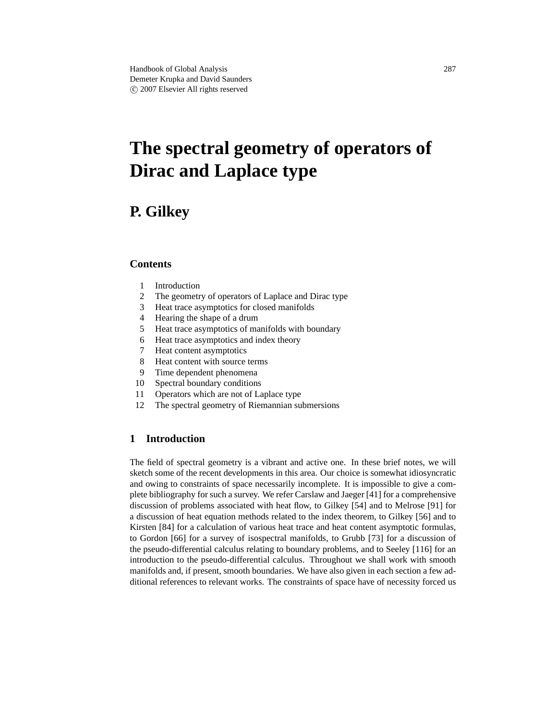# **The spectral geometry of operators of Dirac and Laplace type**

# **P. Gilkey**

# **Contents**

- 1 Introduction
- 2 The geometry of operators of Laplace and Dirac type
- 3 Heat trace asymptotics for closed manifolds
- 4 Hearing the shape of a drum
- 5 Heat trace asymptotics of manifolds with boundary
- 6 Heat trace asymptotics and index theory
- 7 Heat content asymptotics
- 8 Heat content with source terms
- 9 Time dependent phenomena
- 10 Spectral boundary conditions
- 11 Operators which are not of Laplace type
- 12 The spectral geometry of Riemannian submersions

## **1 Introduction**

The field of spectral geometry is a vibrant and active one. In these brief notes, we will sketch some of the recent developments in this area. Our choice is somewhat idiosyncratic and owing to constraints of space necessarily incomplete. It is impossible to give a complete bibliography for such a survey. We refer Carslaw and Jaeger [41] for a comprehensive discussion of problems associated with heat flow, to Gilkey [54] and to Melrose [91] for a discussion of heat equation methods related to the index theorem, to Gilkey [56] and to Kirsten [84] for a calculation of various heat trace and heat content asymptotic formulas, to Gordon [66] for a survey of isospectral manifolds, to Grubb [73] for a discussion of the pseudo-differential calculus relating to boundary problems, and to Seeley [116] for an introduction to the pseudo-differential calculus. Throughout we shall work with smooth manifolds and, if present, smooth boundaries. We have also given in each section a few additional references to relevant works. The constraints of space have of necessity forced us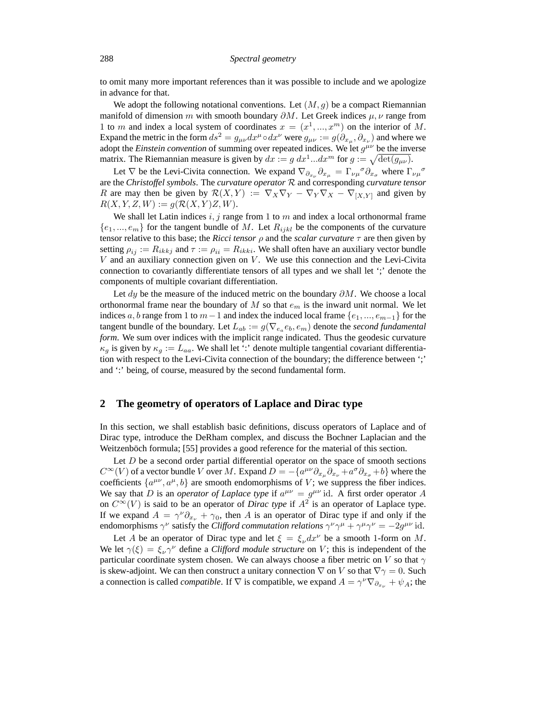to omit many more important references than it was possible to include and we apologize in advance for that.

We adopt the following notational conventions. Let  $(M, g)$  be a compact Riemannian manifold of dimension m with smooth boundary  $\partial M$ . Let Greek indices  $\mu, \nu$  range from 1 to m and index a local system of coordinates  $x = (x^1, ..., x^m)$  on the interior of M. Expand the metric in the form  $ds^2 = g_{\mu\nu} dx^{\mu} \circ dx^{\nu}$  were  $g_{\mu\nu} := g(\partial_{x_\mu}, \partial_{x_\nu})$  and where we adopt the *Einstein convention* of summing over repeated indices. We let  $g^{\mu\nu}$  be the inverse matrix. The Riemannian measure is given by  $dx := g dx^1...dx^m$  for  $g := \sqrt{\det(g_{\mu\nu})}$ .

Let  $\nabla$  be the Levi-Civita connection. We expand  $\nabla_{\partial_{x_\nu}} \partial_{x_\mu} = \Gamma_{\nu\mu}{}^{\sigma} \partial_{x_\sigma}$  where  $\Gamma_{\nu\mu}{}^{\sigma}$ are the *Christoffel symbols*. The *curvature operator* R and corresponding *curvature tensor* R are may then be given by  $\mathcal{R}(X, Y) := \nabla_X \nabla_Y - \nabla_Y \nabla_X - \nabla_{[X, Y]}$  and given by  $R(X, Y, Z, W) := g(R(X, Y)Z, W).$ 

We shall let Latin indices  $i, j$  range from 1 to  $m$  and index a local orthonormal frame  $\{e_1, ..., e_m\}$  for the tangent bundle of M. Let  $R_{ijkl}$  be the components of the curvature tensor relative to this base; the *Ricci tensor* ρ and the *scalar curvature* τ are then given by setting  $\rho_{ij} := R_{ikkj}$  and  $\tau := \rho_{ii} = R_{ikki}$ . We shall often have an auxiliary vector bundle  $V$  and an auxiliary connection given on  $V$ . We use this connection and the Levi-Civita connection to covariantly differentiate tensors of all types and we shall let ';' denote the components of multiple covariant differentiation.

Let dy be the measure of the induced metric on the boundary  $\partial M$ . We choose a local orthonormal frame near the boundary of M so that  $e_m$  is the inward unit normal. We let indices a, b range from 1 to  $m-1$  and index the induced local frame  $\{e_1, ..., e_{m-1}\}$  for the tangent bundle of the boundary. Let  $L_{ab} := g(\nabla_{e_a} e_b, e_m)$  denote the *second fundamental form*. We sum over indices with the implicit range indicated. Thus the geodesic curvature  $\kappa_q$  is given by  $\kappa_q := L_{aa}$ . We shall let ':' denote multiple tangential covariant differentiation with respect to the Levi-Civita connection of the boundary; the difference between ';' and ':' being, of course, measured by the second fundamental form.

#### **2 The geometry of operators of Laplace and Dirac type**

In this section, we shall establish basic definitions, discuss operators of Laplace and of Dirac type, introduce the DeRham complex, and discuss the Bochner Laplacian and the Weitzenböch formula; [55] provides a good reference for the material of this section.

Let  $D$  be a second order partial differential operator on the space of smooth sections  $C^{\infty}(V)$  of a vector bundle V over M. Expand  $D = -\{a^{\mu\nu}\partial_{x_{\mu}}\partial_{x_{\nu}} + a^{\sigma}\partial_{x_{\sigma}} + b\}$  where the coefficients  $\{a^{\mu\nu}, a^{\mu}, b\}$  are smooth endomorphisms of V; we suppress the fiber indices. We say that D is an *operator of Laplace type* if  $a^{\mu\nu} = g^{\mu\nu}$  id. A first order operator A on  $C^{\infty}(V)$  is said to be an operator of *Dirac type* if  $A^2$  is an operator of Laplace type. If we expand  $A = \gamma^{\nu} \partial_{x_{\nu}} + \gamma_0$ , then A is an operator of Dirac type if and only if the endomorphisms  $\gamma^{\nu}$  satisfy the *Clifford commutation relations*  $\gamma^{\nu}\gamma^{\mu} + \gamma^{\mu}\gamma^{\nu} = -2g^{\mu\nu}$  id.

Let A be an operator of Dirac type and let  $\xi = \xi_{\nu} dx^{\nu}$  be a smooth 1-form on M. We let  $\gamma(\xi) = \xi_{\nu} \gamma^{\nu}$  define a *Clifford module structure* on V; this is independent of the particular coordinate system chosen. We can always choose a fiber metric on V so that  $\gamma$ is skew-adjoint. We can then construct a unitary connection  $\nabla$  on V so that  $\nabla \gamma = 0$ . Such a connection is called *compatible*. If  $\nabla$  is compatible, we expand  $A = \gamma^{\nu} \nabla_{\partial_{x_{\nu}}} + \psi_A$ ; the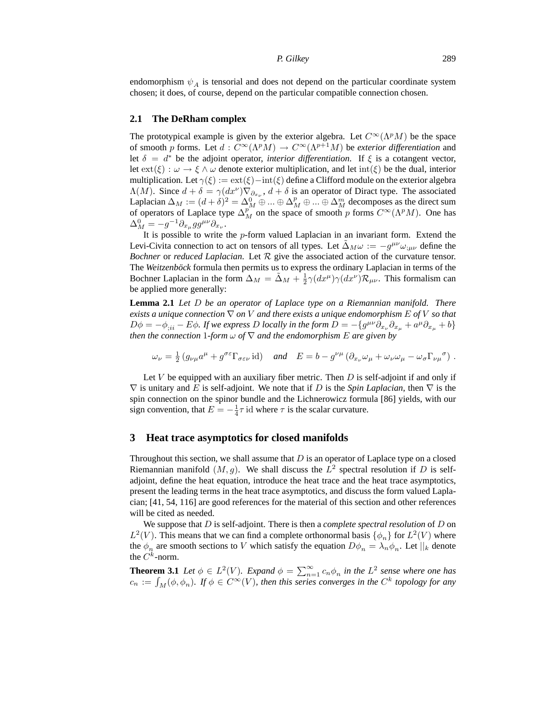endomorphism  $\psi_A$  is tensorial and does not depend on the particular coordinate system chosen; it does, of course, depend on the particular compatible connection chosen.

#### **2.1 The DeRham complex**

The prototypical example is given by the exterior algebra. Let  $C^{\infty}(\Lambda^pM)$  be the space of smooth p forms. Let  $d: C^{\infty}(\Lambda^p M) \to C^{\infty}(\Lambda^{p+1} M)$  be *exterior differentiation* and let  $\delta = d^*$  be the adjoint operator, *interior differentiation*. If  $\xi$  is a cotangent vector, let  $ext(\xi): \omega \to \xi \wedge \omega$  denote exterior multiplication, and let int( $\xi$ ) be the dual, interior multiplication. Let  $\gamma(\xi) := \text{ext}(\xi) - \text{int}(\xi)$  define a Clifford module on the exterior algebra  $\Lambda(M)$ . Since  $d + \delta = \gamma(dx^{\nu}) \nabla_{\partial_{x_{\nu}}}$ ,  $d + \delta$  is an operator of Diract type. The associated Laplacian  $\Delta_M := (d + \delta)^2 = \Delta_M^0 \oplus ... \oplus \Delta_M^m \oplus ... \oplus \Delta_M^m$  decomposes as the direct sum of operators of Laplace type  $\Delta_M^{p^m}$  on the space of smooth p forms  $C^{\infty}(\Lambda^pM)$ . One has  $\Delta_M^0 = -g^{-1}\partial_{x_\mu}gg^{\mu\nu}\partial_{x_\nu}.$ 

It is possible to write the  $p$ -form valued Laplacian in an invariant form. Extend the Levi-Civita connection to act on tensors of all types. Let  $\tilde{\Delta}_M \omega := -g^{\mu\nu} \omega_{;\mu\nu}$  define the *Bochner* or *reduced Laplacian*. Let R give the associated action of the curvature tensor. The *Weitzenböck* formula then permits us to express the ordinary Laplacian in terms of the Bochner Laplacian in the form  $\Delta_M = \tilde{\Delta}_M + \frac{1}{2} \gamma (dx^\mu) \gamma (dx^\nu) \mathcal{R}_{\mu\nu}$ . This formalism can be applied more generally:

**Lemma 2.1** *Let* D *be an operator of Laplace type on a Riemannian manifold. There exists a unique connection*  $\nabla$  *on* V *and there exists a unique endomorphism* E *of* V *so that*  $D\phi = -\phi_{;ii} - E\phi$ . If we express D locally in the form  $D = -\{g^{\mu\nu}\partial_{x\nu}\partial_{x\mu} + a^{\mu}\partial_{x\mu} + b\}$ *then the connection* 1*-form*  $\omega$  *of*  $\nabla$  *and the endomorphism E are given by* 

$$
\omega_{\nu} = \frac{1}{2} \left( g_{\nu\mu} a^{\mu} + g^{\sigma\varepsilon} \Gamma_{\sigma\varepsilon\nu} \operatorname{id} \right) \quad \text{and} \quad E = b - g^{\nu\mu} \left( \partial_{x_{\nu}} \omega_{\mu} + \omega_{\nu} \omega_{\mu} - \omega_{\sigma} \Gamma_{\nu\mu}{}^{\sigma} \right) .
$$

Let  $V$  be equipped with an auxiliary fiber metric. Then  $D$  is self-adjoint if and only if  $\nabla$  is unitary and E is self-adjoint. We note that if D is the *Spin Laplacian*, then  $\nabla$  is the spin connection on the spinor bundle and the Lichnerowicz formula [86] yields, with our sign convention, that  $E = -\frac{1}{4}\tau$  id where  $\tau$  is the scalar curvature.

#### **3 Heat trace asymptotics for closed manifolds**

Throughout this section, we shall assume that  $D$  is an operator of Laplace type on a closed Riemannian manifold  $(M, g)$ . We shall discuss the  $L^2$  spectral resolution if D is selfadjoint, define the heat equation, introduce the heat trace and the heat trace asymptotics, present the leading terms in the heat trace asymptotics, and discuss the form valued Laplacian; [41, 54, 116] are good references for the material of this section and other references will be cited as needed.

We suppose that D is self-adjoint. There is then a *complete spectral resolution* of D on  $L^2(V)$ . This means that we can find a complete orthonormal basis  $\{\phi_n\}$  for  $L^2(V)$  where the  $\phi_n$  are smooth sections to V which satisfy the equation  $D\phi_n = \lambda_n \phi_n$ . Let  $||_k$  denote the  $C^k$ -norm.

**Theorem 3.1** *Let*  $\phi \in L^2(V)$ *. Expand*  $\phi = \sum_{n=1}^{\infty} c_n \phi_n$  *in the*  $L^2$  *sense where one has*  $c_n := \int_M (\phi, \phi_n)$ . If  $\phi \in C^\infty(V)$ , then this series converges in the  $C^k$  topology for any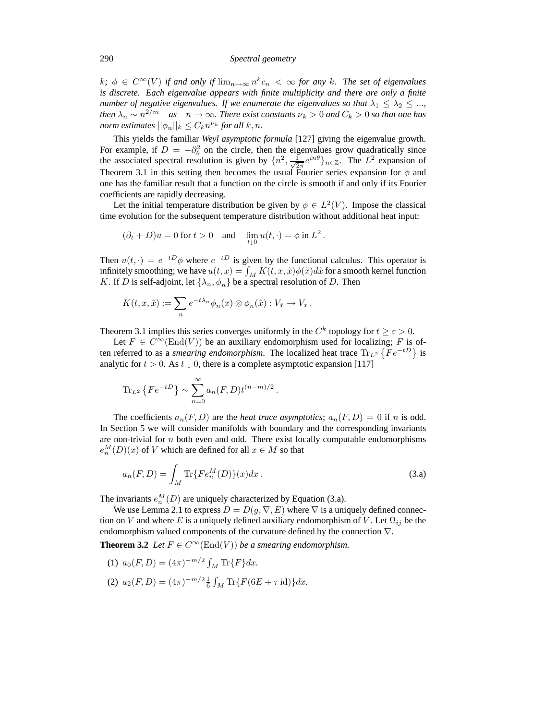$k; \phi \in C^{\infty}(V)$  if and only if  $\lim_{n\to\infty} n^k c_n < \infty$  for any k. The set of eigenvalues *is discrete. Each eigenvalue appears with finite multiplicity and there are only a finite number of negative eigenvalues. If we enumerate the eigenvalues so that*  $\lambda_1 \leq \lambda_2 \leq ...$ *then*  $\lambda_n \sim n^{2/m}$  *as*  $n \to \infty$ *. There exist constants*  $\nu_k > 0$  *and*  $C_k > 0$  *so that one has norm estimates*  $||\phi_n||_k \leq C_k n^{\nu_k}$  for all  $k, n$ .

This yields the familiar *Weyl asymptotic formula* [127] giving the eigenvalue growth. For example, if  $D = -\partial_{\theta}^{2}$  on the circle, then the eigenvalues grow quadratically since the associated spectral resolution is given by  $\{n^2, \frac{1}{\sqrt{2}}\}$  $\frac{1}{2\pi}e^{in\theta}\big\}_{n\in\mathbb{Z}}$ . The  $L^2$  expansion of Theorem 3.1 in this setting then becomes the usual Fourier series expansion for  $\phi$  and one has the familiar result that a function on the circle is smooth if and only if its Fourier coefficients are rapidly decreasing.

Let the initial temperature distribution be given by  $\phi \in L^2(V)$ . Impose the classical time evolution for the subsequent temperature distribution without additional heat input:

$$
(\partial_t + D)u = 0 \text{ for } t > 0 \quad \text{and} \quad \lim_{t \downarrow 0} u(t, \cdot) = \phi \text{ in } L^2.
$$

Then  $u(t, \cdot) = e^{-tD}\phi$  where  $e^{-tD}$  is given by the functional calculus. This operator is infinitely smoothing; we have  $u(t, x) = \int_M K(t, x, \tilde{x}) \phi(\tilde{x}) d\tilde{x}$  for a smooth kernel function K. If D is self-adjoint, let  $\{\lambda_n, \phi_n\}$  be a spectral resolution of D. Then

$$
K(t, x, \tilde{x}) := \sum_{n} e^{-t\lambda_n} \phi_n(x) \otimes \phi_n(\tilde{x}) : V_{\tilde{x}} \to V_x.
$$

Theorem 3.1 implies this series converges uniformly in the  $C^k$  topology for  $t \ge \varepsilon > 0$ .

Let  $F \in C^{\infty}(\text{End}(V))$  be an auxiliary endomorphism used for localizing; F is often referred to as a *smearing endomorphism*. The localized heat trace  $\text{Tr}_{L^2}\left\{Fe^{-tD}\right\}$  is analytic for  $t > 0$ . As  $t \downarrow 0$ , there is a complete asymptotic expansion [117]

$$
\text{Tr}_{L^2}\left\{Fe^{-tD}\right\} \sim \sum_{n=0}^{\infty} a_n(F,D)t^{(n-m)/2}.
$$

The coefficients  $a_n(F, D)$  are the *heat trace asymptotics*;  $a_n(F, D) = 0$  if n is odd. In Section 5 we will consider manifolds with boundary and the corresponding invariants are non-trivial for  $n$  both even and odd. There exist locally computable endomorphisms  $e_n^M(D)(x)$  of V which are defined for all  $x \in M$  so that

$$
a_n(F, D) = \int_M \text{Tr}\{F e_n^M(D)\}(x) dx.
$$
 (3.a)

The invariants  $e_n^M(D)$  are uniquely characterized by Equation (3.a).

We use Lemma 2.1 to express  $D = D(g, \nabla, E)$  where  $\nabla$  is a uniquely defined connection on V and where E is a uniquely defined auxiliary endomorphism of V. Let  $\Omega_{ij}$  be the endomorphism valued components of the curvature defined by the connection ∇.

**Theorem 3.2** *Let*  $F \in C^{\infty}(\text{End}(V))$  *be a smearing endomorphism.* 

- (1)  $a_0(F,D) = (4\pi)^{-m/2} \int_M \text{Tr}\{F\} dx.$
- (2)  $a_2(F, D) = (4\pi)^{-m/2} \frac{1}{6} \int_M \text{Tr}\{F(6E + \tau \text{id})\} dx.$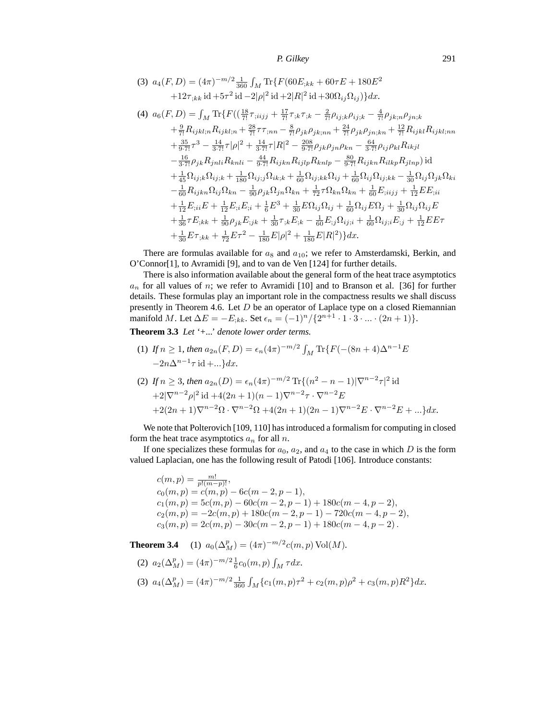(3) 
$$
a_4(F, D) = (4\pi)^{-m/2} \frac{1}{360} \int_M \text{Tr}\{F(60E_{;kk} + 60\tau E + 180E^2 + 12\tau_{;kk} \text{ id} + 5\tau^2 \text{ id} - 2|\rho|^2 \text{ id} + 2|R|^2 \text{ id} + 30\Omega_{ij}\Omega_{ij}\Omega_{ij})\}dx.
$$

(4) 
$$
a_{6}(F, D) = \int_{M} \text{Tr}\{F((\frac{18}{7!}\tau_{;iijj} + \frac{17}{7!}\tau_{;k}\tau_{;k} - \frac{2}{7!}\rho_{ij;k}\rho_{ij;k} - \frac{4}{7!}\rho_{jk;n}\rho_{jn;k} + \frac{9}{7!}R_{ijkl;n}R_{ijkl;n} + \frac{28}{7!}\tau\tau_{;nn} - \frac{8}{7!}\rho_{jk}\rho_{jk;nn} + \frac{24}{7!}\rho_{jk}\rho_{jn;kn} + \frac{12}{7!}R_{ijkl}R_{ijkl;nn} + \frac{35}{9\cdot7!}\tau^{3} - \frac{14}{3\cdot7!}\tau|\rho|^{2} + \frac{14}{3\cdot7!}\tau|R|^{2} - \frac{208}{9\cdot7!}\rho_{jk}\rho_{jn}\rho_{kn} - \frac{64}{3\cdot7!}\rho_{ij}\rho_{kl}R_{ikjl} - \frac{16}{3\cdot7!}\rho_{jk}R_{jnli}R_{knli} - \frac{44}{9\cdot7!}R_{ijkn}R_{ijlp}R_{knlp} - \frac{80}{9\cdot7!}R_{ijkn}R_{ilkp}R_{jlnp})\text{id} + \frac{1}{45}\Omega_{ij;k}\Omega_{ij;k} + \frac{1}{180}\Omega_{ij;j}\Omega_{ik;k} + \frac{1}{60}\Omega_{ij;k}\Omega_{kj} + \frac{1}{60}\Omega_{ij}\Omega_{ij;kk} - \frac{1}{30}\Omega_{ij}\Omega_{jk}\Omega_{ki} - \frac{1}{60}R_{ijkn}\Omega_{ij}\Omega_{kn} - \frac{1}{90}\rho_{jk}\Omega_{jn}\Omega_{kn} + \frac{1}{72}\tau\Omega_{kn}\Omega_{kn} + \frac{1}{60}E_{;iijj} + \frac{1}{12}EE_{;ii} + \frac{1}{12}E_{;ii}E + \frac{1}{12}E_{;ii}E_{;i} + \frac{1}{6}E^{3} + \frac{1}{30}E\Omega_{ij}\Omega_{ij} + \frac{1}{60}\Omega_{ij}E\Omega_{j} + \frac{1}{30}\Omega_{ij}\Omega_{ij}E + \frac{1}{36}\tau E_{;kk} + \frac{1}{90}\rho_{jk}E_{;jk} + \frac{1}{30}\tau_{;k}E_{;k} - \frac{1}{60}E_{;j}\Omega_{ij;i} + \frac
$$

There are formulas available for  $a_8$  and  $a_{10}$ ; we refer to Amsterdamski, Berkin, and O'Connor[1], to Avramidi [9], and to van de Ven [124] for further details.

There is also information available about the general form of the heat trace asymptotics  $a_n$  for all values of n; we refer to Avramidi [10] and to Branson et al. [36] for further details. These formulas play an important role in the compactness results we shall discuss presently in Theorem 4.6. Let  $D$  be an operator of Laplace type on a closed Riemannian manifold M. Let  $\Delta E = -E_{;kk}$ . Set  $\epsilon_n = (-1)^n / \{2^{n+1} \cdot 1 \cdot 3 \cdot ... \cdot (2n+1)\}.$ 

**Theorem 3.3** *Let '+...' denote lower order terms.*

(1) If  $n \geq 1$ , then  $a_{2n}(F,D) = \epsilon_n (4\pi)^{-m/2} \int_M \text{Tr}\{F(-(8n+4)\Delta^{n-1}E)$  $-2n\Delta^{n-1}\tau$  id  $+...\}dx$ .

(2) If 
$$
n \ge 3
$$
, then  $a_{2n}(D) = \epsilon_n (4\pi)^{-m/2} \text{Tr}\{(n^2 - n - 1)|\nabla^{n-2}\tau|^2 \text{ id}$   
  $+ 2|\nabla^{n-2}\rho|^2 \text{ id} + 4(2n + 1)(n - 1)\nabla^{n-2}\tau \cdot \nabla^{n-2}E$   
  $+ 2(2n + 1)\nabla^{n-2}\Omega \cdot \nabla^{n-2}\Omega + 4(2n + 1)(2n - 1)\nabla^{n-2}E \cdot \nabla^{n-2}E + ... \}dx.$ 

We note that Polterovich [109, 110] has introduced a formalism for computing in closed form the heat trace asymptotics  $a_n$  for all n.

If one specializes these formulas for  $a_0$ ,  $a_2$ , and  $a_4$  to the case in which D is the form valued Laplacian, one has the following result of Patodi [106]. Introduce constants:

 $c(m, p) = \frac{m!}{p!(m-p)!},$  $c_0(m, p) = c(m, p) - 6c(m - 2, p - 1),$  $c_1(m, p) = 5c(m, p) - 60c(m - 2, p - 1) + 180c(m - 4, p - 2),$  $c_2(m, p) = -2c(m, p) + 180c(m - 2, p - 1) - 720c(m - 4, p - 2),$  $c_3(m, p) = 2c(m, p) - 30c(m - 2, p - 1) + 180c(m - 4, p - 2)$ .

**Theorem 3.4** (1)  $a_0(\Delta_M^p) = (4\pi)^{-m/2} c(m, p) \text{Vol}(M)$ .

(2) 
$$
a_2(\Delta_M^p) = (4\pi)^{-m/2} \frac{1}{6} c_0(m, p) \int_M \tau dx
$$
.  
\n(3)  $a_4(\Delta_M^p) = (4\pi)^{-m/2} \frac{1}{360} \int_M \{c_1(m, p)\tau^2 + c_2(m, p)\rho^2 + c_3(m, p)R^2\} dx$ .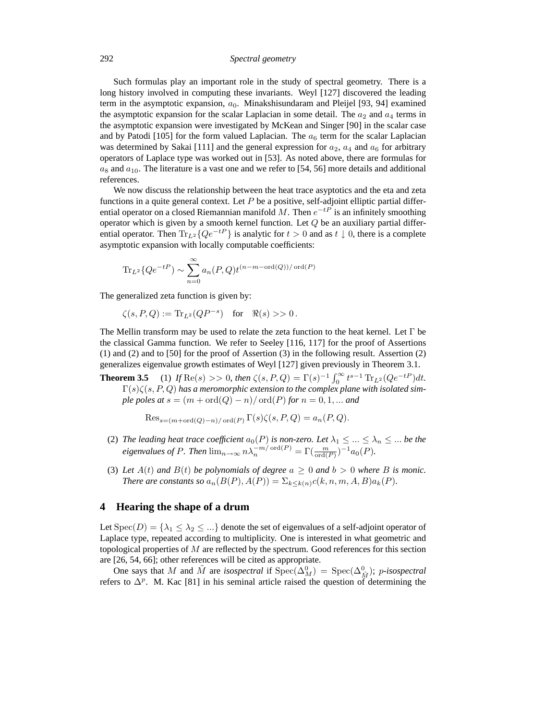292 *Spectral geometry*

Such formulas play an important role in the study of spectral geometry. There is a long history involved in computing these invariants. Weyl [127] discovered the leading term in the asymptotic expansion,  $a_0$ . Minakshisundaram and Pleijel [93, 94] examined the asymptotic expansion for the scalar Laplacian in some detail. The  $a_2$  and  $a_4$  terms in the asymptotic expansion were investigated by McKean and Singer [90] in the scalar case and by Patodi [105] for the form valued Laplacian. The  $a_6$  term for the scalar Laplacian was determined by Sakai [111] and the general expression for  $a_2$ ,  $a_4$  and  $a_6$  for arbitrary operators of Laplace type was worked out in [53]. As noted above, there are formulas for  $a_8$  and  $a_{10}$ . The literature is a vast one and we refer to [54, 56] more details and additional references.

We now discuss the relationship between the heat trace asyptotics and the eta and zeta functions in a quite general context. Let  $P$  be a positive, self-adjoint elliptic partial differential operator on a closed Riemannian manifold M. Then  $e^{-tP}$  is an infinitely smoothing operator which is given by a smooth kernel function. Let  $Q$  be an auxiliary partial differential operator. Then  $\text{Tr}_{L^2}\{Qe^{-tP}\}\$ is analytic for  $t > 0$  and as  $t \downarrow 0$ , there is a complete asymptotic expansion with locally computable coefficients:

$$
\text{Tr}_{L^2}\{Qe^{-tP}\}\sim \sum_{n=0}^\infty a_n(P,Q)t^{(n-m-\text{ord}(Q))/\text{ord}(P)}
$$

The generalized zeta function is given by:

$$
\zeta(s, P, Q) := \text{Tr}_{L^2}(QP^{-s}) \quad \text{for} \quad \Re(s) >> 0 \, .
$$

The Mellin transform may be used to relate the zeta function to the heat kernel. Let  $\Gamma$  be the classical Gamma function. We refer to Seeley [116, 117] for the proof of Assertions (1) and (2) and to [50] for the proof of Assertion (3) in the following result. Assertion (2) generalizes eigenvalue growth estimates of Weyl [127] given previously in Theorem 3.1.

**Theorem 3.5** (1) *If*  $\text{Re}(s) >> 0$ *, then*  $\zeta(s, P, Q) = \Gamma(s)^{-1} \int_0^\infty t^{s-1} \text{Tr}_{L^2}(Qe^{-tP}) dt$ *.*  $\Gamma(s)\zeta(s,P,Q)$  has a meromorphic extension to the complex plane with isolated sim*ple poles at*  $s = (m + ord(Q) - n)/ ord(P)$  *for*  $n = 0, 1, ...$  *and* 

$$
\mathrm{Res}_{s=(m+\mathrm{ord}(Q)-n)/\mathrm{ord}(P)} \Gamma(s)\zeta(s,P,Q) = a_n(P,Q).
$$

- (2) The leading heat trace coefficient  $a_0(P)$  is non-zero. Let  $\lambda_1 \leq ... \leq \lambda_n \leq ...$  be the *eigenvalues of P. Then*  $\lim_{n\to\infty} n\lambda_n^{-m/\text{ord}(P)} = \Gamma(\frac{m}{\text{ord}(P)})^{-1}a_0(P)$ .
- (3) Let  $A(t)$  and  $B(t)$  be polynomials of degree  $a \ge 0$  and  $b > 0$  where B is monic. *There are constants so*  $a_n(B(P), A(P)) = \sum_{k \leq k(n)} c(k, n, m, A, B) a_k(P)$ .

#### **4 Hearing the shape of a drum**

Let  $Spec(D) = {\lambda_1 \leq \lambda_2 \leq ...}$  denote the set of eigenvalues of a self-adjoint operator of Laplace type, repeated according to multiplicity. One is interested in what geometric and topological properties of  $M$  are reflected by the spectrum. Good references for this section are [26, 54, 66]; other references will be cited as appropriate.

One says that M and  $\tilde{M}$  are *isospectral* if  $Spec(\Delta_M^0) = Spec(\Delta_{\tilde{M}}^0);$  p-isospectral refers to  $\Delta^p$ . M. Kac [81] in his seminal article raised the question of determining the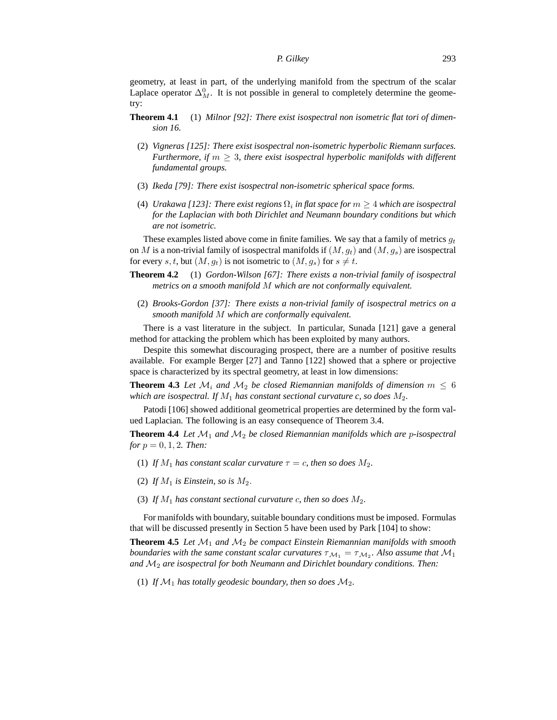geometry, at least in part, of the underlying manifold from the spectrum of the scalar Laplace operator  $\Delta_M^0$ . It is not possible in general to completely determine the geometry:

- **Theorem 4.1** (1) *Milnor [92]: There exist isospectral non isometric flat tori of dimension 16.*
	- (2) *Vigneras [125]: There exist isospectral non-isometric hyperbolic Riemann surfaces. Furthermore, if*  $m \geq 3$ *, there exist isospectral hyperbolic manifolds with different fundamental groups.*
	- (3) *Ikeda [79]: There exist isospectral non-isometric spherical space forms.*
	- (4) *Urakawa* [123]: There exist regions  $\Omega_i$  in flat space for  $m \geq 4$  which are isospectral *for the Laplacian with both Dirichlet and Neumann boundary conditions but which are not isometric.*

These examples listed above come in finite families. We say that a family of metrics  $g_t$ on M is a non-trivial family of isospectral manifolds if  $(M, g_t)$  and  $(M, g_s)$  are isospectral for every s, t, but  $(M, q_t)$  is not isometric to  $(M, q_s)$  for  $s \neq t$ .

- **Theorem 4.2** (1) *Gordon-Wilson [67]: There exists a non-trivial family of isospectral metrics on a smooth manifold* M *which are not conformally equivalent.*
	- (2) *Brooks-Gordon [37]: There exists a non-trivial family of isospectral metrics on a smooth manifold* M *which are conformally equivalent.*

There is a vast literature in the subject. In particular, Sunada [121] gave a general method for attacking the problem which has been exploited by many authors.

Despite this somewhat discouraging prospect, there are a number of positive results available. For example Berger [27] and Tanno [122] showed that a sphere or projective space is characterized by its spectral geometry, at least in low dimensions:

**Theorem 4.3** Let  $\mathcal{M}_i$  and  $\mathcal{M}_2$  be closed Riemannian manifolds of dimension  $m \leq 6$ *which are isospectral. If*  $M_1$  *has constant sectional curvature c, so does*  $M_2$ *.* 

Patodi [106] showed additional geometrical properties are determined by the form valued Laplacian. The following is an easy consequence of Theorem 3.4.

**Theorem 4.4** *Let* M<sup>1</sup> *and* M<sup>2</sup> *be closed Riemannian manifolds which are* p*-isospectral for*  $p = 0, 1, 2$ *. Then:* 

- (1) *If*  $M_1$  *has constant scalar curvature*  $\tau = c$ *, then so does*  $M_2$ *.*
- (2) If  $M_1$  is Einstein, so is  $M_2$ .
- (3) If  $M_1$  has constant sectional curvature c, then so does  $M_2$ .

For manifolds with boundary, suitable boundary conditions must be imposed. Formulas that will be discussed presently in Section 5 have been used by Park [104] to show:

**Theorem 4.5** *Let*  $\mathcal{M}_1$  *and*  $\mathcal{M}_2$  *be compact Einstein Riemannian manifolds with smooth boundaries with the same constant scalar curvatures*  $\tau_{\mathcal{M}_1} = \tau_{\mathcal{M}_2}$ . Also assume that  $\mathcal{M}_1$ *and* M<sup>2</sup> *are isospectral for both Neumann and Dirichlet boundary conditions. Then:*

(1) If  $\mathcal{M}_1$  has totally geodesic boundary, then so does  $\mathcal{M}_2$ .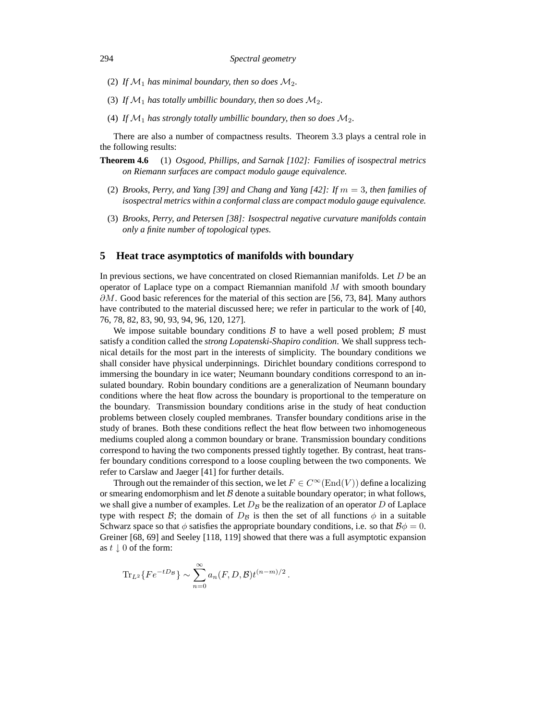- (2) If  $\mathcal{M}_1$  has minimal boundary, then so does  $\mathcal{M}_2$ .
- (3) If  $\mathcal{M}_1$  has totally umbillic boundary, then so does  $\mathcal{M}_2$ .
- (4) If  $\mathcal{M}_1$  has strongly totally umbillic boundary, then so does  $\mathcal{M}_2$ .

There are also a number of compactness results. Theorem 3.3 plays a central role in the following results:

- **Theorem 4.6** (1) *Osgood, Phillips, and Sarnak [102]: Families of isospectral metrics on Riemann surfaces are compact modulo gauge equivalence.*
	- (2) *Brooks, Perry, and Yang [39] and Chang and Yang [42]: If* m = 3*, then families of isospectral metrics within a conformal class are compact modulo gauge equivalence.*
	- (3) *Brooks, Perry, and Petersen [38]: Isospectral negative curvature manifolds contain only a finite number of topological types.*

#### **5 Heat trace asymptotics of manifolds with boundary**

In previous sections, we have concentrated on closed Riemannian manifolds. Let  $D$  be an operator of Laplace type on a compact Riemannian manifold  $M$  with smooth boundary  $\partial M$ . Good basic references for the material of this section are [56, 73, 84]. Many authors have contributed to the material discussed here; we refer in particular to the work of [40, 76, 78, 82, 83, 90, 93, 94, 96, 120, 127].

We impose suitable boundary conditions  $\beta$  to have a well posed problem;  $\beta$  must satisfy a condition called the *strong Lopatenski-Shapiro condition*. We shall suppress technical details for the most part in the interests of simplicity. The boundary conditions we shall consider have physical underpinnings. Dirichlet boundary conditions correspond to immersing the boundary in ice water; Neumann boundary conditions correspond to an insulated boundary. Robin boundary conditions are a generalization of Neumann boundary conditions where the heat flow across the boundary is proportional to the temperature on the boundary. Transmission boundary conditions arise in the study of heat conduction problems between closely coupled membranes. Transfer boundary conditions arise in the study of branes. Both these conditions reflect the heat flow between two inhomogeneous mediums coupled along a common boundary or brane. Transmission boundary conditions correspond to having the two components pressed tightly together. By contrast, heat transfer boundary conditions correspond to a loose coupling between the two components. We refer to Carslaw and Jaeger [41] for further details.

Through out the remainder of this section, we let  $F \in C^{\infty}(\text{End}(V))$  define a localizing or smearing endomorphism and let  $\beta$  denote a suitable boundary operator; in what follows, we shall give a number of examples. Let  $D_B$  be the realization of an operator D of Laplace type with respect B; the domain of  $D_B$  is then the set of all functions  $\phi$  in a suitable Schwarz space so that  $\phi$  satisfies the appropriate boundary conditions, i.e. so that  $\beta \phi = 0$ . Greiner [68, 69] and Seeley [118, 119] showed that there was a full asymptotic expansion as  $t \downarrow 0$  of the form:

$$
\mathrm{Tr}_{L^2}\{Fe^{-tD_B}\} \sim \sum_{n=0}^{\infty} a_n(F, D, \mathcal{B}) t^{(n-m)/2}.
$$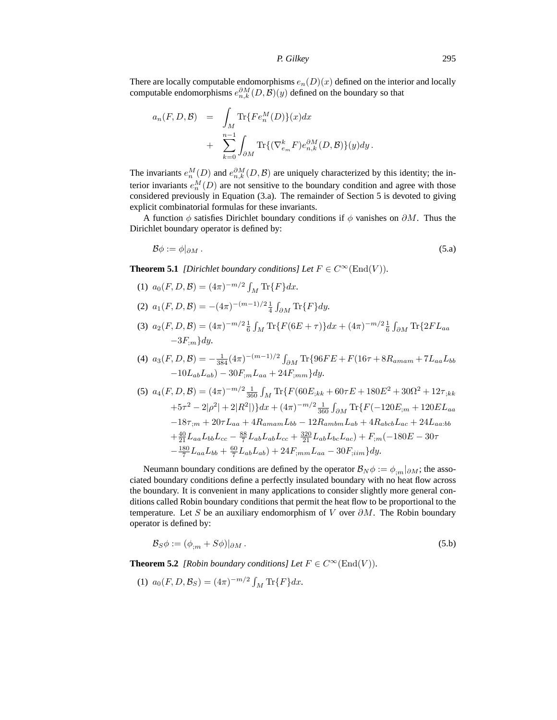There are locally computable endomorphisms  $e_n(D)(x)$  defined on the interior and locally computable endomorphisms  $e_{n,k}^{\partial M}(D,\mathcal{B})(y)$  defined on the boundary so that

$$
a_n(F, D, \mathcal{B}) = \int_M \text{Tr}\{Fe_n^M(D)\}(x) dx
$$
  
+ 
$$
\sum_{k=0}^{n-1} \int_{\partial M} \text{Tr}\{(\nabla_{e_m}^k F)e_{n,k}^{\partial M}(D, \mathcal{B})\}(y) dy.
$$

The invariants  $e_n^M(D)$  and  $e_{n,k}^{\partial M}(D,\mathcal{B})$  are uniquely characterized by this identity; the interior invariants  $e_n^M(D)$  are not sensitive to the boundary condition and agree with those considered previously in Equation (3.a). The remainder of Section 5 is devoted to giving explicit combinatorial formulas for these invariants.

A function  $\phi$  satisfies Dirichlet boundary conditions if  $\phi$  vanishes on  $\partial M$ . Thus the Dirichlet boundary operator is defined by:

$$
\mathcal{B}\phi := \phi|_{\partial M} \,. \tag{5.3}
$$

**Theorem 5.1** *[Dirichlet boundary conditions] Let*  $F \in C^{\infty}(\text{End}(V))$ *.* 

- (1)  $a_0(F, D, \mathcal{B}) = (4\pi)^{-m/2} \int_M \text{Tr}\{F\} dx.$
- (2)  $a_1(F, D, \mathcal{B}) = -(4\pi)^{-(m-1)/2} \frac{1}{4} \int_{\partial M} \text{Tr}\{F\} dy.$
- (3)  $a_2(F, D, \mathcal{B}) = (4\pi)^{-m/2} \frac{1}{6} \int_M \text{Tr}\{F(6E + \tau)\} dx + (4\pi)^{-m/2} \frac{1}{6} \int_{\partial M} \text{Tr}\{2FL_{aa}$  $-3F_{;m}$ *dy*.
- (4)  $a_3(F, D, B) = -\frac{1}{384}(4\pi)^{-(m-1)/2} \int_{\partial M} \text{Tr}\{96FE + F(16\tau + 8R_{amam} + 7L_{aa}L_{bb})\}$  $-10L_{ab}L_{ab}$ ) – 30 $F_{im}L_{aa}$  + 24 $F_{imm}$ }*dy*.

$$
(5) \ a_4(F, D, \mathcal{B}) = (4\pi)^{-m/2} \frac{1}{360} \int_M \text{Tr}\{F(60E_{;kk} + 60\tau E + 180E^2 + 30\Omega^2 + 12\tau_{;kk} + 5\tau^2 - 2|\rho^2| + 2|R^2|\})dx + (4\pi)^{-m/2} \frac{1}{360} \int_{\partial M} \text{Tr}\{F(-120E_{;m} + 120EL_{aa} - 18\tau_{;m} + 20\tau L_{aa} + 4R_{amam}L_{bb} - 12R_{ambm}L_{ab} + 4R_{abcb}L_{ac} + 24L_{aa:bb} + \frac{40}{21}L_{aa}L_{bb}L_{bc} - \frac{88}{7}L_{ab}L_{ab}L_{cc} + \frac{320}{21}L_{ab}L_{bc}L_{ac}\} + F_{;m}(-180E - 30\tau - \frac{180}{7}L_{aa}L_{bb} + \frac{60}{7}L_{ab}L_{ab}) + 24F_{;mm}L_{aa} - 30F_{;ium}\}dy.
$$

Neumann boundary conditions are defined by the operator  $\mathcal{B}_N \phi := \phi_{m} |_{\partial M}$ ; the associated boundary conditions define a perfectly insulated boundary with no heat flow across the boundary. It is convenient in many applications to consider slightly more general conditions called Robin boundary conditions that permit the heat flow to be proportional to the temperature. Let S be an auxiliary endomorphism of V over  $\partial M$ . The Robin boundary operator is defined by:

$$
\mathcal{B}_S \phi := (\phi_{;m} + S\phi)|_{\partial M} \,. \tag{5.b}
$$

**Theorem 5.2** *[Robin boundary conditions] Let*  $F \in C^{\infty}(\text{End}(V))$ *.* 

(1) 
$$
a_0(F, D, \mathcal{B}_S) = (4\pi)^{-m/2} \int_M \text{Tr}\{F\} dx.
$$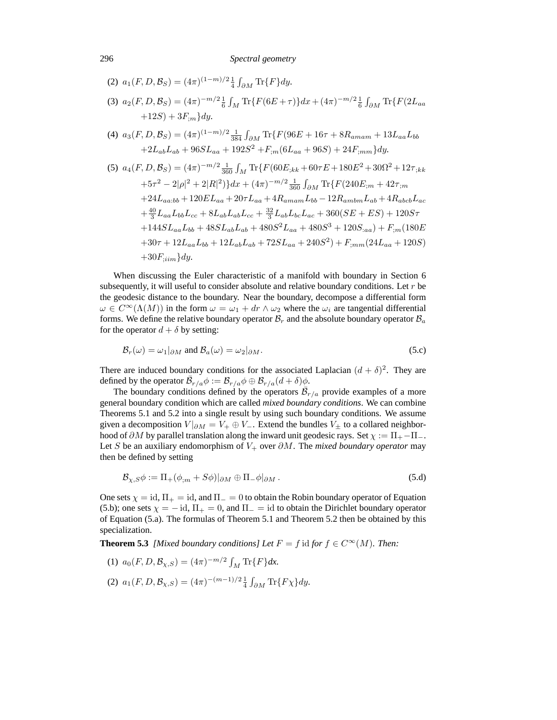296 *Spectral geometry*

(2) 
$$
a_1(F, D, B_S) = (4\pi)^{(1-m)/2} \frac{1}{4} \int_{\partial M} \text{Tr}\{F\} dy.
$$
  
\n(3)  $a_2(F, D, B_S) = (4\pi)^{-m/2} \frac{1}{6} \int_M \text{Tr}\{F(6E + \tau)\} dx + (4\pi)^{-m/2} \frac{1}{6} \int_{\partial M} \text{Tr}\{F(2L_{aa} +12S) + 3F_{;m}\} dy.$   
\n(4)  $a_3(F, D, B_S) = (4\pi)^{(1-m)/2} \frac{1}{384} \int_{\partial M} \text{Tr}\{F(96E + 16\tau + 8R_{amam} + 13L_{aa}L_{bb} + 2L_{ab}L_{ab} + 96SL_{aa} + 192S^2 + F_{;m}(6L_{aa} + 96S) + 24F_{;mm}\} dy.$   
\n(5)  $a_4(F, D, B_S) = (4\pi)^{-m/2} \frac{1}{360} \int_M \text{Tr}\{F(60E_{;kk} + 60\tau E + 180E^2 + 30\Omega^2 + 12\tau_{;kk} + 5\tau^2 - 2|\rho|^2 + 2|R|^2)\} dx + (4\pi)^{-m/2} \frac{1}{360} \int_{\partial M} \text{Tr}\{F(240E_{;m} + 42\tau_{;m} + 24L_{aa:bb} + 120EL_{aa} + 20\tau L_{aa} + 4R_{amam}L_{bb} - 12R_{ambm}L_{ab} + 4R_{abcb}L_{ac} + \frac{40}{3}L_{aa}L_{bb}L_{cc} + 8L_{ab}L_{ab}L_{cc} + \frac{32}{3}L_{ab}L_{bc}L_{ac} + 360(SE + ES) + 120S\tau + 144SL_{aa}L_{bb} + 48SL_{ab}L_{ab} + 480S^2L_{aa} + 480S^3 + 120S_{;aa}) + F_{;m}(180E + 30\tau + 12L_{aa}L_{bb} + 12L_{ab}L_{ab} + 72SL_{aa} + 240S^2) + F_{;mm}(24L_{aa} + 120S) + 30F_{;ijm}dy.$ 

When discussing the Euler characteristic of a manifold with boundary in Section 6 subsequently, it will useful to consider absolute and relative boundary conditions. Let  $r$  be the geodesic distance to the boundary. Near the boundary, decompose a differential form  $\omega \in C^{\infty}(\Lambda(M))$  in the form  $\omega = \omega_1 + dr \wedge \omega_2$  where the  $\omega_i$  are tangential differential forms. We define the relative boundary operator  $\mathcal{B}_r$  and the absolute boundary operator  $\mathcal{B}_a$ for the operator  $d + \delta$  by setting:

$$
\mathcal{B}_r(\omega) = \omega_1|_{\partial M} \text{ and } \mathcal{B}_a(\omega) = \omega_2|_{\partial M}.
$$
 (5.c)

There are induced boundary conditions for the associated Laplacian  $(d + \delta)^2$ . They are defined by the operator  $\overline{\mathcal{B}}_{r/a}\phi := \mathcal{B}_{r/a}\phi \oplus \mathcal{B}_{r/a}(d+\delta)\phi$ .

The boundary conditions defined by the operators  $\overline{\mathcal{B}}_{r/a}$  provide examples of a more general boundary condition which are called *mixed boundary conditions*. We can combine Theorems 5.1 and 5.2 into a single result by using such boundary conditions. We assume given a decomposition  $V|_{\partial M} = V_+ \oplus V_-$ . Extend the bundles  $V_+$  to a collared neighborhood of  $\partial M$  by parallel translation along the inward unit geodesic rays. Set  $\chi := \Pi_+ - \Pi_-$ . Let S be an auxiliary endomorphism of  $V_+$  over  $\partial M$ . The *mixed boundary operator* may then be defined by setting

$$
\mathcal{B}_{\chi,S}\phi := \Pi_+(\phi_{;m} + S\phi)|_{\partial M} \oplus \Pi_-\phi|_{\partial M}.
$$
\n(5.1)

One sets  $\chi = \text{id}$ ,  $\Pi_+ = \text{id}$ , and  $\Pi_- = 0$  to obtain the Robin boundary operator of Equation (5.b); one sets  $\chi = -id$ ,  $\Pi_+ = 0$ , and  $\Pi_- = id$  to obtain the Dirichlet boundary operator of Equation (5.a). The formulas of Theorem 5.1 and Theorem 5.2 then be obtained by this specialization.

**Theorem 5.3** *[Mixed boundary conditions] Let*  $F = f$  id *for*  $f \in C^{\infty}(M)$ *. Then:* 

- (1)  $a_0(F, D, \mathcal{B}_{\chi,S}) = (4\pi)^{-m/2} \int_M \text{Tr}\{F\} dx.$
- (2)  $a_1(F, D, \mathcal{B}_{\chi,S}) = (4\pi)^{-(m-1)/2} \frac{1}{4} \int_{\partial M} \text{Tr}\{F\chi\} dy.$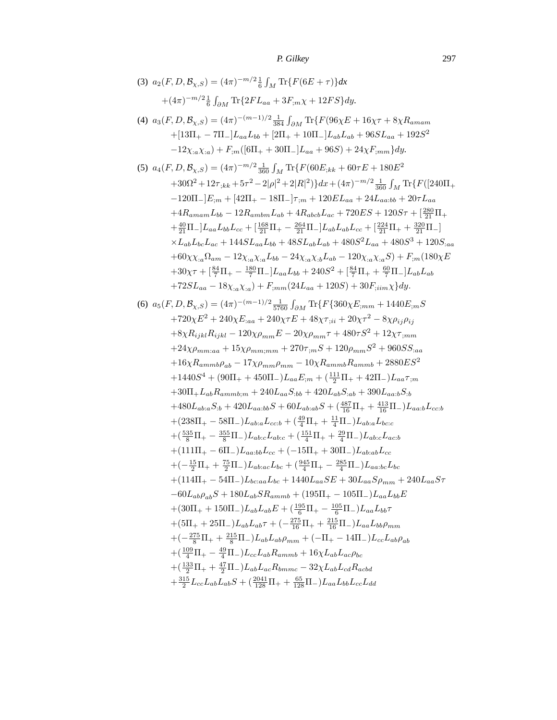(3) 
$$
a_2(F, D, B_{X,S}) = (4\pi)^{-m/2} \frac{1}{6} \int_M \text{Tr}\{F(6E + \tau)\} dx
$$
  
\n $+ (4\pi)^{-m/2} \frac{1}{6} \int_{\partial M} \text{Tr}\{2FL_{aa} + 3F_{;\text{m}} \chi + 12FS\} dy.$   
\n(4)  $a_3(F, D, B_{X,S}) = (4\pi)^{-(m-1)/2} \frac{1}{384} \int_{\partial M} \text{Tr}\{F(96\chi E + 16\chi \tau + 8\chi R_{amam} + 125\chi^2 \tau + 125\chi^2 \tau + 125\chi^2 \tau + 125\chi^2 \tau + 125\chi^2 \tau + 125\chi^2 \tau + 125\chi^2 \tau + 125\chi^2 \tau + 125\chi^2 \tau + 125\chi^2 \tau + 125\chi^2 \tau + 125\chi^2 \tau + 125\chi^2 \tau + 125\chi^2 \tau + 125\chi^2 \tau + 125\chi^2 \tau + 125\chi^2 \tau + 125\chi^2 \tau + 125\chi^2 \tau + 125\chi^2 \tau + 125\chi^2 \tau + 125\chi^2 \tau + 125\chi^2 \tau + 125\chi^2 \tau + 125\chi^2 \tau + 125\chi^2 \tau + 125\chi^2 \tau + 125\chi^2 \tau + 125\chi^2 \tau + 125\chi^2 \tau + 125\chi^2 \tau + 125\chi^2 \tau + 125\chi^2 \tau + 125\chi^2 \tau + 125\chi^2 \tau + 125\chi^2 \tau + 125\chi^2 \tau + 125\chi^2 \tau + 125\chi^2 \tau + 125\chi^2 \tau + 125\chi^2 \tau + 125\chi^2 \tau + 125\chi^2 \tau + 125\chi^2 \tau + 125\chi^2 \tau + 125\chi^2 \tau + 125\chi^2 \tau + 125\chi^2 \tau + 125\chi^2 \tau + 125\chi^2 \tau + 125\chi^2 \tau +$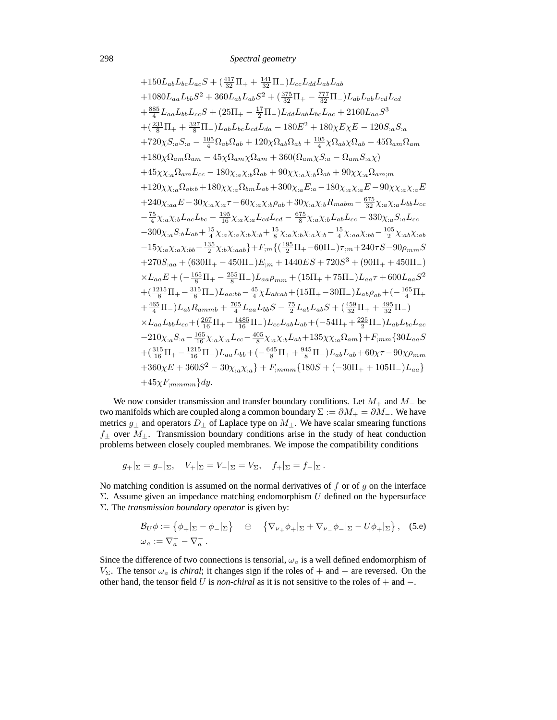+150L<sub>ab</sub>L<sub>bc</sub>L<sub>ac</sub>S + (
$$
\frac{417}{32}\Pi_{+} + \frac{141}{32}\Pi_{-})L_{cc}L_{dd}L_{ab}L_{ab}
$$
  
+1080L<sub>aa</sub>L<sub>bb</sub>S<sup>2</sup> + 360L<sub>ab</sub>L<sub>ab</sub>S<sup>2</sup> + ( $\frac{375}{32}\Pi_{+} - \frac{777}{32}\Pi_{-})L_{ab}L_{ab}L_{cd}L_{cd}$   
+ $\frac{885}{4}L_{aa}L_{bb}L_{cc}S + (25\Pi_{+} - \frac{17}{2}\Pi_{-})L_{dd}L_{ab}L_{bc}L_{ac} + 2160L_{aa}S^{3}$   
+( $\frac{231}{8}\Pi_{+} + \frac{327}{8}\Pi_{-})L_{ab}L_{bc}L_{cd}L_{da} - 180E^{2} + 180\chi E\chi E - 120S_{:a}S_{:a}$   
+720 $\chi S_{:a}S_{:a} - \frac{105}{4}\Omega_{ab}\Omega_{ab} + 120\chi\Omega_{ab}\Omega_{ab} + \frac{105}{4}\chi\Omega_{ab}\chi\Omega_{ab} - 45\Omega_{am}\Omega_{am}$   
+180 $\chi\Omega_{am}\Omega_{am} - 45\chi\Omega_{am}\chi\Omega_{am} + 360(\Omega_{am}\chi S_{:a} - \Omega_{am}S_{:a}\chi)$   
+45 $\chi\chi_{:a}\Omega_{am}L_{cc} - 180\chi_{:a}\chi_{:b}\Omega_{ab} + 90\chi\chi_{:a}\chi_{:b}\Omega_{ab} + 90\chi\chi_{:a}\Omega_{am;\pi}$   
+120 $\chi\chi_{:a}\Omega_{ab:b} + 180\chi\chi_{:a}\Omega_{bm}L_{ab} + 300\chi_{:a}\chi_{:a}\chi_{:b}L_{ab} + 90\chi\chi_{:a}\Omega_{am;\pi}$   
+120 $\chi_{:a}\Omega_{ab:b} + 180\chi\chi_{:a}\Omega_{bm}L_{ab} + 30\chi_{:a}\chi_{:a}\chi_{:b}L_{ab} + 90\chi\chi_{:a}\chi_{:a}L_{am}$   
+240 $\chi$ 

We now consider transmission and transfer boundary conditions. Let  $M_+$  and  $M_-$  be two manifolds which are coupled along a common boundary  $\Sigma := \partial M_+ = \partial M_-$ . We have metrics  $g_{\pm}$  and operators  $D_{\pm}$  of Laplace type on  $M_{\pm}$ . We have scalar smearing functions  $f_{\pm}$  over  $M_{\pm}$ . Transmission boundary conditions arise in the study of heat conduction problems between closely coupled membranes. We impose the compatibility conditions

$$
g_+|_{\Sigma} = g_-|_{\Sigma}, \quad V_+|_{\Sigma} = V_-|_{\Sigma} = V_{\Sigma}, \quad f_+|_{\Sigma} = f_-|_{\Sigma}.
$$

No matching condition is assumed on the normal derivatives of  $f$  or of  $g$  on the interface Σ. Assume given an impedance matching endomorphism U defined on the hypersurface Σ. The *transmission boundary operator* is given by:

$$
\mathcal{B}_{U}\phi := \left\{\phi_{+}|_{\Sigma} - \phi_{-}|_{\Sigma}\right\} \quad \oplus \quad \left\{\nabla_{\nu_{+}}\phi_{+}|_{\Sigma} + \nabla_{\nu_{-}}\phi_{-}|_{\Sigma} - U\phi_{+}|_{\Sigma}\right\}, \quad \text{(5.e)}
$$

$$
\omega_{a} := \nabla_{a}^{+} - \nabla_{a}^{-}.
$$

Since the difference of two connections is tensorial,  $\omega_a$  is a well defined endomorphism of  $V<sub>Σ</sub>$ . The tensor  $ω<sub>a</sub>$  is *chiral*; it changes sign if the roles of + and – are reversed. On the other hand, the tensor field U is *non-chiral* as it is not sensitive to the roles of + and −.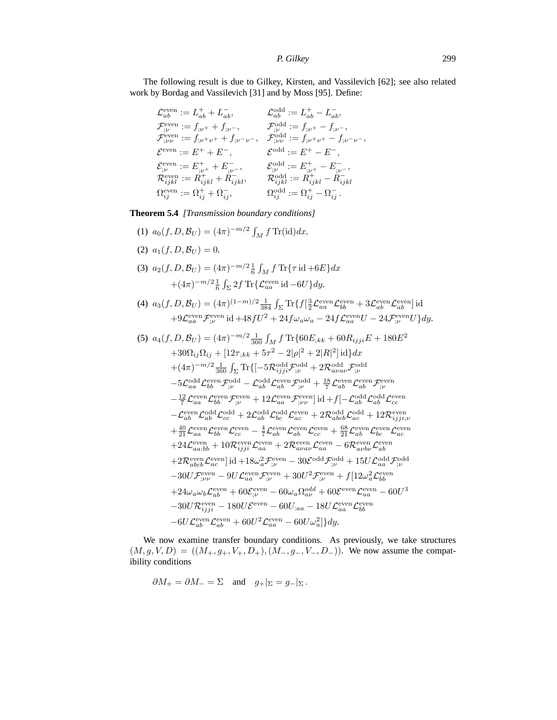The following result is due to Gilkey, Kirsten, and Vassilevich [62]; see also related work by Bordag and Vassilevich [31] and by Moss [95]. Define:

$$
\begin{array}{ll} \mathcal{L}_{ab}^{\text{even}} := L_{ab}^+ + L_{ab}^-, & \mathcal{L}_{ab}^{\text{odd}} := L_{ab}^+ - L_{ab}^-, \\ \mathcal{F}_{;\nu}^{\text{even}} := f_{;\nu^+} + f_{;\nu^-}, & \mathcal{F}_{;\nu}^{\text{odd}} := f_{;\nu^+} - f_{;\nu^-}, \\ \mathcal{F}_{;\nu\nu}^{\text{even}} := f_{;\nu^+\nu^+} + f_{;\nu^-\nu^-}, & \mathcal{F}_{;\nu\nu}^{\text{odd}} := f_{;\nu^+\nu^+} - f_{;\nu^-\nu^-}, \\ \mathcal{E}^{\text{even}} := E^+ + E^-, & \mathcal{E}^{\text{odd}} := E^+ - E^-, \\ \mathcal{E}_{;\nu}^{\text{even}} := E^+_{;\nu^+} + E^-_{;\nu^-}, & \mathcal{E}_{;\nu}^{\text{odd}} := E^+_{;\nu^+} - E^-_{;\nu^-}, \\ \mathcal{R}^{\text{even}}_{i\bar{j}kl} := R^+_{i\bar{j}kl} + R^-_{i\bar{j}kl}, & \mathcal{R}^{\text{odd}}_{i\bar{j}kl} := R^+_{i\bar{j}kl} - R^-_{i\bar{j}kl} \\ \Omega^{\text{even}}_{ij} := \Omega^+_{i\bar{j}} + \Omega^-_{i\bar{j}}, & \Omega^{\text{odd}}_{i\bar{j}} := \Omega^+_{i\bar{j}} - \Omega^-_{i\bar{j}}. \end{array}
$$

**Theorem 5.4** *[Transmission boundary conditions]*

- (1)  $a_0(f, D, \mathcal{B}_U) = (4\pi)^{-m/2} \int_M f \text{Tr}(\text{id}) dx.$ (2)  $a_1(f, D, \mathcal{B}_U) = 0.$ (3)  $a_2(f, D, \mathcal{B}_U) = (4\pi)^{-m/2} \frac{1}{6} \int_M f \, \text{Tr} \{ \tau \, \text{id} + 6E \} dx$  $+(4\pi)^{-m/2}\frac{1}{6}\int_{\Sigma}2f\,\text{Tr}\{\mathcal{L}_{aa}^{\text{even}}\,\text{id}-6U\}dy.$
- (4)  $a_3(f, D, \mathcal{B}_U) = (4\pi)^{(1-m)/2} \frac{1}{384} \int_{\Sigma} \text{Tr}\{f\left[\frac{3}{2}\mathcal{L}_{aa}^{\text{even}}\mathcal{L}_{bb}^{\text{even}} + 3\mathcal{L}_{ab}^{\text{even}}\mathcal{L}_{ab}^{\text{even}}\right] \text{id}$  $+9\mathcal{L}_{aa}^{\text{even}}\mathcal{F}_{;\nu}^{\text{even}}\text{ id}+48fU^2+24f\omega_a\omega_a-24f\mathcal{L}_{aa}^{\text{even}}U-24\mathcal{F}_{;\nu}^{\text{even}}U\}dy.$

(5) 
$$
a_4(f, D, \mathcal{B}_U) = (4\pi)^{-m/2} \frac{1}{360} \int_M f \text{Tr}\{60E_{;kk} + 60R_{ijji}E + 180E^2
$$

$$
+30\Omega_{ij}\Omega_{ij} + [12\tau_{;kk} + 5\tau^2 - 2|\rho|^2 + 2|R|^2] \text{ id} \} dx
$$

$$
+ (4\pi)^{-m/2} \frac{1}{360} \int_{\Sigma} \text{Tr}\{[-5\mathcal{R}_{ijji}^{\text{odd}}\mathcal{F}_{;\nu}^{\text{odd}} + 2\mathcal{R}_{abab}^{\text{odd}}\mathcal{F}_{;\nu}^{\text{odd}}
$$

$$
-5\mathcal{L}_{aa}^{\text{odd}}\mathcal{L}_{\text{b}}^{\text{even}}\mathcal{F}_{;\nu}^{\text{odd}} - \mathcal{L}_{ab}^{\text{odd}}\mathcal{L}_{\text{c}}^{\text{even}}\mathcal{F}_{;\nu}^{\text{odd}}
$$

$$
- \frac{12}{7}\mathcal{L}_{aa}^{\text{even}}\mathcal{L}_{bb}^{\text{even}}\mathcal{F}_{;\nu}^{\text{even}} + 12\mathcal{L}_{aa}^{\text{even}}\mathcal{F}_{;\nu}^{\text{even}}] \text{ id} + f[-\mathcal{L}_{ab}^{\text{odd}}\mathcal{L}_{ab}^{\text{odd}}\mathcal{L}_{\text{cc}}^{\text{even}}
$$

$$
-\mathcal{L}_{ab}^{\text{even}}\mathcal{L}_{ab}^{\text{odd}}\mathcal{L}_{\text{cc}}^{\text{even}} + 2\mathcal{L}_{ab}^{\text{even}}\mathcal{L}_{\text{ac}}^{\text{even}} + 2\mathcal{R}_{abbb}^{\text{odd}}\mathcal{L}_{\text{ac}}^{\text{odd}} + 12\mathcal{R}_{ijji}^{\text{even}}
$$

$$
+ \frac{40}{21}\mathcal{L}_{aa}^{\text{even}}\mathcal{L}_{\text{c}}^{\text{even}} - \frac{4}{7}\mathcal{L}_{\text{c}}^{\text{even}}\mathcal{L}_{\text{ac}}^{\text{even}} + 2\mathcal{R}_{abbb}^{\text{odd}}\mathcal{L}_{\text{ac}}^{\text{odd}} + 12\mathcal{R}_{ijji
$$

We now examine transfer boundary conditions. As previously, we take structures  $(M, g, V, D) = ((M_+, g_+, V_+, D_+), (M_-, g_-, V_-, D_-)).$  We now assume the compatibility conditions

$$
\partial M_+ = \partial M_- = \Sigma
$$
 and  $g_+|_{\Sigma} = g_-|_{\Sigma}$ .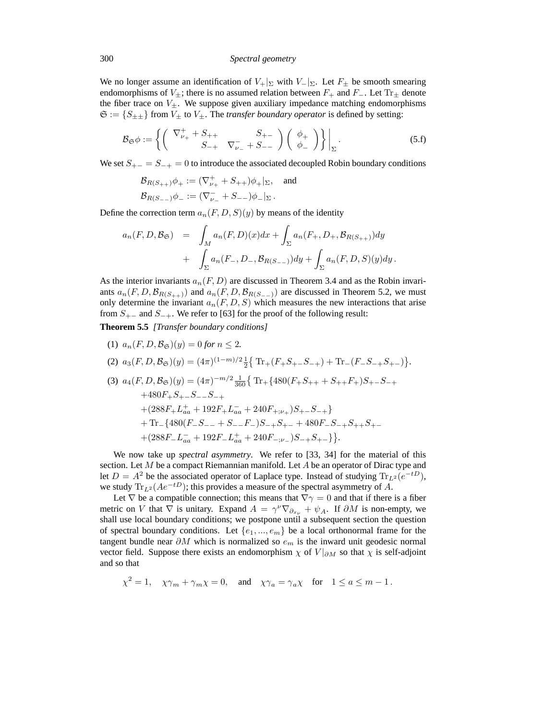We no longer assume an identification of  $V_+|_{\Sigma}$  with  $V_-|_{\Sigma}$ . Let  $F_{\pm}$  be smooth smearing endomorphisms of  $V_{\pm}$ ; there is no assumed relation between  $F_{+}$  and  $F_{-}$ . Let Tr<sub> $\pm$ </sub> denote the fiber trace on  $V_{\pm}$ . We suppose given auxiliary impedance matching endomorphisms  $\mathfrak{S} := \{ S_{\pm\pm} \}$  from  $V_{\pm}$  to  $V_{\pm}$ . The *transfer boundary operator* is defined by setting:

$$
\mathcal{B}_{\mathfrak{S}}\phi := \left\{ \left( \begin{array}{cc} \nabla_{\nu_{+}}^{+} + S_{++} & S_{+-} \\ S_{-+} & \nabla_{\nu_{-}}^{-} + S_{--} \end{array} \right) \left( \begin{array}{c} \phi_{+} \\ \phi_{-} \end{array} \right) \right\} \Big|_{\Sigma} .
$$
 (5. f)

We set  $S_{+-} = S_{-+} = 0$  to introduce the associated decoupled Robin boundary conditions

$$
\mathcal{B}_{R(S_{++})}\phi_+ := (\nabla_{\nu_+}^+ + S_{++})\phi_+|_{\Sigma}, \text{ and}
$$
  

$$
\mathcal{B}_{R(S_{--})}\phi_- := (\nabla_{\nu_-}^- + S_{--})\phi_-|_{\Sigma}.
$$

Define the correction term  $a_n(F, D, S)(y)$  by means of the identity

$$
a_n(F, D, \mathcal{B}_{\mathfrak{S}}) = \int_M a_n(F, D)(x) dx + \int_{\Sigma} a_n(F_+, D_+, \mathcal{B}_{R(S_{++})}) dy + \int_{\Sigma} a_n(F_-, D_-, \mathcal{B}_{R(S_{--})}) dy + \int_{\Sigma} a_n(F, D, S)(y) dy.
$$

As the interior invariants  $a_n(F, D)$  are discussed in Theorem 3.4 and as the Robin invariants  $a_n(F, D, \mathcal{B}_{R(S_{++})})$  and  $a_n(F, D, \mathcal{B}_{R(S_{--})})$  are discussed in Theorem 5.2, we must only determine the invariant  $a_n(F, D, S)$  which measures the new interactions that arise from  $S_{+-}$  and  $S_{-+}$ . We refer to [63] for the proof of the following result:

**Theorem 5.5** *[Transfer boundary conditions]*

(1)  $a_n(F, D, \mathcal{B}_{\mathfrak{S}})(y) = 0$  *for*  $n \leq 2$ *.* (2)  $a_3(F, D, \mathcal{B}_{\mathfrak{S}})(y) = (4\pi)^{(1-m)/2} \frac{1}{2} \{ \text{Tr}_+(F_+S_{+-}S_{-+}) + \text{Tr}_-(F_-S_{-+}S_{+-}) \}.$ (3)  $a_4(F, D, \mathcal{B}_{\mathfrak{S}})(y) = (4\pi)^{-m/2} \frac{1}{360} \{ \text{Tr}_+ \{ 480(F_+S_{++} + S_{++}F_+)S_{+-}S_{-+} \}$  $+480F_{+}S_{+-}S_{--}S_{-+}$  $+(288F_+L_{aa}^+ + 192F_+L_{aa}^- + 240F_{+;\nu_+})S_{+-}S_{-+}\}$  $+$  Tr<sub>−</sub>{480(*F*<sub>−</sub>*S*<sub>−−</sub> + *S*<sub>−−</sub>*F*<sub>−</sub>)*S*<sub>−+</sub>*S*<sub>+−</sub> + 480*F*<sub>−</sub>*S*<sub>−+</sub>*S*<sub>++</sub>*S*<sub>+</sub>−  $+(288F_{-}L_{aa}^{-}+192F_{-}L_{aa}^{+}+240F_{-;\nu_{-}})S_{-+}S_{+-}\}$ .

We now take up *spectral asymmetry*. We refer to [33, 34] for the material of this section. Let  $M$  be a compact Riemannian manifold. Let  $A$  be an operator of Dirac type and let  $D = A^2$  be the associated operator of Laplace type. Instead of studying  $\text{Tr}_{L^2}(e^{-tD})$ , we study  $\text{Tr}_{L^2}(Ae^{-tD})$ ; this provides a measure of the spectral asymmetry of A.

Let  $\nabla$  be a compatible connection; this means that  $\nabla \gamma = 0$  and that if there is a fiber metric on V that  $\nabla$  is unitary. Expand  $A = \gamma^{\nu} \nabla_{\partial_{x_{\nu}}} + \psi_A$ . If  $\partial M$  is non-empty, we shall use local boundary conditions; we postpone until a subsequent section the question of spectral boundary conditions. Let  $\{e_1, ..., e_m\}$  be a local orthonormal frame for the tangent bundle near  $\partial M$  which is normalized so  $e_m$  is the inward unit geodesic normal vector field. Suppose there exists an endomorphism  $\chi$  of  $V|_{\partial M}$  so that  $\chi$  is self-adjoint and so that

$$
\chi^2 = 1
$$
,  $\chi \gamma_m + \gamma_m \chi = 0$ , and  $\chi \gamma_a = \gamma_a \chi$  for  $1 \le a \le m - 1$ .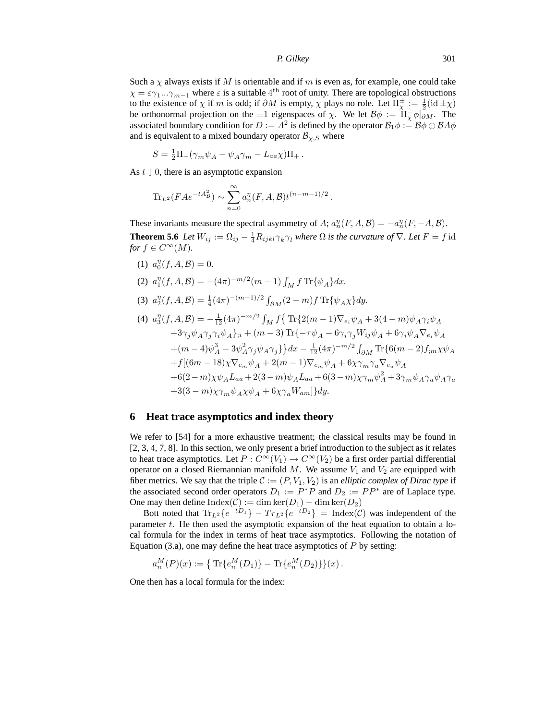Such a  $\chi$  always exists if M is orientable and if m is even as, for example, one could take  $\chi = \varepsilon \gamma_1 ... \gamma_{m-1}$  where  $\varepsilon$  is a suitable 4<sup>th</sup> root of unity. There are topological obstructions to the existence of  $\chi$  if m is odd; if  $\partial M$  is empty,  $\chi$  plays no role. Let  $\Pi^{\pm}_{\chi} := \frac{1}{2}(\mathrm{id} \pm \chi)$ be orthonormal projection on the  $\pm 1$  eigenspaces of  $\chi$ . We let  $\mathcal{B}\phi := \Pi_{\chi}^{-}\phi|_{\partial M}$ . The associated boundary condition for  $D := A^2$  is defined by the operator  $\mathcal{B}_1 \phi := \mathcal{B} \phi \oplus \mathcal{B} A \phi$ and is equivalent to a mixed boundary operator  $\mathcal{B}_{\chi,S}$  where

$$
S = \frac{1}{2}\Pi_{+}(\gamma_m \psi_A - \psi_A \gamma_m - L_{aa}\chi)\Pi_{+}.
$$

As  $t \downarrow 0$ , there is an asymptotic expansion

$$
\mathrm{Tr}_{L^2}(FAe^{-tA_B^2}) \sim \sum_{n=0}^{\infty} a_n^{\eta}(F, A, B)t^{(n-m-1)/2}.
$$

These invariants measure the spectral asymmetry of A;  $a_n^{\eta}(F, A, \mathcal{B}) = -a_n^{\eta}(F, -A, \mathcal{B})$ . **Theorem 5.6** *Let*  $W_{ij} := \Omega_{ij} - \frac{1}{4}R_{ijkl}\gamma_k\gamma_l$  *where*  $\Omega$  *is the curvature of*  $\nabla$ *. Let*  $F = f$  id *for*  $f \in C^{\infty}(M)$ *.* 

- (1)  $a_0^{\eta}(f, A, \mathcal{B}) = 0.$ (2)  $a_1^{\eta}(f, A, B) = -(4\pi)^{-m/2}(m-1) \int_M f \text{Tr}\{\psi_A\} dx.$
- (3)  $a_2^{\eta}(f, A, B) = \frac{1}{4}(4\pi)^{-(m-1)/2} \int_{\partial M} (2 m) f \operatorname{Tr} {\{\psi_A \chi\} dy}.$

(4) 
$$
a_3^{\eta}(f, A, B) = -\frac{1}{12}(4\pi)^{-m/2} \int_M f \{ \text{Tr}\{2(m-1)\nabla_{e_i}\psi_A + 3(4-m)\psi_A\gamma_i\psi_A + 3\gamma_j\psi_A\gamma_j\gamma_i\psi_A\}; \mu(m-3) \text{Tr}\{-\tau\psi_A - 6\gamma_i\gamma_jW_{ij}\psi_A + 6\gamma_i\psi_A\nabla_{e_i}\psi_A + (m-4)\psi_A^3 - 3\psi_A^2\gamma_j\psi_A\gamma_j\} dx - \frac{1}{12}(4\pi)^{-m/2} \int_{\partial M} \text{Tr}\{6(m-2)f_{;m}\chi\psi_A + f[(6m-18)\chi\nabla_{e_m}\psi_A + 2(m-1)\nabla_{e_m}\psi_A + 6\chi\gamma_m\gamma_a\nabla_{e_a}\psi_A + 6(2-m)\chi\psi_AL_{aa} + 2(3-m)\psi_AL_{aa} + 6(3-m)\chi\gamma_m\psi_A^2 + 3\gamma_m\psi_A\gamma_a\psi_A\gamma_a + 3(3-m)\chi\gamma_m\psi_A\chi\psi_A + 6\chi\gamma_aW_{am}]\} dy.
$$

#### **6 Heat trace asymptotics and index theory**

We refer to [54] for a more exhaustive treatment; the classical results may be found in [2, 3, 4, 7, 8]. In this section, we only present a brief introduction to the subject as it relates to heat trace asymptotics. Let  $P: C^{\infty}(V_1) \to C^{\infty}(V_2)$  be a first order partial differential operator on a closed Riemannian manifold M. We assume  $V_1$  and  $V_2$  are equipped with fiber metrics. We say that the triple  $C := (P, V_1, V_2)$  is an *elliptic complex of Dirac type* if the associated second order operators  $D_1 := P^*P$  and  $D_2 := PP^*$  are of Laplace type. One may then define  $\text{Index}(\mathcal{C}) := \dim \ker(D_1) - \dim \ker(D_2)$ 

Bott noted that  $\text{Tr}_{L^2}\{e^{-tD_1}\} - Tr_{L^2}\{e^{-tD_2}\} = \text{Index}(\mathcal{C})$  was independent of the parameter  $t$ . He then used the asymptotic expansion of the heat equation to obtain a local formula for the index in terms of heat trace asymptotics. Following the notation of Equation (3.a), one may define the heat trace asymptotics of  $P$  by setting:

$$
a_n^M(P)(x) := \{ \text{Tr}\{e_n^M(D_1)\} - \text{Tr}\{e_n^M(D_2)\}\}(x).
$$

One then has a local formula for the index: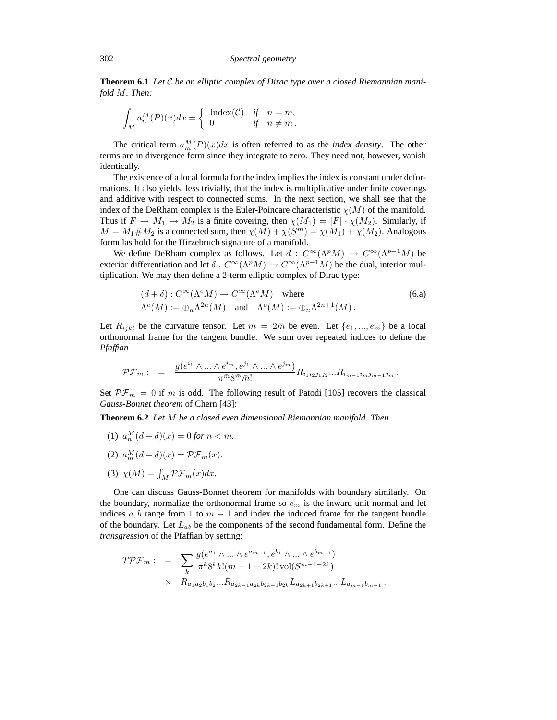**Theorem 6.1** *Let* C *be an elliptic complex of Dirac type over a closed Riemannian manifold* M*. Then:*

$$
\int_M a_n^M(P)(x)dx = \begin{cases} \text{Index}(\mathcal{C}) & \text{if } n = m, \\ 0 & \text{if } n \neq m. \end{cases}
$$

The critical term  $a_m^M(P)(x)dx$  is often referred to as the *index density*. The other terms are in divergence form since they integrate to zero. They need not, however, vanish identically.

The existence of a local formula for the index implies the index is constant under deformations. It also yields, less trivially, that the index is multiplicative under finite coverings and additive with respect to connected sums. In the next section, we shall see that the index of the DeRham complex is the Euler-Poincare characteristic  $\chi(M)$  of the manifold. Thus if  $F \to M_1 \to M_2$  is a finite covering, then  $\chi(M_1) = |F| \cdot \chi(M_2)$ . Similarly, if  $M = M_1 \# M_2$  is a connected sum, then  $\chi(M) + \chi(S^m) = \chi(M_1) + \chi(M_2)$ . Analogous formulas hold for the Hirzebruch signature of a manifold.

We define DeRham complex as follows. Let  $d: C^{\infty}(\Lambda^p M) \to C^{\infty}(\Lambda^{p+1} M)$  be exterior differentiation and let  $\delta: C^{\infty}(\Lambda^pM) \to C^{\infty}(\Lambda^{p-1}M)$  be the dual, interior multiplication. We may then define a 2-term elliptic complex of Dirac type:

$$
(d + \delta) : C^{\infty}(\Lambda^e M) \to C^{\infty}(\Lambda^o M) \quad \text{where}
$$
  

$$
\Lambda^e(M) := \bigoplus_n \Lambda^{2n}(M) \quad \text{and} \quad \Lambda^o(M) := \bigoplus_n \Lambda^{2n+1}(M).
$$
 (6.3)

Let  $R_{ijkl}$  be the curvature tensor. Let  $m = 2\bar{m}$  be even. Let  $\{e_1, ..., e_m\}$  be a local orthonormal frame for the tangent bundle. We sum over repeated indices to define the *Pfaffian*

$$
\mathcal{PF}_m: = \frac{g(e^{i_1} \wedge \ldots \wedge e^{i_m}, e^{j_1} \wedge \ldots \wedge e^{j_m})}{\pi^{\bar{m}} 8^{\bar{m}} \bar{m}!} R_{i_1 i_2 j_1 j_2} \ldots R_{i_{m-1} i_m j_{m-1} j_m}.
$$

Set  $\mathcal{PF}_m = 0$  if m is odd. The following result of Patodi [105] recovers the classical *Gauss-Bonnet theorem* of Chern [43]:

**Theorem 6.2** *Let* M *be a closed even dimensional Riemannian manifold. Then*

- (1)  $a_n^M(d+\delta)(x) = 0$  for  $n < m$ .
- (2)  $a_m^M(d+\delta)(x) = \mathcal{PF}_m(x)$ .
- (3)  $\chi(M) = \int_M \mathcal{PF}_m(x) dx$ .

One can discuss Gauss-Bonnet theorem for manifolds with boundary similarly. On the boundary, normalize the orthonormal frame so  $e_m$  is the inward unit normal and let indices  $a, b$  range from 1 to  $m - 1$  and index the induced frame for the tangent bundle of the boundary. Let  $L_{ab}$  be the components of the second fundamental form. Define the *transgression* of the Pfaffian by setting:

$$
T\mathcal{P}\mathcal{F}_m: = \sum_k \frac{g(e^{a_1} \wedge \ldots \wedge e^{a_{m-1}}, e^{b_1} \wedge \ldots \wedge e^{b_{m-1}})}{\pi^k 8^k k! (m-1-2k)! \operatorname{vol}(S^{m-1-2k})}
$$
  
  $\times R_{a_1 a_2 b_1 b_2 \ldots R_{a_{2k-1} a_{2k} b_{2k-1} b_{2k}} L_{a_{2k+1} b_{2k+1} \ldots L_{a_{m-1} b_{m-1}}}.$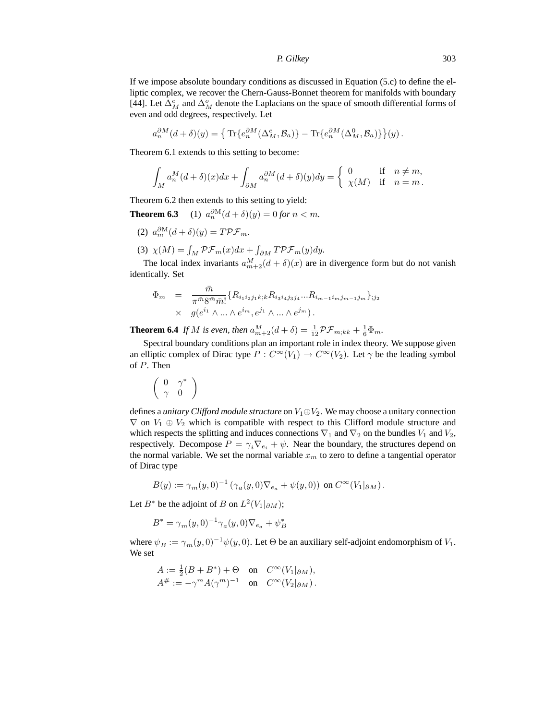If we impose absolute boundary conditions as discussed in Equation (5.c) to define the elliptic complex, we recover the Chern-Gauss-Bonnet theorem for manifolds with boundary [44]. Let  $\Delta_M^e$  and  $\Delta_M^o$  denote the Laplacians on the space of smooth differential forms of even and odd degrees, respectively. Let

$$
a_n^{\partial M}(d+\delta)(y) = \left\{ \text{Tr}\{e_n^{\partial M}(\Delta_M^e, \mathcal{B}_a)\} - \text{Tr}\{e_n^{\partial M}(\Delta_M^0, \mathcal{B}_a)\} \right\}(y).
$$

Theorem 6.1 extends to this setting to become:

$$
\int_M a_n^M (d+\delta)(x) dx + \int_{\partial M} a_n^{\partial M} (d+\delta)(y) dy = \begin{cases} 0 & \text{if } n \neq m, \\ \chi(M) & \text{if } n = m. \end{cases}
$$

Theorem 6.2 then extends to this setting to yield:

**Theorem 6.3** (1)  $a_n^{\partial M} (d + \delta)(y) = 0$  *for*  $n < m$ *.* 

- (2)  $a_m^{\partial M}(d+\delta)(y) = T\mathcal{PF}_m$ .
- (3)  $\chi(M) = \int_M \mathcal{PF}_m(x) dx + \int_{\partial M} T \mathcal{PF}_m(y) dy.$

The local index invariants  $a_{m+2}^M(d+\delta)(x)$  are in divergence form but do not vanish identically. Set

$$
\Phi_m = \frac{\bar{m}}{\pi^{\bar{m}} 8^{\bar{m}} \bar{m}!} \{R_{i_1 i_2 j_1 k; k} R_{i_3 i_4 j_3 j_4} ... R_{i_{m-1} i_m j_{m-1} j_m}\}_{;j_2} \times g(e^{i_1} \wedge ... \wedge e^{i_m}, e^{j_1} \wedge ... \wedge e^{j_m}).
$$

**Theorem 6.4** *If M is even, then*  $a_{m+2}^M(d+\delta) = \frac{1}{12} \mathcal{PF}_{m,kk} + \frac{1}{6} \Phi_m$ .

Spectral boundary conditions plan an important role in index theory. We suppose given an elliptic complex of Dirac type  $P: C^{\infty}(V_1) \to C^{\infty}(V_2)$ . Let  $\gamma$  be the leading symbol of P. Then

$$
\left(\begin{array}{cc} 0 & \gamma^* \\ \gamma & 0 \end{array}\right)
$$

defines a *unitary Clifford module structure* on  $V_1 \oplus V_2$ . We may choose a unitary connection  $\nabla$  on  $V_1 \oplus V_2$  which is compatible with respect to this Clifford module structure and which respects the splitting and induces connections  $\nabla_1$  and  $\nabla_2$  on the bundles  $V_1$  and  $V_2$ , respectively. Decompose  $P = \gamma_i \nabla_{e_i} + \psi$ . Near the boundary, the structures depend on the normal variable. We set the normal variable  $x<sub>m</sub>$  to zero to define a tangential operator of Dirac type

$$
B(y) := \gamma_m(y,0)^{-1} \left( \gamma_a(y,0) \nabla_{e_a} + \psi(y,0) \right) \text{ on } C^{\infty}(V_1|_{\partial M}).
$$

Let  $B^*$  be the adjoint of B on  $L^2(V_1|_{\partial M});$ 

$$
B^* = \gamma_m(y, 0)^{-1} \gamma_a(y, 0) \nabla_{e_a} + \psi_B^*
$$

where  $\psi_B := \gamma_m(y, 0)^{-1} \psi(y, 0)$ . Let  $\Theta$  be an auxiliary self-adjoint endomorphism of  $V_1$ . We set

$$
A := \frac{1}{2}(B + B^*) + \Theta \quad \text{on} \quad C^{\infty}(V_1|_{\partial M}),
$$
  

$$
A^{\#} := -\gamma^m A(\gamma^m)^{-1} \quad \text{on} \quad C^{\infty}(V_2|_{\partial M}).
$$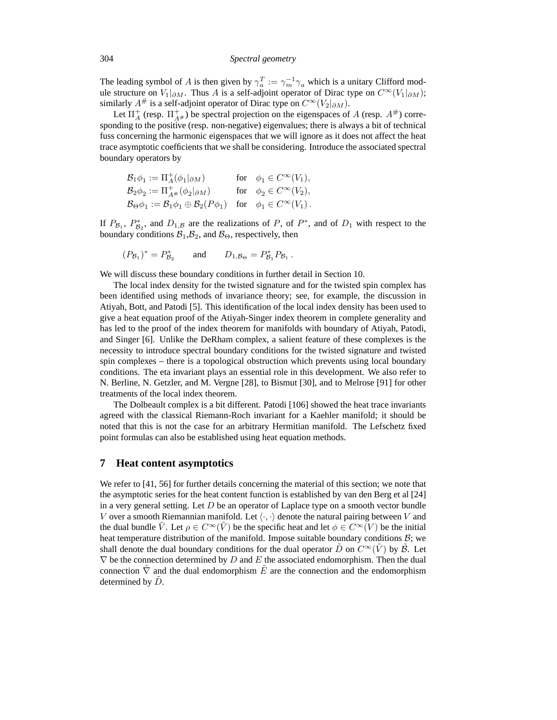The leading symbol of A is then given by  $\gamma_a^T := \gamma_m^{-1} \gamma_a$  which is a unitary Clifford module structure on  $V_1|_{\partial M}$ . Thus A is a self-adjoint operator of Dirac type on  $C^{\infty}(V_1|_{\partial M})$ ; similarly  $A^{\#}$  is a self-adjoint operator of Dirac type on  $C^{\infty}(V_2|_{\partial M})$ .

Let  $\Pi_A^+$  (resp.  $\Pi_{A^{\#}}^+$ ) be spectral projection on the eigenspaces of A (resp.  $A^{\#}$ ) corresponding to the positive (resp. non-negative) eigenvalues; there is always a bit of technical fuss concerning the harmonic eigenspaces that we will ignore as it does not affect the heat trace asymptotic coefficients that we shall be considering. Introduce the associated spectral boundary operators by

$$
\begin{aligned}\n\mathcal{B}_1 \phi_1 &:= \Pi_A^+(\phi_1|_{\partial M}) & \text{for} \quad \phi_1 \in C^\infty(V_1), \\
\mathcal{B}_2 \phi_2 &:= \Pi_{A^\#}^+(\phi_2|_{\partial M}) & \text{for} \quad \phi_2 \in C^\infty(V_2), \\
\mathcal{B}_\Theta \phi_1 &:= \mathcal{B}_1 \phi_1 \oplus \mathcal{B}_2(P\phi_1) & \text{for} \quad \phi_1 \in C^\infty(V_1).\n\end{aligned}
$$

If  $P_{\mathcal{B}_1}$ ,  $P_{\mathcal{B}_2}^*$ , and  $D_{1,\mathcal{B}}$  are the realizations of P, of  $P^*$ , and of  $D_1$  with respect to the boundary conditions  $\mathcal{B}_1, \mathcal{B}_2$ , and  $\mathcal{B}_{\Theta}$ , respectively, then

$$
(P_{\mathcal{B}_1})^* = P_{\mathcal{B}_2}^*
$$
 and  $D_{1,\mathcal{B}_{\Theta}} = P_{\mathcal{B}_1}^* P_{\mathcal{B}_1}$ .

We will discuss these boundary conditions in further detail in Section 10.

The local index density for the twisted signature and for the twisted spin complex has been identified using methods of invariance theory; see, for example, the discussion in Atiyah, Bott, and Patodi [5]. This identification of the local index density has been used to give a heat equation proof of the Atiyah-Singer index theorem in complete generality and has led to the proof of the index theorem for manifolds with boundary of Atiyah, Patodi, and Singer [6]. Unlike the DeRham complex, a salient feature of these complexes is the necessity to introduce spectral boundary conditions for the twisted signature and twisted spin complexes – there is a topological obstruction which prevents using local boundary conditions. The eta invariant plays an essential role in this development. We also refer to N. Berline, N. Getzler, and M. Vergne [28], to Bismut [30], and to Melrose [91] for other treatments of the local index theorem.

The Dolbeault complex is a bit different. Patodi [106] showed the heat trace invariants agreed with the classical Riemann-Roch invariant for a Kaehler manifold; it should be noted that this is not the case for an arbitrary Hermitian manifold. The Lefschetz fixed point formulas can also be established using heat equation methods.

#### **7 Heat content asymptotics**

We refer to [41, 56] for further details concerning the material of this section; we note that the asymptotic series for the heat content function is established by van den Berg et al [24] in a very general setting. Let  $D$  be an operator of Laplace type on a smooth vector bundle V over a smooth Riemannian manifold. Let  $\langle \cdot, \cdot \rangle$  denote the natural pairing between V and the dual bundle  $\tilde{V}$ . Let  $\rho \in C^{\infty}(\tilde{V})$  be the specific heat and let  $\phi \in C^{\infty}(V)$  be the initial heat temperature distribution of the manifold. Impose suitable boundary conditions  $B$ ; we shall denote the dual boundary conditions for the dual operator  $\tilde{D}$  on  $C^{\infty}(\tilde{V})$  by  $\tilde{B}$ . Let  $\nabla$  be the connection determined by  $D$  and  $E$  the associated endomorphism. Then the dual connection  $\nabla$  and the dual endomorphism E are the connection and the endomorphism determined by  $D$ .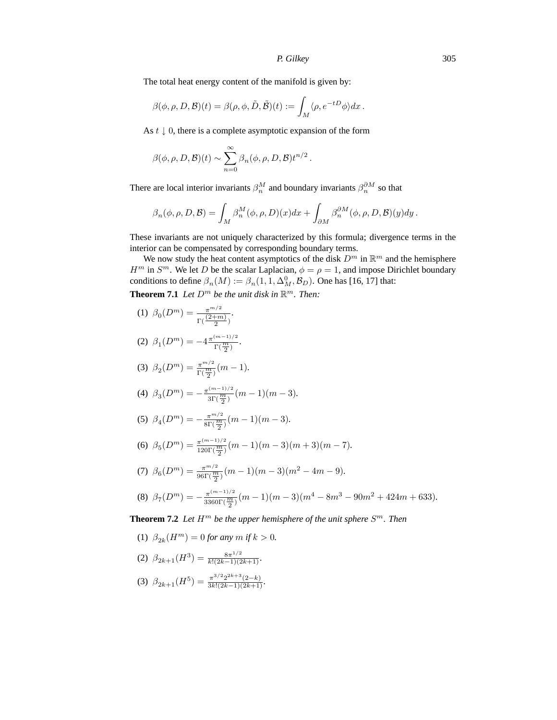The total heat energy content of the manifold is given by:

$$
\beta(\phi,\rho,D,\mathcal{B})(t) = \beta(\rho,\phi,\tilde{D},\tilde{\mathcal{B}})(t) := \int_M \langle \rho, e^{-tD}\phi \rangle dx.
$$

As  $t \downarrow 0$ , there is a complete asymptotic expansion of the form

$$
\beta(\phi,\rho,D,\mathcal{B})(t) \sim \sum_{n=0}^{\infty} \beta_n(\phi,\rho,D,\mathcal{B}) t^{n/2}.
$$

There are local interior invariants  $\beta_n^M$  and boundary invariants  $\beta_n^{\partial M}$  so that

$$
\beta_n(\phi,\rho,D,\mathcal{B})=\int_M\beta_n^M(\phi,\rho,D)(x)dx+\int_{\partial M}\beta_n^{\partial M}(\phi,\rho,D,\mathcal{B})(y)dy\,.
$$

These invariants are not uniquely characterized by this formula; divergence terms in the interior can be compensated by corresponding boundary terms.

We now study the heat content asymptotics of the disk  $D^m$  in  $\mathbb{R}^m$  and the hemisphere  $H^m$  in  $S^m$ . We let D be the scalar Laplacian,  $\phi = \rho = 1$ , and impose Dirichlet boundary conditions to define  $\beta_n(M) := \beta_n(1, 1, \Delta_M^0, \mathcal{B}_D)$ . One has [16, 17] that:

**Theorem 7.1** Let  $D^m$  be the unit disk in  $\mathbb{R}^m$ . Then:

(1) 
$$
\beta_0(D^m) = \frac{\pi^{m/2}}{\Gamma(\frac{(2+m)}{2})}
$$
.

(2) 
$$
\beta_1(D^m) = -4 \frac{\pi^{(m-1)/2}}{\Gamma(\frac{m}{2})}
$$
.

(3) 
$$
\beta_2(D^m) = \frac{\pi^{m/2}}{\Gamma(\frac{m}{2})}(m-1).
$$

(4) 
$$
\beta_3(D^m) = -\frac{\pi^{(m-1)/2}}{3\Gamma(\frac{m}{2})}(m-1)(m-3).
$$

(5) 
$$
\beta_4(D^m) = -\frac{\pi^{m/2}}{8\Gamma(\frac{m}{2})}(m-1)(m-3).
$$

(6) 
$$
\beta_5(D^m) = \frac{\pi^{(m-1)/2}}{120\Gamma(\frac{m}{2})}(m-1)(m-3)(m+3)(m-7).
$$

(7) 
$$
\beta_6(D^m) = \frac{\pi^{m/2}}{96\Gamma(\frac{m}{2})}(m-1)(m-3)(m^2-4m-9).
$$

(8) 
$$
\beta_7(D^m) = -\frac{\pi^{(m-1)/2}}{3360 \Gamma(\frac{m}{2})} (m-1)(m-3)(m^4 - 8m^3 - 90m^2 + 424m + 633).
$$

**Theorem 7.2** Let  $H^m$  be the upper hemisphere of the unit sphere  $S^m$ . Then

(1)  $\beta_{2k}(H^m) = 0$  *for any*  $m$  *if*  $k > 0$ *.* 

(2) 
$$
\beta_{2k+1}(H^3) = \frac{8\pi^{1/2}}{k!(2k-1)(2k+1)}.
$$

(3) 
$$
\beta_{2k+1}(H^5) = \frac{\pi^{3/2} 2^{2k+3} (2-k)}{3k! (2k-1)(2k+1)}.
$$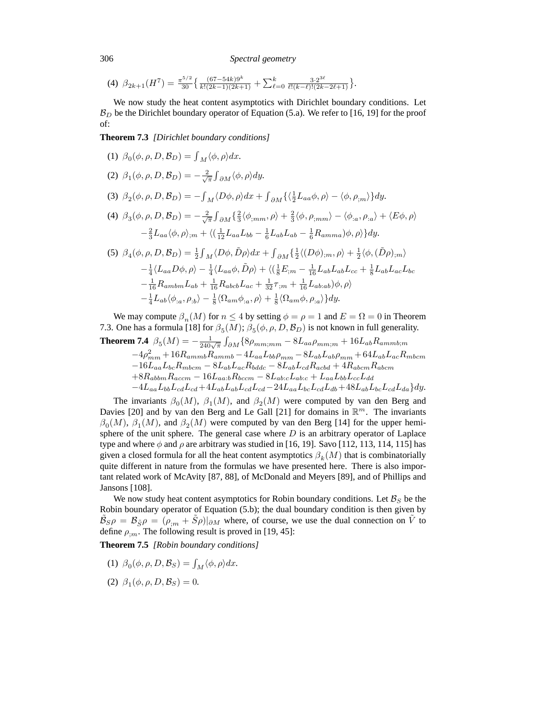306 *Spectral geometry*

(4) 
$$
\beta_{2k+1}(H^7) = \frac{\pi^{5/2}}{30} \left\{ \frac{(67-54k)9^k}{k!(2k-1)(2k+1)} + \sum_{\ell=0}^k \frac{3 \cdot 2^{3\ell}}{\ell!(k-\ell)!(2k-2\ell+1)} \right\}.
$$

We now study the heat content asymptotics with Dirichlet boundary conditions. Let  $B_D$  be the Dirichlet boundary operator of Equation (5.a). We refer to [16, 19] for the proof of:

**Theorem 7.3** *[Dirichlet boundary conditions]*

(1) 
$$
\beta_0(\phi, \rho, D, \mathcal{B}_D) = \int_M \langle \phi, \rho \rangle dx
$$
.  
\n(2)  $\beta_1(\phi, \rho, D, \mathcal{B}_D) = -\frac{2}{\sqrt{\pi}} \int_{\partial M} \langle \phi, \rho \rangle dy$ .  
\n(3)  $\beta_2(\phi, \rho, D, \mathcal{B}_D) = -\int_M \langle D\phi, \rho \rangle dx + \int_{\partial M} \{\langle \frac{1}{2} L_{aa} \phi, \rho \rangle - \langle \phi, \rho_{,m} \rangle \} dy$ .  
\n(4)  $\beta_3(\phi, \rho, D, \mathcal{B}_D) = -\frac{2}{\sqrt{\pi}} \int_{\partial M} \{\frac{2}{3} \langle \phi_{,mm}, \rho \rangle + \frac{2}{3} \langle \phi, \rho_{,mm} \rangle - \langle \phi_{,a}, \rho_{,a} \rangle + \langle E\phi, \rho \rangle -\frac{2}{3} L_{aa} \langle \phi, \rho \rangle_{,m} + \langle (\frac{1}{12} L_{aa} L_{bb} - \frac{1}{6} L_{ab} L_{ab} - \frac{1}{6} R_{\alpha m m a}) \phi, \rho \rangle \} dy.$   
\n(5)  $\beta_4(\phi, \rho, D, \mathcal{B}_D) = \frac{1}{2} \int_M \langle D\phi, \tilde{D}\rho \rangle dx + \int_{\partial M} \{\frac{1}{2} \langle (D\phi)_{,m}, \rho \rangle + \frac{1}{2} \langle \phi, (\tilde{D}\rho)_{,m} \rangle -\frac{1}{4} \langle L_{aa} D\phi, \rho \rangle - \frac{1}{4} \langle L_{aa} \phi, \tilde{D}\rho \rangle + \langle (\frac{1}{8} E_{,m} - \frac{1}{16} L_{ab} L_{ab} L_{cc} + \frac{1}{8} L_{ab} L_{ac} L_{bc} - \frac{1}{16} R_{\alpha m b m} L_{ab} + \frac{1}{16} R_{abc b} L_{ac} + \frac{1}{32} \tau_{,m} + \frac{1}{16} L_{ab} L_{ab} \phi, \rho \rangle$ 

$$
-\frac{1}{4}L_{ab}\langle \phi_{:a}, \rho_{:b}\rangle - \frac{1}{8}\langle \Omega_{am}\phi_{:a}, \rho\rangle + \frac{1}{8}\langle \Omega_{am}\phi, \rho_{:a}\rangle\}dy.
$$

We may compute  $\beta_n(M)$  for  $n \leq 4$  by setting  $\phi = \rho = 1$  and  $E = \Omega = 0$  in Theorem 7.3. One has a formula [18] for  $\beta_5(M)$ ;  $\beta_5(\phi, \rho, D, \mathcal{B}_D)$  is not known in full generality.

**Theorem 7.4** 
$$
\beta_5(M) = -\frac{1}{240\sqrt{\pi}} \int_{\partial M} \{8\rho_{mm;mm} - 8Laa\rho_{mm;m} + 16L_{ab}R_{ammb;m} - 4\rho_{mm}^2 + 16R_{ammb}R_{ammb}R_{ammb} - 4LaaL_{bb}\rho_{mm} - 8LabL_{ab}\rho_{mm} + 64L_{ab}L_{ac}R_{mbcm} - 16LaaL_{bc}R_{mbcm} - 8LabL_{ac}R_{bddc} - 8L_{ab}L_{cd}R_{acbd} + 4R_{abcm}R_{abcm} - 8R_{abbm}R_{accm} - 16Laa:bR_{bccm} - 8Lab:L_{c}L_{abc} + LaaL_{bb}L_{cc}L_{dd} - 4LaaL_{bb}L_{cd}L_{cd} + 4AaL_{ab}L_{ac}L_{cd}L_{cd} - 4LaaL_{bb}L_{cd}L_{cd} + 4Aa_{bc}L_{ab}L_{cd}L_{cd} - 24LaaL_{bc}L_{cd}L_{ab} + 48La_bL_{bc}L_{cd}L_{da} \} dy.
$$

The invariants  $\beta_0(M)$ ,  $\beta_1(M)$ , and  $\beta_2(M)$  were computed by van den Berg and Davies [20] and by van den Berg and Le Gall [21] for domains in  $\mathbb{R}^m$ . The invariants  $\beta_0(M)$ ,  $\beta_1(M)$ , and  $\beta_2(M)$  were computed by van den Berg [14] for the upper hemisphere of the unit sphere. The general case where  $D$  is an arbitrary operator of Laplace type and where  $\phi$  and  $\rho$  are arbitrary was studied in [16, 19]. Savo [112, 113, 114, 115] has given a closed formula for all the heat content asymptotics  $\beta_k(M)$  that is combinatorially quite different in nature from the formulas we have presented here. There is also important related work of McAvity [87, 88], of McDonald and Meyers [89], and of Phillips and Jansons [108].

We now study heat content asymptotics for Robin boundary conditions. Let  $\mathcal{B}_S$  be the Robin boundary operator of Equation (5.b); the dual boundary condition is then given by  $\tilde{\mathcal{B}}_{S}\rho = \mathcal{B}_{\tilde{S}}\rho = (\rho_{,m} + \tilde{S}\rho)|_{\partial M}$  where, of course, we use the dual connection on  $\tilde{V}$  to define  $\rho_{im}$ . The following result is proved in [19, 45]:

**Theorem 7.5** *[Robin boundary conditions]*

- (1)  $\beta_0(\phi, \rho, D, \mathcal{B}_S) = \int_M \langle \phi, \rho \rangle dx.$
- (2)  $\beta_1(\phi, \rho, D, \mathcal{B}_S) = 0.$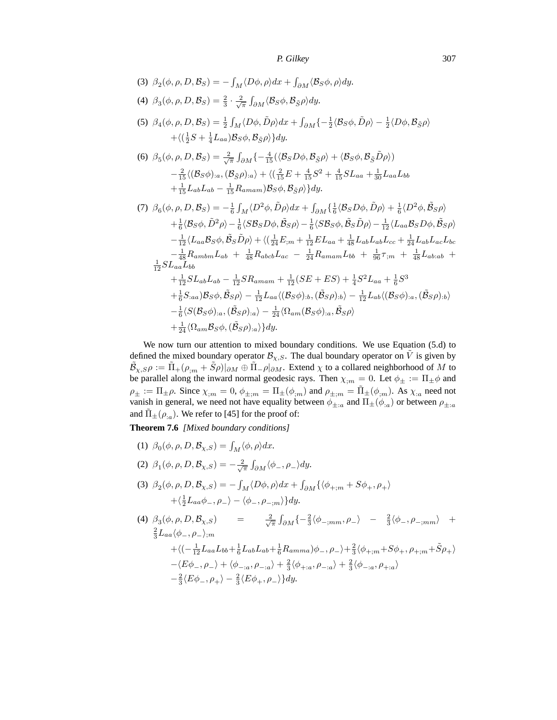(3)  $\beta_2(\phi, \rho, D, \mathcal{B}_S) = -\int_M \langle D\phi, \rho \rangle dx + \int_{\partial M} \langle \mathcal{B}_S \phi, \rho \rangle dy.$ (4)  $\beta_3(\phi, \rho, D, \mathcal{B}_S) = \frac{2}{3} \cdot \frac{2}{\sqrt{\pi}} \int_{\partial M} \langle \mathcal{B}_S \phi, \mathcal{B}_{\tilde{S}} \rho \rangle dy.$ (5)  $\beta_4(\phi, \rho, D, \mathcal{B}_S) = \frac{1}{2} \int_M \langle D\phi, \tilde{D}\rho \rangle dx + \int_{\partial M} \left\{ -\frac{1}{2} \langle \mathcal{B}_S \phi, \tilde{D}\rho \rangle - \frac{1}{2} \langle D\phi, \mathcal{B}_{\tilde{S}} \rho \rangle \right\}$  $+\langle (\frac{1}{2}S + \frac{1}{4}L_{aa})\mathcal{B}_S\phi, \mathcal{B}_{\tilde{S}}\rho \rangle \}dy.$ (6)  $\beta_5(\phi, \rho, D, \mathcal{B}_S) = \frac{2}{\sqrt{\pi}} \int_{\partial M} \left\{ -\frac{4}{15} (\langle \mathcal{B}_S D\phi, \mathcal{B}_{\tilde{S}} \rho \rangle + \langle \mathcal{B}_S \phi, \mathcal{B}_{\tilde{S}} \tilde{D} \rho \rangle \right\}$  $-\frac{2}{15}\langle(\mathcal{B}_S\phi)_{:a},(\mathcal{B}_{\tilde{S}}\rho)_{:a}\rangle+\langle(\frac{2}{15}E+\frac{4}{15}S^2+\frac{4}{15}SL_{aa}+\frac{1}{30}L_{aa}L_{bb}$  $+\frac{1}{15}L_{ab}L_{ab}-\frac{1}{15}R_{amam})\mathcal{B}_{S}\phi,\mathcal{B}_{\tilde{S}}\rho\rangle\}dy.$ (7)  $\beta_6(\phi, \rho, D, \mathcal{B}_S) = -\frac{1}{6} \int_M \langle D^2 \phi, \tilde{D} \rho \rangle dx + \int_{\partial M} \left\{ \frac{1}{6} \langle \mathcal{B}_S D\phi, \tilde{D} \rho \rangle + \frac{1}{6} \langle D^2 \phi, \tilde{\mathcal{B}}_S \rho \rangle \right\}$  $+\frac{1}{6} \langle \mathcal{B}_{S} \phi, \tilde{D}^{2} \rho \rangle -\frac{1}{6} \langle S \mathcal{B}_{S} D \phi, \tilde{\mathcal{B}}_{S} \rho \rangle -\frac{1}{6} \langle S \mathcal{B}_{S} \phi, \tilde{\mathcal{B}}_{S} \tilde{D} \rho \rangle -\frac{1}{12} \langle L_{aa} \mathcal{B}_{S} D \phi, \tilde{\mathcal{B}}_{S} \rho \rangle$  $-\frac{1}{12}\langle L_{aa}\mathcal{B}_S\phi,\tilde{\mathcal{B}}_S\tilde{D}\rho\rangle+\langle(\frac{1}{24}E_{;m}+\frac{1}{12}EL_{aa}+\frac{1}{48}L_{ab}L_{ab}L_{cc}+\frac{1}{24}L_{ab}L_{ac}L_{bc}$  $-\frac{1}{48}R_{ambm}L_{ab} + \frac{1}{48}R_{abcb}L_{ac} - \frac{1}{24}R_{amam}L_{bb} + \frac{1}{96}\tau_{;m} + \frac{1}{48}L_{ab:ab} +$  $\frac{1}{12} SL_{aa} \check{L}_{bb}$  $+\frac{1}{12}SL_{ab}L_{ab} - \frac{1}{12}SR_{amam} + \frac{1}{12}(SE + ES) + \frac{1}{4}S^2L_{aa} + \frac{1}{6}S^3$  $+\frac{1}{6} S_{:aa}) {\cal B}_S \phi, \tilde {\cal B}_S \rho \rangle -\frac{1}{12} L_{aa} \langle ({\cal B}_S \phi)_{:b}, (\tilde {\cal B}_S \rho)_{:b} \rangle -\frac{1}{12} L_{ab} \langle ({\cal B}_S \phi)_{:a}, (\tilde {\cal B}_S \rho)_{:b} \rangle$ 

We now turn our attention to mixed boundary conditions. We use Equation (5.d) to defined the mixed boundary operator  $\mathcal{B}_{\chi,S}$ . The dual boundary operator on V is given by  $\tilde{\mathcal{B}}_{\chi,S}\rho:=\tilde{\Pi}_+(\rho_{;m}+\tilde{S}\rho)|_{\partial M}\oplus\tilde{\Pi}_-\rho|_{\partial M}.$  Extend  $\chi$  to a collared neighborhood of  $M$  to be parallel along the inward normal geodesic rays. Then  $\chi_{,m} = 0$ . Let  $\phi_{\pm} := \Pi_{\pm} \phi$  and  $\rho_{\pm} := \Pi_{\pm} \rho$ . Since  $\chi_{;m} = 0$ ,  $\phi_{\pm;m} = \Pi_{\pm} (\phi_{;m})$  and  $\rho_{\pm;m} = \Pi_{\pm} (\phi_{;m})$ . As  $\chi_{;a}$  need not vanish in general, we need not have equality between  $\phi_{\pm:a}$  and  $\Pi_{\pm}(\phi_{:a})$  or between  $\rho_{\pm:a}$ and  $\tilde{\Pi}_{\pm}(\rho_{:a})$ . We refer to [45] for the proof of:

**Theorem 7.6** *[Mixed boundary conditions]*

- (1)  $\beta_0(\phi, \rho, D, \mathcal{B}_{\chi, S}) = \int_M \langle \phi, \rho \rangle dx.$
- (2)  $\beta_1(\phi, \rho, D, \mathcal{B}_{\chi, S}) = -\frac{2}{\sqrt{\pi}} \int_{\partial M} \langle \phi_-, \rho_- \rangle dy.$

 $+\frac{1}{24}\langle \Omega_{am}\mathcal{B}_{S}\phi,(\tilde{\mathcal{B}}_{S}\rho)_{:a}\rangle\}dy.$ 

(3)  $\beta_2(\phi, \rho, D, \mathcal{B}_{\chi, S}) = -\int_M \langle D\phi, \rho \rangle dx + \int_{\partial M} \{ \langle \phi_{+,m} + S\phi_+, \rho_+ \rangle \}$  $+\langle \frac{1}{2}L_{aa}\phi_-, \rho_-\rangle - \langle \phi_-, \rho_{-;m}\rangle\}dy.$ 

 $-\frac{1}{6} \langle S(\mathcal{B}_{S}\phi)_{:a},(\tilde{\mathcal{B}}_{S}\rho)_{:a} \rangle -\frac{1}{24} \langle \Omega_{am}(\mathcal{B}_{S}\phi)_{:a},\tilde{\mathcal{B}}_{S}\rho \rangle$ 

(4)  $\beta_3(\phi, \rho, D, \mathcal{B}_{\chi,S}) =$   $\frac{2}{\sqrt{3}}$  $\frac{2}{\sqrt{\pi}} \int_{\partial M} \{-\frac{2}{3} \langle \phi_{-;mm}, \rho_{-} \rangle - \frac{2}{3} \langle \phi_{-}, \rho_{-;mm} \rangle +$  $\frac{2}{3} L_{aa} \langle \phi_-, \rho_- \rangle_{;m}$  $+\langle (-\tfrac{1}{12} L_{aa} L_{bb} + \tfrac{1}{6} L_{ab} L_{ab} + \tfrac{1}{6} R_{amma} )\phi_-,\rho_-\rangle + \tfrac{2}{3} \langle \phi_{+;m} + S\phi_+, \rho_{+;m} + \tilde{S}\rho_+ \rangle$  $-\langle E\phi_-, \rho_-\rangle + \langle \phi_{-a}, \rho_{-a}\rangle + \frac{2}{3}\langle \phi_{+,a}, \rho_{-,a}\rangle + \frac{2}{3}\langle \phi_{-,a}, \rho_{+,a}\rangle$  $-\frac{2}{3}\langle E\phi_-, \rho_+\rangle - \frac{2}{3}\langle E\phi_+, \rho_-\rangle\}dy.$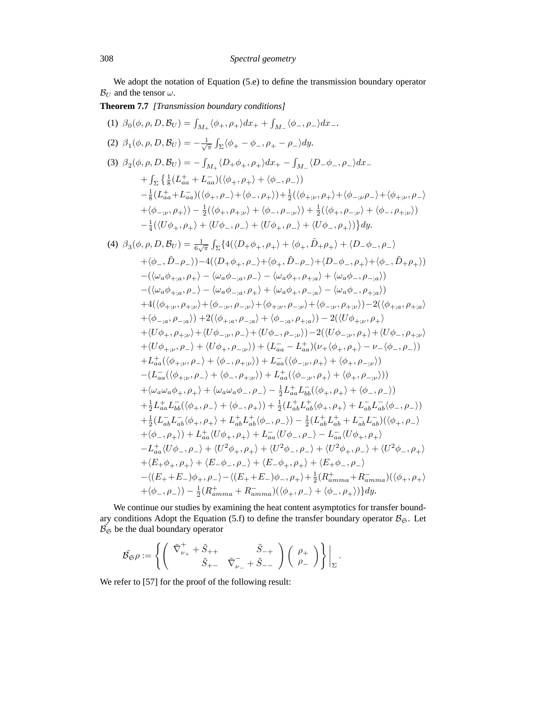We adopt the notation of Equation (5.e) to define the transmission boundary operator  $\mathcal{B}_U$  and the tensor  $\omega$ .

**Theorem 7.7** *[Transmission boundary conditions]*

(1) 
$$
\beta_0(\phi, \rho, D, B_U) = \int_{M_+} \langle \phi_+, \rho_+ \rangle dx_+ + \int_{M_-} \langle \phi_-, \rho_- \rangle dx_-.
$$
  
\n(2)  $\beta_1(\phi, \rho, D, B_U) = -\frac{1}{\sqrt{\pi}} \int_{\Sigma} \langle \phi_+ - \phi_-, \rho_+ - \rho_- \rangle dy.$   
\n(3)  $\beta_2(\phi, \rho, D, B_U) = -\int_{M_+} \langle D_+ \phi_+, \rho_+ \rangle dx_+ - \int_{M_-} \langle D_- \phi_-, \rho_- \rangle dx_-$   
\n $+ \int_{\Sigma} \left\{ \frac{1}{8} (L_{aa}^+ + L_{aa}^-) ((\phi_+, \rho_+) + \langle \phi_-, \rho_-))$   
\n $- \frac{1}{8} (L_{aa}^+ + L_{aa}^-) ((\phi_+, \rho_+) + \langle \phi_-, \rho_+) \rangle + \frac{1}{2} ((\phi_{+, \nu}, \rho_+) + \langle \phi_-, \rho_- \rangle + \langle \phi_+, \rho_+) \rangle$   
\n $+ \langle \phi_{-, \nu}, \rho_+ \rangle) - \frac{1}{2} ((\phi_+, \rho_{+, \nu}) + \langle \phi_-, \rho_{-, \nu}) \rangle + \frac{1}{2} (\langle \phi_+, \rho_{-, \nu}) + \langle \phi_-, \rho_{+, \nu} \rangle )$   
\n $- \frac{1}{4} ((U\phi_+, \rho_+) + \langle U\phi_-, \rho_-) + \langle U\phi_+, \rho_- \rangle + \langle U\phi_-, \rho_+) \rangle) dy.$   
\n(4)  $\beta_3(\phi, \rho, D, B_U) = \frac{1}{6\sqrt{\pi}} \int_{\Sigma} \{ 4((D_+ \phi_+, \rho_+) + \langle \phi_+, \tilde{D}_+ \rho_+) + \langle D_- \phi_-, \rho_+) \rangle$   
\n $- (\langle \omega_a \phi_{+,a}, \rho_+) - \langle \omega_a \phi_{-,a}, \rho_- \rangle - \langle \omega_a \phi_+, \rho_+, \omega \rangle + \langle \omega_a \phi_-, \rho_-, \omega \rangle )$   
\n $- (\langle \omega_a \phi_{+,a}, \rho_+) - \langle \omega_a \phi_{-,a}, \rho_+) + \langle \omega_a \phi_+, \rho_-, \omega \rangle + \langle \phi_-, \rho$ 

We continue our studies by examining the heat content asymptotics for transfer boundary conditions Adopt the Equation (5.f) to define the transfer boundary operator  $B_{\mathfrak{S}}$ . Let  $\tilde{\mathcal{B}_{\mathfrak{S}}}$  be the dual boundary operator

$$
\tilde{\mathcal{B}_{\mathfrak{S}}}\rho:=\left\{\left(\begin{array}{cc} \tilde{\nabla}^+_{\nu_+}+\tilde{S}_{++} & \tilde{S}_{-+} \\ \tilde{S}_{+-} & \tilde{\nabla}^-_{\nu_-}+\tilde{S}_{--} \end{array}\right)\left(\begin{array}{c} \rho_+ \\ \rho_- \end{array}\right)\right\}\bigg|_{\Sigma}\,.
$$

We refer to [57] for the proof of the following result: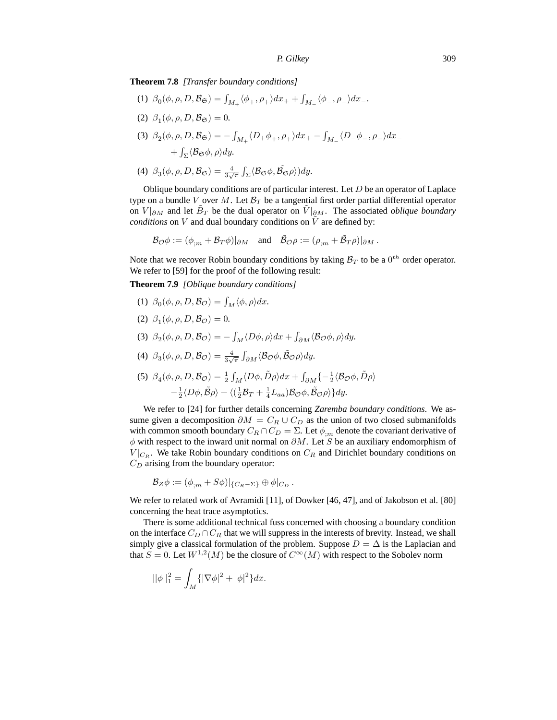**Theorem 7.8** *[Transfer boundary conditions]*

(1)  $\beta_0(\phi, \rho, D, \mathcal{B}_{\mathfrak{S}}) = \int_{M_+} \langle \phi_+, \rho_+ \rangle dx_+ + \int_{M_-} \langle \phi_-, \rho_- \rangle dx_-.$ (2)  $\beta_1(\phi, \rho, D, \mathcal{B}_{\mathfrak{S}}) = 0.$ (3)  $\beta_2(\phi, \rho, D, \mathcal{B}_{\mathfrak{S}}) = -\int_{M_+} \langle D_+ \phi_+, \rho_+ \rangle dx_+ - \int_{M_-} \langle D_- \phi_-, \rho_- \rangle dx_ +\int_{\Sigma}\langle\mathcal{B}_{\mathfrak{S}}\phi,\rho\rangle dy.$ 

(4) 
$$
\beta_3(\phi, \rho, D, \mathcal{B}_{\mathfrak{S}}) = \frac{4}{3\sqrt{\pi}} \int_{\Sigma} \langle \mathcal{B}_{\mathfrak{S}} \phi, \tilde{\mathcal{B}_{\mathfrak{S}}} \rho \rangle) dy.
$$

Oblique boundary conditions are of particular interest. Let  $D$  be an operator of Laplace type on a bundle V over M. Let  $\mathcal{B}_T$  be a tangential first order partial differential operator on  $V|_{\partial M}$  and let  $\tilde{B}_T$  be the dual operator on  $\tilde{V}|_{\partial M}$ . The associated *oblique boundary conditions* on V and dual boundary conditions on  $\tilde{V}$  are defined by:

$$
\mathcal{B}_{\mathcal{O}}\phi := (\phi_{;m} + \mathcal{B}_T\phi)|_{\partial M} \quad \text{and} \quad \tilde{\mathcal{B}}_{\mathcal{O}}\rho := (\rho_{;m} + \tilde{\mathcal{B}}_T\rho)|_{\partial M}.
$$

Note that we recover Robin boundary conditions by taking  $B_T$  to be a  $0^{th}$  order operator. We refer to [59] for the proof of the following result:

**Theorem 7.9** *[Oblique boundary conditions]*

- (1)  $\beta_0(\phi, \rho, D, \mathcal{B}_{\mathcal{O}}) = \int_M \langle \phi, \rho \rangle dx.$
- (2)  $\beta_1(\phi, \rho, D, \mathcal{B}_{\mathcal{O}}) = 0.$
- (3)  $\beta_2(\phi, \rho, D, \mathcal{B}_{\mathcal{O}}) = -\int_M \langle D\phi, \rho \rangle dx + \int_{\partial M} \langle \mathcal{B}_{\mathcal{O}} \phi, \rho \rangle dy.$
- (4)  $\beta_3(\phi, \rho, D, \mathcal{B}_{\mathcal{O}}) = \frac{4}{3\sqrt{\pi}} \int_{\partial M} \langle \mathcal{B}_{\mathcal{O}} \phi, \tilde{\mathcal{B}}_{\mathcal{O}} \rho \rangle dy.$
- (5)  $\beta_4(\phi, \rho, D, \mathcal{B}_{\mathcal{O}}) = \frac{1}{2} \int_M \langle D\phi, \tilde{D}\rho \rangle dx + \int_{\partial M} \left\{-\frac{1}{2} \langle \mathcal{B}_{\mathcal{O}} \phi, \tilde{D}\rho \rangle \right\}$  $-\frac{1}{2}\langle D\phi, \tilde{B}\rho\rangle + \langle (\frac{1}{2}\mathcal{B}_T + \frac{1}{4}L_{aa})\mathcal{B}_\mathcal{O}\phi, \tilde{\mathcal{B}}_\mathcal{O}\rho\rangle\}dy.$

We refer to [24] for further details concerning *Zaremba boundary conditions*. We assume given a decomposition  $\partial M = C_R \cup C_D$  as the union of two closed submanifolds with common smooth boundary  $C_R \cap C_D = \Sigma$ . Let  $\phi_{lm}$  denote the covariant derivative of  $\phi$  with respect to the inward unit normal on  $\partial M$ . Let S be an auxiliary endomorphism of  $V|_{C_R}$ . We take Robin boundary conditions on  $C_R$  and Dirichlet boundary conditions on  $C_D$  arising from the boundary operator:

$$
\mathcal{B}_Z \phi := (\phi_{;m} + S\phi)|_{\{C_R - \Sigma\}} \oplus \phi|_{C_D}.
$$

We refer to related work of Avramidi [11], of Dowker [46, 47], and of Jakobson et al. [80] concerning the heat trace asymptotics.

There is some additional technical fuss concerned with choosing a boundary condition on the interface  $C_D \cap C_R$  that we will suppress in the interests of brevity. Instead, we shall simply give a classical formulation of the problem. Suppose  $D = \Delta$  is the Laplacian and that  $S = 0$ . Let  $W^{1,2}(M)$  be the closure of  $C^{\infty}(M)$  with respect to the Sobolev norm

$$
||\phi||_1^2 = \int_M \{ |\nabla \phi|^2 + |\phi|^2 \} dx.
$$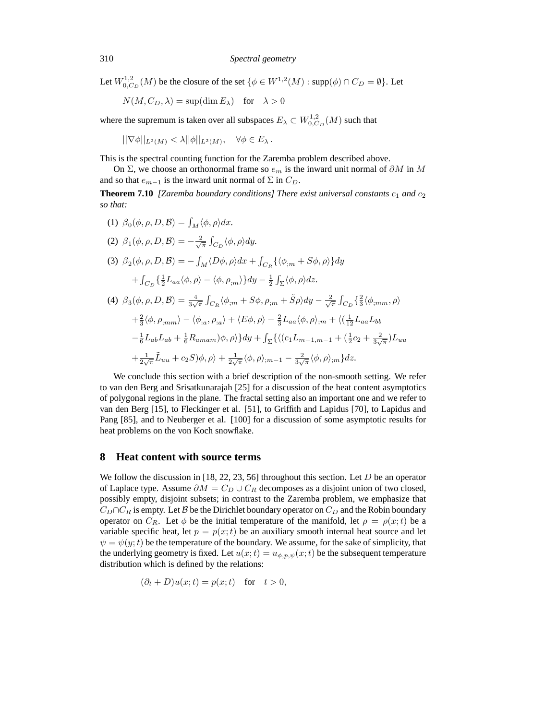Let  $W^{1,2}_{0,C_D}(M)$  be the closure of the set  $\{\phi \in W^{1,2}(M) : \text{supp}(\phi) \cap C_D = \emptyset\}$ . Let

$$
N(M, C_D, \lambda) = \sup(\dim E_{\lambda})
$$
 for  $\lambda > 0$ 

where the supremum is taken over all subspaces  $E_{\lambda} \subset W_{0,C_D}^{1,2}(M)$  such that

$$
||\nabla \phi||_{L^2(M)} < \lambda ||\phi||_{L^2(M)}, \quad \forall \phi \in E_\lambda \, .
$$

This is the spectral counting function for the Zaremba problem described above.

On Σ, we choose an orthonormal frame so  $e_m$  is the inward unit normal of  $\partial M$  in M and so that  $e_{m-1}$  is the inward unit normal of  $\Sigma$  in  $C_D$ .

**Theorem 7.10** *[Zaremba boundary conditions] There exist universal constants*  $c_1$  *and*  $c_2$ *so that:*

- (1)  $\beta_0(\phi, \rho, D, \mathcal{B}) = \int_M \langle \phi, \rho \rangle dx.$
- (2)  $\beta_1(\phi, \rho, D, \mathcal{B}) = -\frac{2}{\sqrt{\pi}} \int_{C_D} \langle \phi, \rho \rangle dy.$ (3)  $\beta_2(\phi, \rho, D, \mathcal{B}) = -\int_M \langle D\phi, \rho \rangle dx + \int_{C_R} {\{\langle \phi_{;m} + S\phi, \rho \rangle\}} dy$  $+\int_{C_D} {\frac{1}{2}L_{aa} \langle \phi, \rho \rangle - \langle \phi, \rho_{,m} \rangle} dy - \frac{1}{2} \int_{\Sigma} {\langle \phi, \rho \rangle} dz.$
- (4)  $\beta_3(\phi, \rho, D, \mathcal{B}) = \frac{4}{3\sqrt{\pi}} \int_{C_R} \langle \phi_{,m} + S\phi, \rho_{,m} + \tilde{S}\rho \rangle dy \frac{2}{\sqrt{\pi}} \int_{C_D} \left\{ \frac{2}{3} \langle \phi_{,mm}, \rho \rangle \right\}$  $+\frac{2}{3}\langle \phi, \rho_{;mm}\rangle - \langle \phi_{:a}, \rho_{:a}\rangle + \langle E\phi, \rho\rangle - \frac{2}{3}L_{aa}\langle \phi, \rho\rangle_{;m} + \langle (\frac{1}{12}L_{aa}L_{bb}$  $-\frac{1}{6}L_{ab}L_{ab} + \frac{1}{6}R_{amam})\phi, \rho\rangle\}dy + \int_{\Sigma}\{ \langle (c_1L_{m-1,m-1} + (\frac{1}{2}c_2 + \frac{2}{3\sqrt{\pi}})L_{uu}$  $+\frac{1}{2\sqrt{\pi}}\tilde{L}_{uu}+c_2S)\phi,\rho\rangle+\frac{1}{2\sqrt{\pi}}\langle\phi,\rho\rangle_{;m-1}-\frac{2}{3\sqrt{\pi}}\langle\phi,\rho\rangle_{;m}\}dz.$

We conclude this section with a brief description of the non-smooth setting. We refer to van den Berg and Srisatkunarajah [25] for a discussion of the heat content asymptotics of polygonal regions in the plane. The fractal setting also an important one and we refer to van den Berg [15], to Fleckinger et al. [51], to Griffith and Lapidus [70], to Lapidus and Pang [85], and to Neuberger et al. [100] for a discussion of some asymptotic results for heat problems on the von Koch snowflake.

#### **8 Heat content with source terms**

We follow the discussion in [18, 22, 23, 56] throughout this section. Let  $D$  be an operator of Laplace type. Assume  $\partial M = C_D \cup C_R$  decomposes as a disjoint union of two closed, possibly empty, disjoint subsets; in contrast to the Zaremba problem, we emphasize that  $C_D \cap C_R$  is empty. Let B be the Dirichlet boundary operator on  $C_D$  and the Robin boundary operator on  $C_R$ . Let  $\phi$  be the initial temperature of the manifold, let  $\rho = \rho(x;t)$  be a variable specific heat, let  $p = p(x; t)$  be an auxiliary smooth internal heat source and let  $\psi = \psi(y; t)$  be the temperature of the boundary. We assume, for the sake of simplicity, that the underlying geometry is fixed. Let  $u(x;t) = u_{\phi, p, \psi}(x;t)$  be the subsequent temperature distribution which is defined by the relations:

$$
(\partial_t + D)u(x;t) = p(x;t) \quad \text{for} \quad t > 0,
$$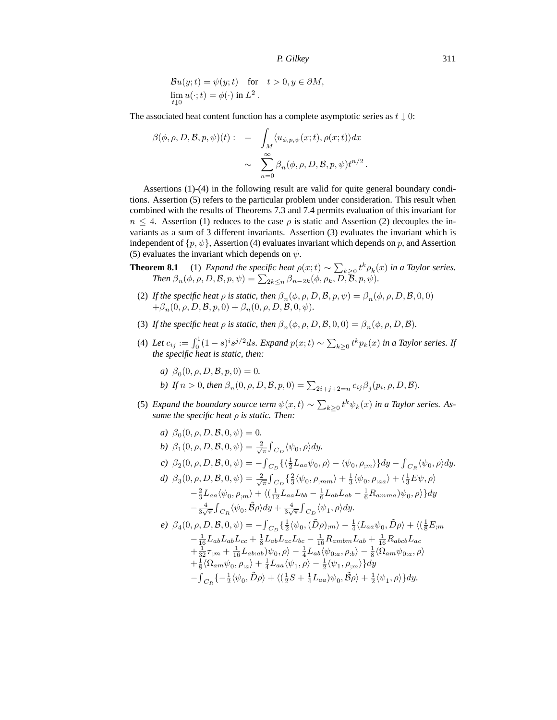$$
\mathcal{B}u(y;t) = \psi(y;t) \quad \text{for} \quad t > 0, y \in \partial M,
$$
  
\n
$$
\lim_{t \downarrow 0} u(\cdot;t) = \phi(\cdot) \text{ in } L^2.
$$

The associated heat content function has a complete asymptotic series as  $t \downarrow 0$ :

$$
\beta(\phi, \rho, D, \mathcal{B}, p, \psi)(t) : = \int_M \langle u_{\phi, p, \psi}(x; t), \rho(x; t) \rangle dx
$$

$$
\sim \sum_{n=0}^{\infty} \beta_n(\phi, \rho, D, \mathcal{B}, p, \psi) t^{n/2}.
$$

Assertions (1)-(4) in the following result are valid for quite general boundary conditions. Assertion (5) refers to the particular problem under consideration. This result when combined with the results of Theorems 7.3 and 7.4 permits evaluation of this invariant for  $n \leq 4$ . Assertion (1) reduces to the case  $\rho$  is static and Assertion (2) decouples the invariants as a sum of 3 different invariants. Assertion (3) evaluates the invariant which is independent of  $\{p, \psi\}$ , Assertion (4) evaluates invariant which depends on p, and Assertion (5) evaluates the invariant which depends on  $\psi$ .

**Theorem 8.1** (1) *Expand the specific heat*  $\rho(x;t) \sim \sum_{k\geq 0} t^k \rho_k(x)$  *in a Taylor series. Then*  $\beta_n(\phi, \rho, D, \mathcal{B}, p, \psi) = \sum_{2k \leq n} \beta_{n-2k}(\phi, \rho_k, D, \overline{\mathcal{B}}, p, \psi)$ *.* 

- (2) *If the specific heat*  $\rho$  *is static, then*  $\beta_n(\phi, \rho, D, \mathcal{B}, p, \psi) = \beta_n(\phi, \rho, D, \mathcal{B}, 0, 0)$  $+\beta_n(0, \rho, D, \mathcal{B}, p, 0) + \beta_n(0, \rho, D, \mathcal{B}, 0, \psi).$
- (3) *If the specific heat*  $\rho$  *is static, then*  $\beta_n(\phi, \rho, D, \mathcal{B}, 0, 0) = \beta_n(\phi, \rho, D, \mathcal{B})$ *.*
- (4) Let  $c_{ij} := \int_0^1 (1-s)^i s^{j/2} ds$ . Expand  $p(x;t) \sim \sum_{k\geq 0} t^k p_k(x)$  in a Taylor series. If *the specific heat is static, then:*
	- *a*)  $\beta_0(0, \rho, D, \mathcal{B}, p, 0) = 0.$
	- *b*) If  $n > 0$ , then  $\beta_n(0, \rho, D, \mathcal{B}, p, 0) = \sum_{2i+j+2=n} c_{ij} \beta_j(p_i, \rho, D, \mathcal{B})$ *.*
- (5) *Expand the boundary source term*  $\psi(x,t) \sim \sum_{k\geq 0} t^k \psi_k(x)$  *in a Taylor series. Assume the specific heat* ρ *is static. Then:*

a) 
$$
\beta_0(0, \rho, D, \mathcal{B}, 0, \psi) = 0.
$$
  
\nb)  $\beta_1(0, \rho, D, \mathcal{B}, 0, \psi) = \frac{2}{\sqrt{\pi}} \int_{C_D} \langle \psi_0, \rho \rangle dy.$   
\nc)  $\beta_2(0, \rho, D, \mathcal{B}, 0, \psi) = - \int_{C_D} \{ \langle \frac{1}{2} L_{aa} \psi_0, \rho \rangle - \langle \psi_0, \rho_{;m} \rangle \} dy - \int_{C_R} \langle \psi_0, \rho \rangle dy.$   
\nd)  $\beta_3(0, \rho, D, \mathcal{B}, 0, \psi) = \frac{2}{\sqrt{\pi}} \int_{C_D} \{ \frac{2}{3} \langle \psi_0, \rho_{;mn} \rangle + \frac{1}{3} \langle \psi_0, \rho_{:aa} \rangle + \langle \frac{1}{3} E \psi, \rho \rangle - \frac{2}{3} L_{aa} \langle \psi_0, \rho_{;m} \rangle + \langle \frac{1}{12} L_{aa} L_{bb} - \frac{1}{6} L_{ab} L_{ab} - \frac{1}{6} R_{amma} \rangle \psi_0, \rho \rangle \} dy - \frac{4}{3\sqrt{\pi}} \int_{C_R} \langle \psi_0, \tilde{\mathcal{B}} \rho \rangle dy + \frac{4}{3\sqrt{\pi}} \int_{C_D} \langle \psi_1, \rho \rangle dy.$   
\ne)  $\beta_4(0, \rho, D, \mathcal{B}, 0, \psi) = - \int_{C_D} \{ \frac{1}{2} \langle \psi_0, (\tilde{\mathcal{D}} \rho)_{;m} \rangle - \frac{1}{4} \langle L_{aa} \psi_0, \tilde{\mathcal{D}} \rho \rangle + \langle (\frac{1}{8} E_{;m} - \frac{1}{16} L_{ab} L_{ab} L_{cc} + \frac{1}{8} L_{ab} L_{ac} L_{bc} - \frac{1}{16} R_{ambm} L_{ab} + \frac{1}{16} R_{abcb} L_{ac} - \frac{1}{32} \tau_{;m} + \frac{1}{16} L_{ab;ab} \psi_0, \rho \rangle - \frac{1}{4} L_{ab} \langle \psi_{0;a}, \rho_{;b} \rangle - \frac{1}{8} \langle \Omega_{am} \psi_{0;a}, \rho \rangle + \frac$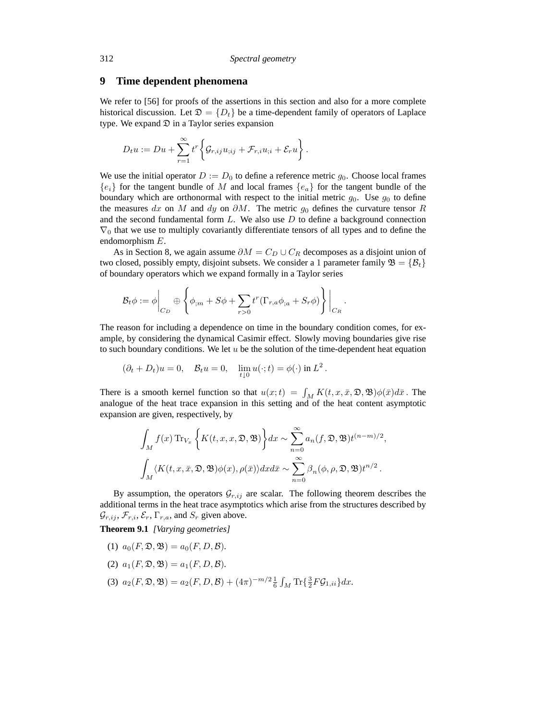#### **9 Time dependent phenomena**

We refer to [56] for proofs of the assertions in this section and also for a more complete historical discussion. Let  $\mathfrak{D} = \{D_t\}$  be a time-dependent family of operators of Laplace type. We expand  $\mathcal{D}$  in a Taylor series expansion

$$
D_t u := Du + \sum_{r=1}^{\infty} t^r \bigg\{ \mathcal{G}_{r,ij} u_{;ij} + \mathcal{F}_{r,i} u_{;i} + \mathcal{E}_r u \bigg\}.
$$

We use the initial operator  $D := D_0$  to define a reference metric  $q_0$ . Choose local frames  ${e_i}$  for the tangent bundle of M and local frames  ${e_i}$  for the tangent bundle of the boundary which are orthonormal with respect to the initial metric  $g_0$ . Use  $g_0$  to define the measures dx on M and dy on  $\partial M$ . The metric  $g_0$  defines the curvature tensor R and the second fundamental form  $L$ . We also use  $D$  to define a background connection  $\nabla_0$  that we use to multiply covariantly differentiate tensors of all types and to define the endomorphism E.

As in Section 8, we again assume  $\partial M = C_D \cup C_R$  decomposes as a disjoint union of two closed, possibly empty, disjoint subsets. We consider a 1 parameter family  $\mathfrak{B} = {\mathfrak{B}_t}$ of boundary operators which we expand formally in a Taylor series

$$
\mathcal{B}_{t}\phi := \phi \bigg|_{C_D} \oplus \left\{ \phi_{;m} + S\phi + \sum_{r>0} t^r (\Gamma_{r,a}\phi_{;a} + S_r \phi) \right\} \bigg|_{C_R}.
$$

The reason for including a dependence on time in the boundary condition comes, for example, by considering the dynamical Casimir effect. Slowly moving boundaries give rise to such boundary conditions. We let  $u$  be the solution of the time-dependent heat equation

$$
(\partial_t + D_t)u = 0, \quad \mathcal{B}_t u = 0, \quad \lim_{t \downarrow 0} u(\cdot; t) = \phi(\cdot) \text{ in } L^2.
$$

There is a smooth kernel function so that  $u(x;t) = \int_M K(t, x, \bar{x}, \mathfrak{D}, \mathfrak{B}) \phi(\bar{x}) d\bar{x}$ . The analogue of the heat trace expansion in this setting and of the heat content asymptotic expansion are given, respectively, by

$$
\int_M f(x) \operatorname{Tr}_{V_x} \left\{ K(t, x, x, \mathfrak{D}, \mathfrak{B}) \right\} dx \sim \sum_{n=0}^{\infty} a_n(f, \mathfrak{D}, \mathfrak{B}) t^{(n-m)/2},
$$
  

$$
\int_M \langle K(t, x, \bar{x}, \mathfrak{D}, \mathfrak{B}) \phi(x), \rho(\bar{x}) \rangle dx d\bar{x} \sim \sum_{n=0}^{\infty} \beta_n(\phi, \rho, \mathfrak{D}, \mathfrak{B}) t^{n/2}.
$$

By assumption, the operators  $G_{r,ij}$  are scalar. The following theorem describes the additional terms in the heat trace asymptotics which arise from the structures described by  $\mathcal{G}_{r,ij}, \mathcal{F}_{r,i}, \mathcal{E}_r, \Gamma_{r,a}$ , and  $S_r$  given above.

**Theorem 9.1** *[Varying geometries]*

- (1)  $a_0(F, \mathfrak{D}, \mathfrak{B}) = a_0(F, D, \mathcal{B})$ *.*
- (2)  $a_1(F, \mathfrak{D}, \mathfrak{B}) = a_1(F, D, \mathcal{B})$ *.*
- (3)  $a_2(F, \mathfrak{D}, \mathfrak{B}) = a_2(F, D, \mathcal{B}) + (4\pi)^{-m/2} \frac{1}{6} \int_M \text{Tr}\left\{ \frac{3}{2} F \mathcal{G}_{1, ii} \right\} dx.$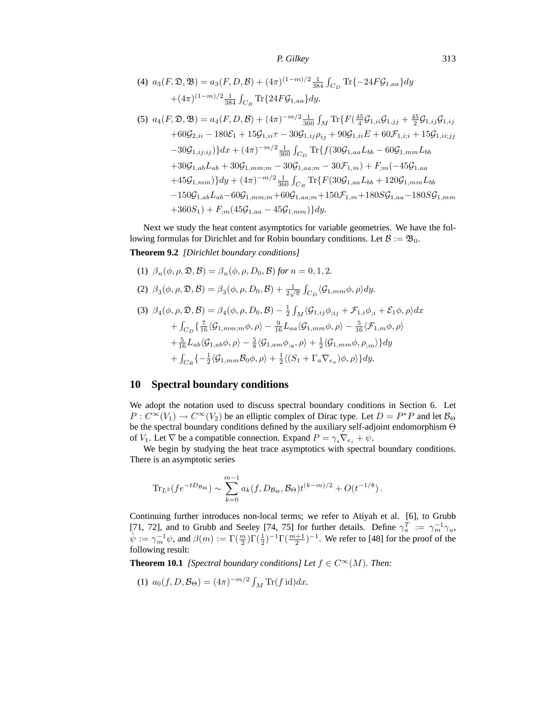(4) 
$$
a_3(F, \mathfrak{D}, \mathfrak{B}) = a_3(F, D, \mathcal{B}) + (4\pi)^{(1-m)/2} \frac{1}{384} \int_{C_D} \text{Tr}\{-24F\mathcal{G}_{1,aa}\}dy
$$
  
  $+ (4\pi)^{(1-m)/2} \frac{1}{384} \int_{C_R} \text{Tr}\{24F\mathcal{G}_{1,aa}\}dy.$ 

$$
(5) \ a_{4}(F, \mathfrak{D}, \mathfrak{B}) = a_{4}(F, D, \mathcal{B}) + (4\pi)^{-m/2} \frac{1}{360} \int_{M} \text{Tr}\{F(\frac{45}{4} \mathcal{G}_{1,ii} \mathcal{G}_{1,jj} + \frac{45}{2} \mathcal{G}_{1,ij} \mathcal{G}_{1,ij} + 60 \mathcal{G}_{2,ii} - 180 \mathcal{E}_{1} + 15 \mathcal{G}_{1,ii} \tau - 30 \mathcal{G}_{1,ij} \rho_{ij} + 90 \mathcal{G}_{1,ii} E + 60 \mathcal{F}_{1,ii} + 15 \mathcal{G}_{1,ii;jj} - 30 \mathcal{G}_{1,ij;ij} \} dx + (4\pi)^{-m/2} \frac{1}{360} \int_{C_D} \text{Tr}\{f(30 \mathcal{G}_{1,aa} L_{bb} - 60 \mathcal{G}_{1,mm} L_{bb} + 30 \mathcal{G}_{1,ab} L_{ab} + 30 \mathcal{G}_{1,mm;m} - 30 \mathcal{G}_{1,aa;m} - 30 \mathcal{F}_{1,m} \} + F_{;m}(-45 \mathcal{G}_{1,aa} + 45 \mathcal{G}_{1,mm} \} dy + (4\pi)^{-m/2} \frac{1}{360} \int_{C_R} \text{Tr}\{F(30 \mathcal{G}_{1,aa} L_{bb} + 120 \mathcal{G}_{1,mm} L_{bb} - 150 \mathcal{G}_{1,ab} L_{ab} - 60 \mathcal{G}_{1,mm;m} + 60 \mathcal{G}_{1,aa;m} + 150 \mathcal{F}_{1,m} + 180 S \mathcal{G}_{1,aa} - 180 S \mathcal{G}_{1,mm} + 360 S_1) + F_{;m}(45 \mathcal{G}_{1,aa} - 45 \mathcal{G}_{1,mm}) \} dy.
$$

Next we study the heat content asymptotics for variable geometries. We have the following formulas for Dirichlet and for Robin boundary conditions. Let  $B := \mathfrak{B}_0$ . **Theorem 9.2** *[Dirichlet boundary conditions]*

(1) 
$$
\beta_n(\phi, \rho, \mathfrak{D}, \mathcal{B}) = \beta_n(\phi, \rho, D_0, \mathcal{B})
$$
 for  $n = 0, 1, 2$ .

(2)  $\beta_3(\phi, \rho, \mathfrak{D}, \mathcal{B}) = \beta_3(\phi, \rho, D_0, \mathcal{B}) + \frac{1}{2\sqrt{\pi}} \int_{C_D} \langle \mathcal{G}_{1,mm}\phi, \rho \rangle dy.$ 

(3) 
$$
\beta_4(\phi, \rho, \mathfrak{D}, \mathcal{B}) = \beta_4(\phi, \rho, D_0, \mathcal{B}) - \frac{1}{2} \int_M \langle \mathcal{G}_{1,ij} \phi_{;ij} + \mathcal{F}_{1,i} \phi_{;i} + \mathcal{E}_1 \phi, \rho \rangle dx + \int_{C_D} \left\{ \frac{7}{16} \langle \mathcal{G}_{1,mm;m} \phi, \rho \rangle - \frac{9}{16} L_{aa} \langle \mathcal{G}_{1,mm} \phi, \rho \rangle - \frac{5}{16} \langle \mathcal{F}_{1,m} \phi, \rho \rangle \right. + \frac{5}{16} L_{ab} \langle \mathcal{G}_{1,ab} \phi, \rho \rangle - \frac{5}{8} \langle \mathcal{G}_{1,am} \phi_{;a}, \rho \rangle + \frac{1}{2} \langle \mathcal{G}_{1,mm} \phi, \rho_{;m} \rangle \right\} dy + \int_{C_R} \left\{ -\frac{1}{2} \langle \mathcal{G}_{1,mm} \mathcal{B}_0 \phi, \rho \rangle + \frac{1}{2} \langle \langle S_1 + \Gamma_a \nabla_{e_a} \rangle \phi, \rho \rangle \right\} dy.
$$

# **10 Spectral boundary conditions**

We adopt the notation used to discuss spectral boundary conditions in Section 6. Let  $P: C^{\infty}(V_1) \to C^{\infty}(V_2)$  be an elliptic complex of Dirac type. Let  $D = P^*P$  and let  $\mathcal{B}_{\Theta}$ be the spectral boundary conditions defined by the auxiliary self-adjoint endomorphism Θ of  $V_1$ . Let  $\nabla$  be a compatible connection. Expand  $P = \gamma_i \nabla_{e_i} + \psi$ .

We begin by studying the heat trace asymptotics with spectral boundary conditions. There is an asymptotic series

$$
\text{Tr}_{L^2}(fe^{-tD_{\mathcal{B}_{\Theta}}}) \sim \sum_{k=0}^{m-1} a_k(f, D_{\mathcal{B}_{\Theta}}, \mathcal{B}_{\Theta}) t^{(k-m)/2} + O(t^{-1/8}).
$$

Continuing further introduces non-local terms; we refer to Atiyah et al. [6], to Grubb [71, 72], and to Grubb and Seeley [74, 75] for further details. Define  $\gamma_a^T := \gamma_m^{-1} \gamma_a$ ,  $\hat{\psi} := \gamma_m^{-1} \psi$ , and  $\beta(m) := \Gamma(\frac{m}{2}) \Gamma(\frac{1}{2})^{-1} \Gamma(\frac{m+1}{2})^{-1}$ . We refer to [48] for the proof of the following result:

**Theorem 10.1** *[Spectral boundary conditions] Let*  $f \in C^{\infty}(M)$ *. Then:* 

(1) 
$$
a_0(f, D, \mathcal{B}_{\Theta}) = (4\pi)^{-m/2} \int_M \text{Tr}(f \, \text{id}) dx.
$$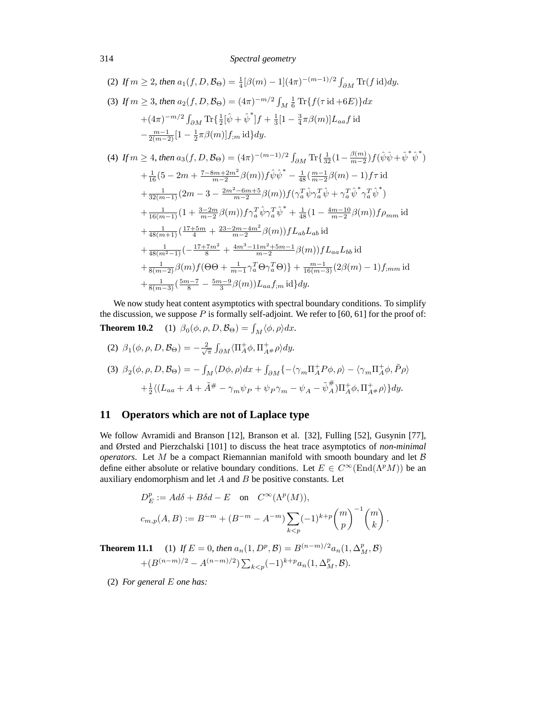#### 314 *Spectral geometry*

(2) If 
$$
m \ge 2
$$
, then  $a_1(f, D, \mathcal{B}_{\Theta}) = \frac{1}{4} [\beta(m) - 1](4\pi)^{-(m-1)/2} \int_{\partial M} \text{Tr}(f \text{id}) dy$ .  
\n(3) If  $m \ge 3$ , then  $a_2(f, D, \mathcal{B}_{\Theta}) = (4\pi)^{-m/2} \int_M \frac{1}{6} \text{Tr}\{f(\tau \text{id} + 6E)\} dx$   
\n $+ (4\pi)^{-m/2} \int_{\partial M} \text{Tr}\{\frac{1}{2}[\hat{\psi} + \hat{\psi}^*]f + \frac{1}{3}[1 - \frac{3}{4}\pi\beta(m)]L_{aa}f \text{id}$   
\n $- \frac{m-1}{2(m-2)}[1 - \frac{1}{2}\pi\beta(m)]f_{;m} \text{id}\} dy$ .  
\n(4) If  $m \ge 4$ , then  $a_3(f, D, \mathcal{B}_{\Theta}) = (4\pi)^{-(m-1)/2} \int_{\partial M} \text{Tr}\{\frac{1}{32}(1 - \frac{\beta(m)}{m-2})f(\hat{\psi}\hat{\psi} + \hat{\psi}^*\hat{\psi}^*)$   
\n $+ \frac{1}{16}(5 - 2m + \frac{7 - 8m + 2m^2}{m-2}\beta(m))f\hat{\psi}\hat{\psi}^* - \frac{1}{48}(\frac{m-1}{m-2}\beta(m) - 1)f\tau \text{id}$   
\n $+ \frac{1}{32(m-1)}(2m - 3 - \frac{2m^2 - 6m + 5}{m-2}\beta(m))f(\gamma_a^T\hat{\psi}\gamma_a^T\hat{\psi} + \gamma_a^T\hat{\psi}^*\gamma_a^T\hat{\psi}^*)$   
\n $+ \frac{1}{16(m-1)}(1 + \frac{3-2m}{m-2}\beta(m))f\gamma_a^T\hat{\psi}\gamma_a^T\hat{\psi}^* + \frac{1}{48}(1 - \frac{4m-10}{m-2}\beta(m))f\rho_{mm} \text{id}$   
\n $+ \frac{1}{48(m+1)}(\frac{17+5m}{4} + \frac{23-2m-4m^2}{m-2}\beta(m))fL_{ab}L_{ab} \text{id}$   
\n $+ \frac{1}{48(m^2-1$ 

We now study heat content asymptotics with spectral boundary conditions. To simplify the discussion, we suppose  $P$  is formally self-adjoint. We refer to [60, 61] for the proof of: **Theorem 10.2** (1)  $\beta_0(\phi, \rho, D, \mathcal{B}_{\Theta}) = \int_M \langle \phi, \rho \rangle dx$ .

(2) 
$$
\beta_1(\phi, \rho, D, \mathcal{B}_{\Theta}) = -\frac{2}{\sqrt{\pi}} \int_{\partial M} \langle \Pi_A^+ \phi, \Pi_{A^{\#}}^+ \rho \rangle dy.
$$
  
\n(3)  $\beta_2(\phi, \rho, D, \mathcal{B}_{\Theta}) = -\int_M \langle D\phi, \rho \rangle dx + \int_{\partial M} \{ -\langle \gamma_m \Pi_A^+ P \phi, \rho \rangle - \langle \gamma_m \Pi_A^+ \phi, \tilde{P} \rho \rangle \right.$   
\n $+ \frac{1}{2} \langle (L_{aa} + A + \tilde{A}^{\#} - \gamma_m \psi_P + \psi_P \gamma_m - \psi_A - \tilde{\psi}_A^{\#}) \Pi_A^+ \phi, \Pi_{A^{\#}}^+ \rho \rangle \} dy.$ 

# **11 Operators which are not of Laplace type**

We follow Avramidi and Branson [12], Branson et al. [32], Fulling [52], Gusynin [77], and Ørsted and Pierzchalski [101] to discuss the heat trace asymptotics of *non-minimal operators*. Let  $M$  be a compact Riemannian manifold with smooth boundary and let  $\beta$ define either absolute or relative boundary conditions. Let  $E \in C^{\infty}(\text{End}(\Lambda^p M))$  be an auxiliary endomorphism and let  $A$  and  $B$  be positive constants. Let

$$
D_E^p := Ad\delta + B\delta d - E \quad \text{on} \quad C^\infty(\Lambda^p(M)),
$$
  

$$
c_{m,p}(A,B) := B^{-m} + (B^{-m} - A^{-m}) \sum_{k < p} (-1)^{k+p} \binom{m}{p}^{-1} \binom{m}{k}.
$$

**Theorem 11.1** (1) *If*  $E = 0$ *, then*  $a_n(1, D^p, \mathcal{B}) = B^{(n-m)/2} a_n(1, \Delta_M^p, \mathcal{B})$ +( $B^{(n-m)/2} - A^{(n-m)/2}$ )  $\sum_{k < p} (-1)^{k+p} a_n(1, \Delta_M^p, \mathcal{B})$ .

(2) *For general* E *one has:*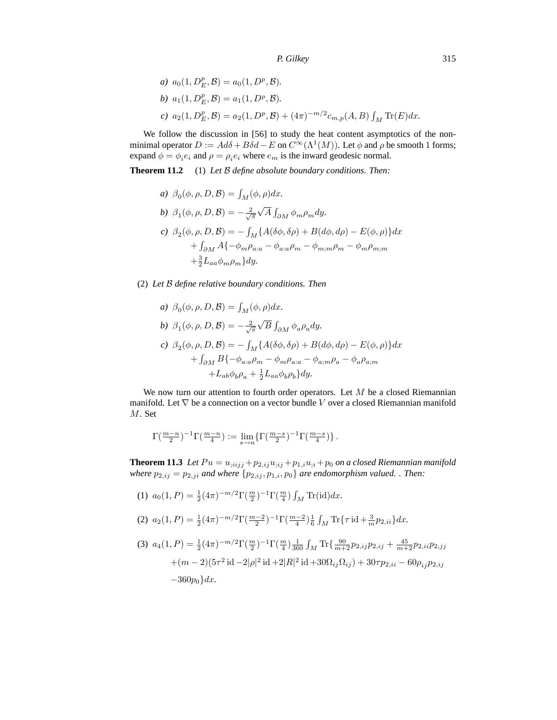a) 
$$
a_0(1, D_E^p, \mathcal{B}) = a_0(1, D^p, \mathcal{B}).
$$
  
\nb)  $a_1(1, D_E^p, \mathcal{B}) = a_1(1, D^p, \mathcal{B}).$   
\nc)  $a_2(1, D_E^p, \mathcal{B}) = a_2(1, D^p, \mathcal{B}) + (4\pi)^{-m/2} c_{m,p}(A, B) \int_M \text{Tr}(E) dx.$ 

We follow the discussion in [56] to study the heat content asymptotics of the nonminimal operator  $D := Ad\delta + B\delta d - E$  on  $C^{\infty}(\Lambda^1(M))$ . Let  $\phi$  and  $\rho$  be smooth 1 forms; expand  $\phi = \phi_i e_i$  and  $\rho = \rho_i e_i$  where  $e_m$  is the inward geodesic normal.

**Theorem 11.2** (1) *Let* B *define absolute boundary conditions. Then:*

a) 
$$
\beta_0(\phi, \rho, D, \mathcal{B}) = \int_M (\phi, \rho) dx
$$
.  
\nb)  $\beta_1(\phi, \rho, D, \mathcal{B}) = -\frac{2}{\sqrt{\pi}} \sqrt{A} \int_{\partial M} \phi_m \rho_m dy$ .  
\nc)  $\beta_2(\phi, \rho, D, \mathcal{B}) = -\int_M \{A(\delta\phi, \delta\rho) + B(d\phi, d\rho) - E(\phi, \rho)\} dx$   
\t $+ \int_{\partial M} A\{-\phi_m \rho_{a:a} - \phi_{a:a} \rho_m - \phi_{m;m} \rho_m - \phi_m \rho_{m;m}$   
\t $+ \frac{3}{2} L_{aa} \phi_m \rho_m \} dy$ .

### (2) *Let* B *define relative boundary conditions. Then*

a) 
$$
\beta_0(\phi, \rho, D, \mathcal{B}) = \int_M (\phi, \rho) dx
$$
.  
\nb)  $\beta_1(\phi, \rho, D, \mathcal{B}) = -\frac{2}{\sqrt{\pi}} \sqrt{B} \int_{\partial M} \phi_a \rho_a dy$ .  
\nc)  $\beta_2(\phi, \rho, D, \mathcal{B}) = -\int_M \{A(\delta\phi, \delta\rho) + B(d\phi, d\rho) - E(\phi, \rho)\} dx$   
\t $+ \int_{\partial M} B\{-\phi_{a:a}\rho_m - \phi_m \rho_{a:a} - \phi_{a;m}\rho_a - \phi_a \rho_{a;m}$   
\t $+ L_{ab}\phi_b \rho_a + \frac{1}{2} L_{aa}\phi_b \rho_b\} dy$ .

We now turn our attention to fourth order operators. Let  $M$  be a closed Riemannian manifold. Let  $\nabla$  be a connection on a vector bundle V over a closed Riemannian manifold M. Set

$$
\Gamma(\tfrac{m-n}{2})^{-1}\Gamma(\tfrac{m-n}{4}) := \lim_{s\to n}\{\Gamma(\tfrac{m-s}{2})^{-1}\Gamma(\tfrac{m-s}{4})\}\,.
$$

**Theorem 11.3** Let  $Pu = u_{;iijj} + p_{2,ij}u_{;ij} + p_{1,i}u_{;i} + p_0$  on a closed Riemannian manifold *where*  $p_{2,ij} = p_{2,ji}$  *and where*  $\{p_{2,ij}, p_{1,i}, p_0\}$  *are endomorphism valued.* . Then:

(1) 
$$
a_0(1, P) = \frac{1}{2} (4\pi)^{-m/2} \Gamma(\frac{m}{2})^{-1} \Gamma(\frac{m}{4}) \int_M \text{Tr}(\text{id}) dx.
$$

(2) 
$$
a_2(1, P) = \frac{1}{2}(4\pi)^{-m/2} \Gamma(\frac{m-2}{2})^{-1} \Gamma(\frac{m-2}{4}) \frac{1}{6} \int_M \text{Tr}\{\tau \operatorname{id} + \frac{3}{m} p_{2,ii}\} dx.
$$

(3) 
$$
a_4(1, P) = \frac{1}{2}(4\pi)^{-m/2} \Gamma(\frac{m}{2})^{-1} \Gamma(\frac{m}{4}) \frac{1}{360} \int_M \text{Tr}\left\{\frac{90}{m+2} p_{2,ij} p_{2,ij} + \frac{45}{m+2} p_{2,ii} p_{2,jj}\right\}
$$
  
  $+ (m-2)(5\tau^2 \text{ id} - 2|\rho|^2 \text{ id} + 2|R|^2 \text{ id} + 30\Omega_{ij}\Omega_{ij}) + 30\tau p_{2,ii} - 60\rho_{ij} p_{2,ij}$   
  $-360p_0\}dx.$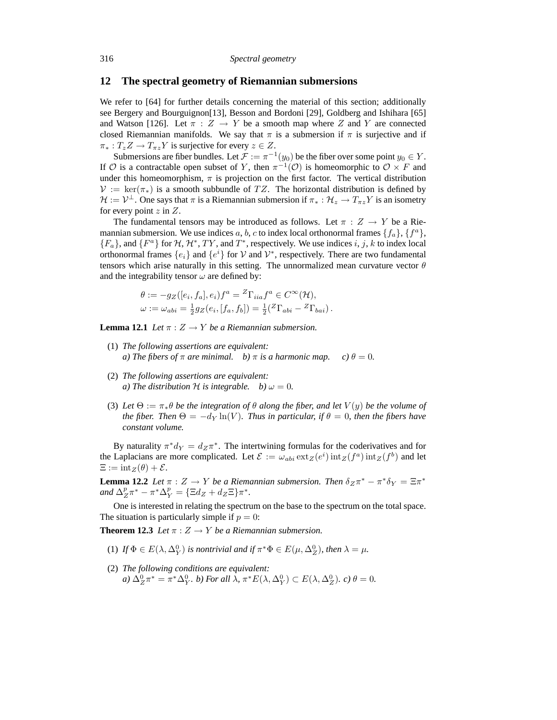#### **12 The spectral geometry of Riemannian submersions**

We refer to [64] for further details concerning the material of this section; additionally see Bergery and Bourguignon[13], Besson and Bordoni [29], Goldberg and Ishihara [65] and Watson [126]. Let  $\pi : Z \to Y$  be a smooth map where Z and Y are connected closed Riemannian manifolds. We say that  $\pi$  is a submersion if  $\pi$  is surjective and if  $\pi_*: T_z Z \to T_{\pi z} Y$  is surjective for every  $z \in Z$ .

Submersions are fiber bundles. Let  $\mathcal{F} := \pi^{-1}(y_0)$  be the fiber over some point  $y_0 \in Y$ . If O is a contractable open subset of Y, then  $\pi^{-1}(\mathcal{O})$  is homeomorphic to  $\mathcal{O} \times F$  and under this homeomorphism,  $\pi$  is projection on the first factor. The vertical distribution  $\mathcal{V} := \ker(\pi_*)$  is a smooth subbundle of TZ. The horizontal distribution is defined by  $\mathcal{H} := \mathcal{V}^\perp$ . One says that  $\pi$  is a Riemannian submersion if  $\pi_* : \mathcal{H}_z \to T_{\pi z} Y$  is an isometry for every point  $z$  in  $Z$ .

The fundamental tensors may be introduced as follows. Let  $\pi : Z \to Y$  be a Riemannian submersion. We use indices a, b, c to index local orthonormal frames  $\{f_a\}$ ,  $\{f^a\}$ ,  ${F_a}$ , and  ${F^a}$  for  $H, H^*, TY$ , and  $T^*$ , respectively. We use indices i, j, k to index local orthonormal frames  $\{e_i\}$  and  $\{e^i\}$  for  $\mathcal V$  and  $\mathcal V^*$ , respectively. There are two fundamental tensors which arise naturally in this setting. The unnormalized mean curvature vector  $\theta$ and the integrability tensor  $\omega$  are defined by:

$$
\theta := -g_Z([e_i, f_a], e_i) f^a = {}^Z\Gamma_{iia} f^a \in C^\infty(\mathcal{H}),
$$
  

$$
\omega := \omega_{abi} = \frac{1}{2} g_Z(e_i, [f_a, f_b]) = \frac{1}{2} ({}^Z\Gamma_{abi} - {}^Z\Gamma_{bai}).
$$

**Lemma 12.1** *Let*  $\pi$  :  $Z \rightarrow Y$  *be a Riemannian submersion.* 

- (1) *The following assertions are equivalent: a)* The fibers of  $\pi$  are minimal. b)  $\pi$  is a harmonic map. c)  $\theta = 0$ .
- (2) *The following assertions are equivalent: a)* The distribution H is integrable. b)  $\omega = 0$ .
- (3) Let  $\Theta := \pi_* \theta$  *be the integration of*  $\theta$  *along the fiber, and let*  $V(y)$  *be the volume of the fiber. Then*  $\Theta = -d_Y \ln(V)$ *. Thus in particular, if*  $\theta = 0$ *, then the fibers have constant volume.*

By naturality  $\pi^* d_Y = d_Z \pi^*$ . The intertwining formulas for the coderivatives and for the Laplacians are more complicated. Let  $\mathcal{E} := \omega_{abi} \exp(e^i) \operatorname{int}_Z(f^a) \operatorname{int}_Z(f^b)$  and let  $\Xi := \mathrm{int}_Z(\theta) + \mathcal{E}.$ 

**Lemma 12.2** *Let*  $\pi$  :  $Z \to Y$  *be a Riemannian submersion. Then*  $\delta_Z \pi^* - \pi^* \delta_Y = \Xi \pi^*$ and  $\Delta_Z^p \pi^* - \pi^* \Delta_Y^p = {\Xi d_Z + d_Z \Xi} \pi^*$ .

One is interested in relating the spectrum on the base to the spectrum on the total space. The situation is particularly simple if  $p = 0$ :

**Theorem 12.3** *Let*  $\pi$  :  $Z \rightarrow Y$  *be a Riemannian submersion.* 

- (1) If  $\Phi \in E(\lambda, \Delta_Y^0)$  is nontrivial and if  $\pi^* \Phi \in E(\mu, \Delta_Z^0)$ , then  $\lambda = \mu$ .
- (2) *The following conditions are equivalent: a*)  $\Delta_Z^0 \pi^* = \pi^* \Delta_Y^0$ *. b) For all*  $\lambda$ ,  $\pi^* E(\lambda, \Delta_Y^0) \subset E(\lambda, \Delta_Z^0)$ *. c)*  $\theta = 0$ *.*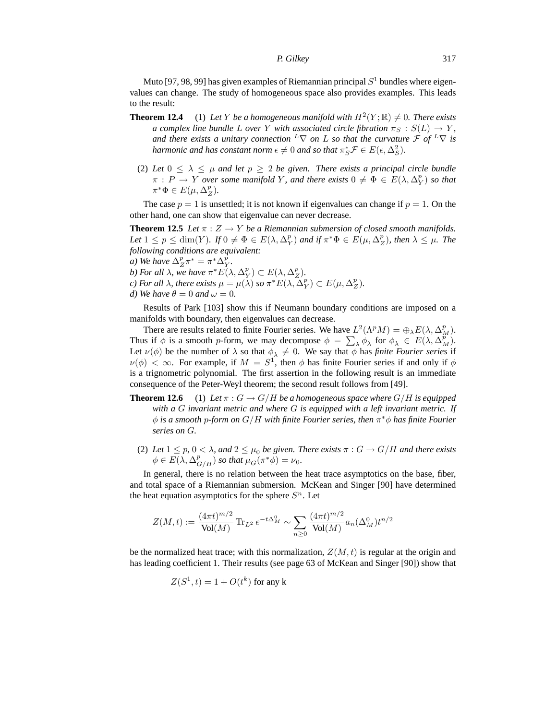Muto [97, 98, 99] has given examples of Riemannian principal  $S<sup>1</sup>$  bundles where eigenvalues can change. The study of homogeneous space also provides examples. This leads to the result:

- **Theorem 12.4** (1) Let Y be a homogeneous manifold with  $H^2(Y; \mathbb{R}) \neq 0$ . There exists *a complex line bundle* L *over* Y *with associated circle fibration*  $\pi_S : S(L) \to Y$ *, and there exists a unitary connection*  ${}^L\nabla$  *on* L *so that the curvature*  $\mathcal{F}$  *of*  ${}^L\nabla$  *is harmonic and has constant norm*  $\epsilon \neq 0$  *and so that*  $\pi_S^* \mathcal{F} \in E(\epsilon, \Delta_S^2)$ *.*
- (2) Let  $0 \leq \lambda \leq \mu$  and let  $p \geq 2$  be given. There exists a principal circle bundle  $\pi$  :  $P \to Y$  *over some manifold* Y, and there exists  $0 \neq \Phi \in E(\lambda, \Delta_Y^p)$  so that  $\pi^*\Phi \in E(\mu, \Delta_Z^p).$

The case  $p = 1$  is unsettled; it is not known if eigenvalues can change if  $p = 1$ . On the other hand, one can show that eigenvalue can never decrease.

**Theorem 12.5** *Let*  $\pi$  :  $Z \rightarrow Y$  *be a Riemannian submersion of closed smooth manifolds. Let*  $1 \leq p \leq \dim(Y)$ *.* If  $0 \neq \Phi \in E(\lambda, \Delta_Y^p)$  and if  $\pi^* \Phi \in E(\mu, \Delta_Z^p)$ *, then*  $\lambda \leq \mu$ *. The following conditions are equivalent:*

- *a*) We have  $\Delta_Z^p \pi^* = \pi^* \Delta_Y^p$ .
- *b*) For all  $\lambda$ , we have  $\pi^* E(\lambda, \Delta_Y^p) \subset E(\lambda, \Delta_Z^p)$ .
- *c)* For all  $\lambda$ , there exists  $\mu = \mu(\lambda)$  so  $\pi^* E(\lambda, \Delta_Y^p) \subset E(\mu, \Delta_Z^p)$ .
- *d)* We have  $\theta = 0$  and  $\omega = 0$ .

Results of Park [103] show this if Neumann boundary conditions are imposed on a manifolds with boundary, then eigenvalues can decrease.

There are results related to finite Fourier series. We have  $L^2(\Lambda^pM) = \bigoplus_{\lambda} E(\lambda, \Delta_M^p)$ . Thus if  $\phi$  is a smooth p-form, we may decompose  $\phi = \sum_{\lambda} \phi_{\lambda}$  for  $\phi_{\lambda} \in E(\lambda, \Delta_{M}^{\vec{p}})$ . Let  $\nu(\phi)$  be the number of  $\lambda$  so that  $\phi_{\lambda} \neq 0$ . We say that  $\phi$  has *finite Fourier series* if  $\nu(\phi) < \infty$ . For example, if  $M = S^1$ , then  $\phi$  has finite Fourier series if and only if  $\phi$ is a trignometric polynomial. The first assertion in the following result is an immediate consequence of the Peter-Weyl theorem; the second result follows from [49].

- **Theorem 12.6** (1) Let  $\pi$  :  $G \rightarrow G/H$  be a homogeneous space where  $G/H$  is equipped *with a* G *invariant metric and where* G *is equipped with a left invariant metric. If* φ *is a smooth* p*-form on* G/H *with finite Fourier series, then* π <sup>∗</sup>φ *has finite Fourier series on* G*.*
	- (2) Let  $1 \leq p$ ,  $0 < \lambda$ , and  $2 \leq \mu_0$  be given. There exists  $\pi : G \to G/H$  and there exists  $\phi \in E(\lambda, \Delta_{G/H}^p)$  so that  $\mu_G(\pi^* \phi) = \nu_0$ .

In general, there is no relation between the heat trace asymptotics on the base, fiber, and total space of a Riemannian submersion. McKean and Singer [90] have determined the heat equation asymptotics for the sphere  $S<sup>n</sup>$ . Let

$$
Z(M,t) := \frac{(4\pi t)^{m/2}}{\text{Vol}(M)} \operatorname{Tr}_{L^2} e^{-t\Delta_M^0} \sim \sum_{n\geq 0} \frac{(4\pi t)^{m/2}}{\text{Vol}(M)} a_n(\Delta_M^0) t^{n/2}
$$

be the normalized heat trace; with this normalization,  $Z(M, t)$  is regular at the origin and has leading coefficient 1. Their results (see page 63 of McKean and Singer [90]) show that

$$
Z(S^1, t) = 1 + O(t^k)
$$
 for any k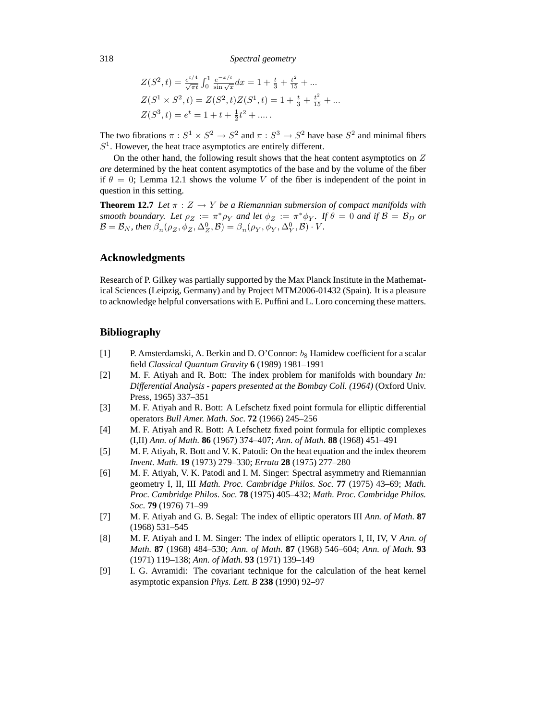318 *Spectral geometry*

$$
Z(S^2, t) = \frac{e^{t/4}}{\sqrt{\pi t}} \int_0^1 \frac{e^{-x/t}}{\sin \sqrt{x}} dx = 1 + \frac{t}{3} + \frac{t^2}{15} + \dots
$$
  
\n
$$
Z(S^1 \times S^2, t) = Z(S^2, t) Z(S^1, t) = 1 + \frac{t}{3} + \frac{t^2}{15} + \dots
$$
  
\n
$$
Z(S^3, t) = e^t = 1 + t + \frac{1}{2}t^2 + \dots
$$

The two fibrations  $\pi : S^1 \times S^2 \to S^2$  and  $\pi : S^3 \to S^2$  have base  $S^2$  and minimal fibers  $S<sup>1</sup>$ . However, the heat trace asymptotics are entirely different.

On the other hand, the following result shows that the heat content asymptotics on  $Z$ *are* determined by the heat content asymptotics of the base and by the volume of the fiber if  $\theta = 0$ ; Lemma 12.1 shows the volume V of the fiber is independent of the point in question in this setting.

**Theorem 12.7** *Let*  $\pi$  :  $Z \rightarrow Y$  *be a Riemannian submersion of compact manifolds with smooth boundary. Let*  $\rho_Z := \pi^* \rho_Y$  *and let*  $\phi_Z := \pi^* \phi_Y$ *. If*  $\theta = 0$  *and if*  $\mathcal{B} = \mathcal{B}_D$  *or*  $\mathcal{B} = \mathcal{B}_N$ , then  $\beta_n(\rho_Z, \phi_Z, \Delta_Z^0, \mathcal{B}) = \beta_n(\rho_Y, \phi_Y, \Delta_Y^0, \mathcal{B}) \cdot V$ .

### **Acknowledgments**

Research of P. Gilkey was partially supported by the Max Planck Institute in the Mathematical Sciences (Leipzig, Germany) and by Project MTM2006-01432 (Spain). It is a pleasure to acknowledge helpful conversations with E. Puffini and L. Loro concerning these matters.

### **Bibliography**

- [1] P. Amsterdamski, A. Berkin and D. O'Connor:  $b_8$  Hamidew coefficient for a scalar field *Classical Quantum Gravity* **6** (1989) 1981–1991
- [2] M. F. Atiyah and R. Bott: The index problem for manifolds with boundary *In: Differential Analysis - papers presented at the Bombay Coll. (1964)* (Oxford Univ. Press, 1965) 337–351
- [3] M. F. Atiyah and R. Bott: A Lefschetz fixed point formula for elliptic differential operators *Bull Amer. Math. Soc.* **72** (1966) 245–256
- [4] M. F. Atiyah and R. Bott: A Lefschetz fixed point formula for elliptic complexes (I,II) *Ann. of Math.* **86** (1967) 374–407; *Ann. of Math.* **88** (1968) 451–491
- [5] M. F. Atiyah, R. Bott and V. K. Patodi: On the heat equation and the index theorem *Invent. Math.* **19** (1973) 279–330; *Errata* **28** (1975) 277–280
- [6] M. F. Atiyah, V. K. Patodi and I. M. Singer: Spectral asymmetry and Riemannian geometry I, II, III *Math. Proc. Cambridge Philos. Soc.* **77** (1975) 43–69; *Math. Proc. Cambridge Philos. Soc.* **78** (1975) 405–432; *Math. Proc. Cambridge Philos. Soc.* **79** (1976) 71–99
- [7] M. F. Atiyah and G. B. Segal: The index of elliptic operators III *Ann. of Math.* **87** (1968) 531–545
- [8] M. F. Atiyah and I. M. Singer: The index of elliptic operators I, II, IV, V *Ann. of Math.* **87** (1968) 484–530; *Ann. of Math.* **87** (1968) 546–604; *Ann. of Math.* **93** (1971) 119–138; *Ann. of Math.* **93** (1971) 139–149
- [9] I. G. Avramidi: The covariant technique for the calculation of the heat kernel asymptotic expansion *Phys. Lett. B* **238** (1990) 92–97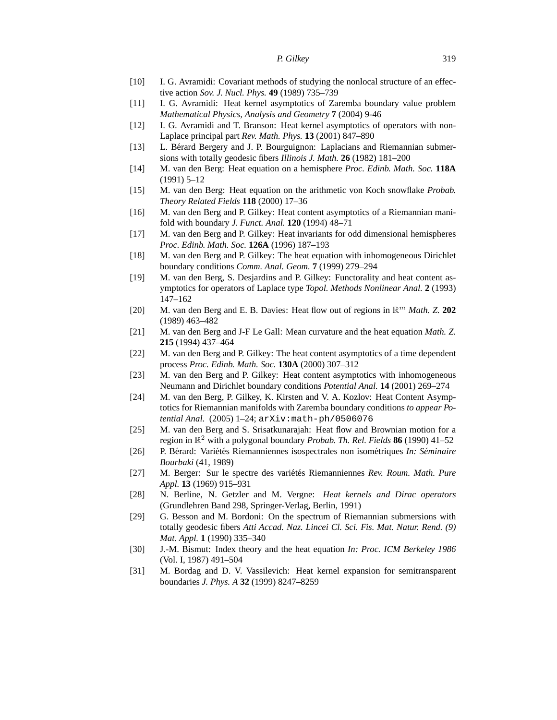- [10] I. G. Avramidi: Covariant methods of studying the nonlocal structure of an effective action *Sov. J. Nucl. Phys.* **49** (1989) 735–739
- [11] I. G. Avramidi: Heat kernel asymptotics of Zaremba boundary value problem *Mathematical Physics, Analysis and Geometry* **7** (2004) 9-46
- [12] I. G. Avramidi and T. Branson: Heat kernel asymptotics of operators with non-Laplace principal part *Rev. Math. Phys.* **13** (2001) 847–890
- [13] L. Berard Bergery and J. P. Bourguignon: Laplacians and Riemannian submer- ´ sions with totally geodesic fibers *Illinois J. Math.* **26** (1982) 181–200
- [14] M. van den Berg: Heat equation on a hemisphere *Proc. Edinb. Math. Soc.* **118A** (1991) 5–12
- [15] M. van den Berg: Heat equation on the arithmetic von Koch snowflake *Probab. Theory Related Fields* **118** (2000) 17–36
- [16] M. van den Berg and P. Gilkey: Heat content asymptotics of a Riemannian manifold with boundary *J. Funct. Anal.* **120** (1994) 48–71
- [17] M. van den Berg and P. Gilkey: Heat invariants for odd dimensional hemispheres *Proc. Edinb. Math. Soc.* **126A** (1996) 187–193
- [18] M. van den Berg and P. Gilkey: The heat equation with inhomogeneous Dirichlet boundary conditions *Comm. Anal. Geom.* **7** (1999) 279–294
- [19] M. van den Berg, S. Desjardins and P. Gilkey: Functorality and heat content asymptotics for operators of Laplace type *Topol. Methods Nonlinear Anal.* **2** (1993) 147–162
- [20] M. van den Berg and E. B. Davies: Heat flow out of regions in  $\mathbb{R}^m$  *Math. Z.* 202 (1989) 463–482
- [21] M. van den Berg and J-F Le Gall: Mean curvature and the heat equation *Math. Z.* **215** (1994) 437–464
- [22] M. van den Berg and P. Gilkey: The heat content asymptotics of a time dependent process *Proc. Edinb. Math. Soc.* **130A** (2000) 307–312
- [23] M. van den Berg and P. Gilkey: Heat content asymptotics with inhomogeneous Neumann and Dirichlet boundary conditions *Potential Anal.* **14** (2001) 269–274
- [24] M. van den Berg, P. Gilkey, K. Kirsten and V. A. Kozlov: Heat Content Asymptotics for Riemannian manifolds with Zaremba boundary conditions *to appear Potential Anal.* (2005) 1–24; arXiv:math-ph/0506076
- [25] M. van den Berg and S. Srisatkunarajah: Heat flow and Brownian motion for a region in R <sup>2</sup> with a polygonal boundary *Probab. Th. Rel. Fields* **86** (1990) 41–52
- [26] P. Bérard: Variétés Riemanniennes isospectrales non isométriques *In: Séminaire Bourbaki* (41, 1989)
- [27] M. Berger: Sur le spectre des variétés Riemanniennes Rev. Roum. Math. Pure *Appl.* **13** (1969) 915–931
- [28] N. Berline, N. Getzler and M. Vergne: *Heat kernels and Dirac operators* (Grundlehren Band 298, Springer-Verlag, Berlin, 1991)
- [29] G. Besson and M. Bordoni: On the spectrum of Riemannian submersions with totally geodesic fibers *Atti Accad. Naz. Lincei Cl. Sci. Fis. Mat. Natur. Rend. (9) Mat. Appl.* **1** (1990) 335–340
- [30] J.-M. Bismut: Index theory and the heat equation *In: Proc. ICM Berkeley 1986* (Vol. I, 1987) 491–504
- [31] M. Bordag and D. V. Vassilevich: Heat kernel expansion for semitransparent boundaries *J. Phys. A* **32** (1999) 8247–8259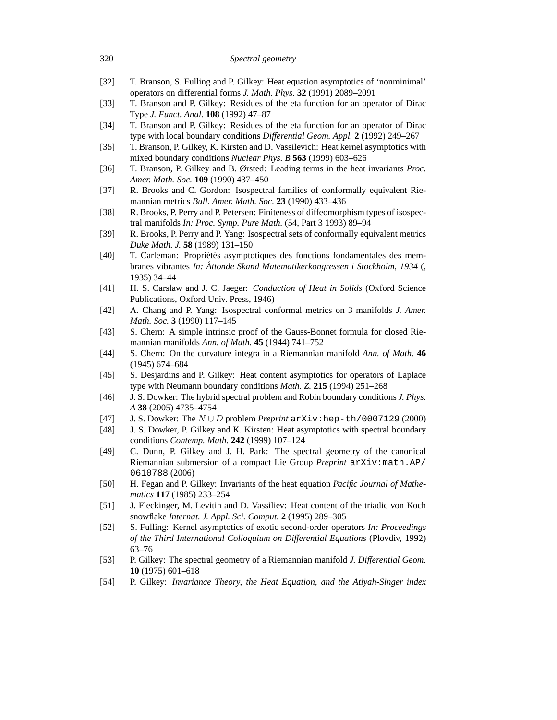# [32] T. Branson, S. Fulling and P. Gilkey: Heat equation asymptotics of 'nonminimal' operators on differential forms *J. Math. Phys.* **32** (1991) 2089–2091 [33] T. Branson and P. Gilkey: Residues of the eta function for an operator of Dirac Type *J. Funct. Anal.* **108** (1992) 47–87 [34] T. Branson and P. Gilkey: Residues of the eta function for an operator of Dirac type with local boundary conditions *Differential Geom. Appl.* **2** (1992) 249–267 [35] T. Branson, P. Gilkey, K. Kirsten and D. Vassilevich: Heat kernel asymptotics with mixed boundary conditions *Nuclear Phys. B* **563** (1999) 603–626 [36] T. Branson, P. Gilkey and B. Ørsted: Leading terms in the heat invariants *Proc. Amer. Math. Soc.* **109** (1990) 437–450 [37] R. Brooks and C. Gordon: Isospectral families of conformally equivalent Riemannian metrics *Bull. Amer. Math. Soc.* **23** (1990) 433–436 [38] R. Brooks, P. Perry and P. Petersen: Finiteness of diffeomorphism types of isospectral manifolds *In: Proc. Symp. Pure Math.* (54, Part 3 1993) 89–94 [39] R. Brooks, P. Perry and P. Yang: Isospectral sets of conformally equivalent metrics *Duke Math. J.* **58** (1989) 131–150 [40] T. Carleman: Propriétés asymptotiques des fonctions fondamentales des membranes vibrantes *In: Attonde Skand Matematikerkongressen i Stockholm, 1934 ˚* (, 1935) 34–44 [41] H. S. Carslaw and J. C. Jaeger: *Conduction of Heat in Solids* (Oxford Science Publications, Oxford Univ. Press, 1946) [42] A. Chang and P. Yang: Isospectral conformal metrics on 3 manifolds *J. Amer. Math. Soc.* **3** (1990) 117–145 [43] S. Chern: A simple intrinsic proof of the Gauss-Bonnet formula for closed Riemannian manifolds *Ann. of Math.* **45** (1944) 741–752 [44] S. Chern: On the curvature integra in a Riemannian manifold *Ann. of Math.* **46** (1945) 674–684 [45] S. Desjardins and P. Gilkey: Heat content asymptotics for operators of Laplace type with Neumann boundary conditions *Math. Z.* **215** (1994) 251–268 [46] J. S. Dowker: The hybrid spectral problem and Robin boundary conditions *J. Phys. A* **38** (2005) 4735–4754 [47] J. S. Dowker: The N ∪ D problem *Preprint* arXiv:hep-th/0007129 (2000) [48] J. S. Dowker, P. Gilkey and K. Kirsten: Heat asymptotics with spectral boundary conditions *Contemp. Math.* **242** (1999) 107–124 [49] C. Dunn, P. Gilkey and J. H. Park: The spectral geometry of the canonical Riemannian submersion of a compact Lie Group *Preprint* arXiv:math.AP/ 0610788 (2006) [50] H. Fegan and P. Gilkey: Invariants of the heat equation *Pacific Journal of Mathematics* **117** (1985) 233–254 [51] J. Fleckinger, M. Levitin and D. Vassiliev: Heat content of the triadic von Koch

- *of the Third International Colloquium on Differential Equations* (Plovdiv, 1992) 63–76
- [53] P. Gilkey: The spectral geometry of a Riemannian manifold *J. Differential Geom.* **10** (1975) 601–618
- [54] P. Gilkey: *Invariance Theory, the Heat Equation, and the Atiyah-Singer index*

#### 320 *Spectral geometry*

- snowflake *Internat. J. Appl. Sci. Comput.* **2** (1995) 289–305
- [52] S. Fulling: Kernel asymptotics of exotic second-order operators *In: Proceedings*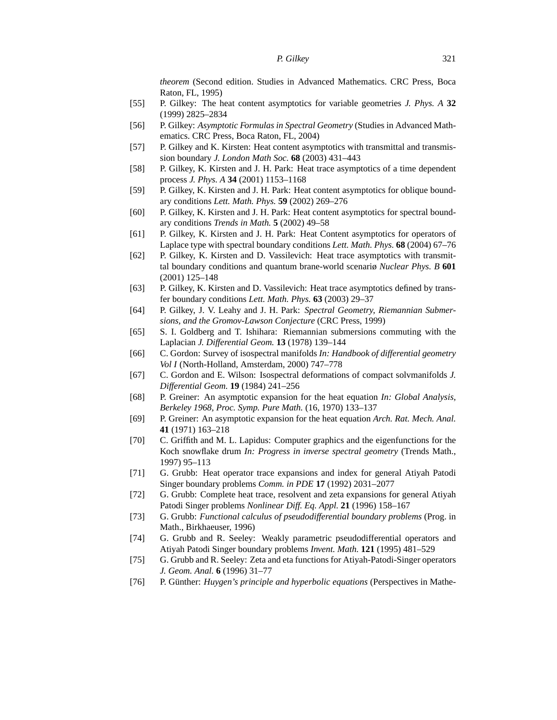*theorem* (Second edition. Studies in Advanced Mathematics. CRC Press, Boca Raton, FL, 1995)

- [55] P. Gilkey: The heat content asymptotics for variable geometries *J. Phys. A* **32** (1999) 2825–2834
- [56] P. Gilkey: *Asymptotic Formulas in Spectral Geometry* (Studies in Advanced Mathematics. CRC Press, Boca Raton, FL, 2004)
- [57] P. Gilkey and K. Kirsten: Heat content asymptotics with transmittal and transmission boundary *J. London Math Soc.* **68** (2003) 431–443
- [58] P. Gilkey, K. Kirsten and J. H. Park: Heat trace asymptotics of a time dependent process *J. Phys. A* **34** (2001) 1153–1168
- [59] P. Gilkey, K. Kirsten and J. H. Park: Heat content asymptotics for oblique boundary conditions *Lett. Math. Phys.* **59** (2002) 269–276
- [60] P. Gilkey, K. Kirsten and J. H. Park: Heat content asymptotics for spectral boundary conditions *Trends in Math.* **5** (2002) 49–58
- [61] P. Gilkey, K. Kirsten and J. H. Park: Heat Content asymptotics for operators of Laplace type with spectral boundary conditions *Lett. Math. Phys.* **68** (2004) 67–76
- [62] P. Gilkey, K. Kirsten and D. Vassilevich: Heat trace asymptotics with transmittal boundary conditions and quantum brane-world scenariø *Nuclear Phys. B* **601** (2001) 125–148
- [63] P. Gilkey, K. Kirsten and D. Vassilevich: Heat trace asymptotics defined by transfer boundary conditions *Lett. Math. Phys.* **63** (2003) 29–37
- [64] P. Gilkey, J. V. Leahy and J. H. Park: *Spectral Geometry, Riemannian Submersions, and the Gromov-Lawson Conjecture* (CRC Press, 1999)
- [65] S. I. Goldberg and T. Ishihara: Riemannian submersions commuting with the Laplacian *J. Differential Geom.* **13** (1978) 139–144
- [66] C. Gordon: Survey of isospectral manifolds *In: Handbook of differential geometry Vol I* (North-Holland, Amsterdam, 2000) 747–778
- [67] C. Gordon and E. Wilson: Isospectral deformations of compact solvmanifolds *J. Differential Geom.* **19** (1984) 241–256
- [68] P. Greiner: An asymptotic expansion for the heat equation *In: Global Analysis, Berkeley 1968, Proc. Symp. Pure Math.* (16, 1970) 133–137
- [69] P. Greiner: An asymptotic expansion for the heat equation *Arch. Rat. Mech. Anal.* **41** (1971) 163–218
- [70] C. Griffith and M. L. Lapidus: Computer graphics and the eigenfunctions for the Koch snowflake drum *In: Progress in inverse spectral geometry* (Trends Math., 1997) 95–113
- [71] G. Grubb: Heat operator trace expansions and index for general Atiyah Patodi Singer boundary problems *Comm. in PDE* **17** (1992) 2031–2077
- [72] G. Grubb: Complete heat trace, resolvent and zeta expansions for general Atiyah Patodi Singer problems *Nonlinear Diff. Eq. Appl.* **21** (1996) 158–167
- [73] G. Grubb: *Functional calculus of pseudodifferential boundary problems* (Prog. in Math., Birkhaeuser, 1996)
- [74] G. Grubb and R. Seeley: Weakly parametric pseudodifferential operators and Atiyah Patodi Singer boundary problems *Invent. Math.* **121** (1995) 481–529
- [75] G. Grubb and R. Seeley: Zeta and eta functions for Atiyah-Patodi-Singer operators *J. Geom. Anal.* **6** (1996) 31–77
- [76] P. Günther: *Huygen's principle and hyperbolic equations* (Perspectives in Mathe-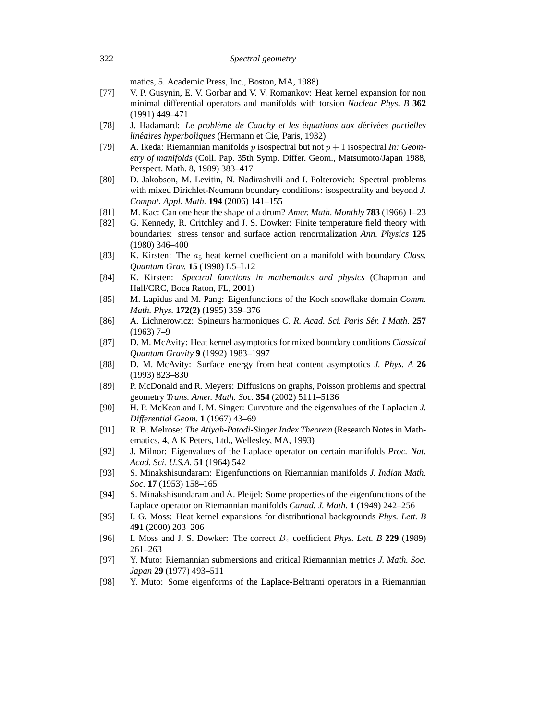matics, 5. Academic Press, Inc., Boston, MA, 1988)

- [77] V. P. Gusynin, E. V. Gorbar and V. V. Romankov: Heat kernel expansion for non minimal differential operators and manifolds with torsion *Nuclear Phys. B* **362** (1991) 449–471
- [78] J. Hadamard: *Le probleme de Cauchy et les ` equations aux d ` eriv ´ ees partielles ´ linéaires hyperboliques (Hermann et Cie, Paris, 1932)*
- [79] A. Ikeda: Riemannian manifolds p isospectral but not p + 1 isospectral *In: Geometry of manifolds* (Coll. Pap. 35th Symp. Differ. Geom., Matsumoto/Japan 1988, Perspect. Math. 8, 1989) 383–417
- [80] D. Jakobson, M. Levitin, N. Nadirashvili and I. Polterovich: Spectral problems with mixed Dirichlet-Neumann boundary conditions: isospectrality and beyond *J. Comput. Appl. Math.* **194** (2006) 141–155
- [81] M. Kac: Can one hear the shape of a drum? *Amer. Math. Monthly* **783** (1966) 1–23
- [82] G. Kennedy, R. Critchley and J. S. Dowker: Finite temperature field theory with boundaries: stress tensor and surface action renormalization *Ann. Physics* **125** (1980) 346–400
- [83] K. Kirsten: The a<sup>5</sup> heat kernel coefficient on a manifold with boundary *Class. Quantum Grav.* **15** (1998) L5–L12
- [84] K. Kirsten: *Spectral functions in mathematics and physics* (Chapman and Hall/CRC, Boca Raton, FL, 2001)
- [85] M. Lapidus and M. Pang: Eigenfunctions of the Koch snowflake domain *Comm. Math. Phys.* **172(2)** (1995) 359–376
- [86] A. Lichnerowicz: Spineurs harmoniques *C. R. Acad. Sci. Paris Ser. I Math. ´* **257** (1963) 7–9
- [87] D. M. McAvity: Heat kernel asymptotics for mixed boundary conditions *Classical Quantum Gravity* **9** (1992) 1983–1997
- [88] D. M. McAvity: Surface energy from heat content asymptotics *J. Phys. A* **26** (1993) 823–830
- [89] P. McDonald and R. Meyers: Diffusions on graphs, Poisson problems and spectral geometry *Trans. Amer. Math. Soc.* **354** (2002) 5111–5136
- [90] H. P. McKean and I. M. Singer: Curvature and the eigenvalues of the Laplacian *J. Differential Geom.* **1** (1967) 43–69
- [91] R. B. Melrose: *The Atiyah-Patodi-Singer Index Theorem* (Research Notes in Mathematics, 4, A K Peters, Ltd., Wellesley, MA, 1993)
- [92] J. Milnor: Eigenvalues of the Laplace operator on certain manifolds *Proc. Nat. Acad. Sci. U.S.A.* **51** (1964) 542
- [93] S. Minakshisundaram: Eigenfunctions on Riemannian manifolds *J. Indian Math. Soc.* **17** (1953) 158–165
- [94] S. Minakshisundaram and Å. Pleijel: Some properties of the eigenfunctions of the Laplace operator on Riemannian manifolds *Canad. J. Math.* **1** (1949) 242–256
- [95] I. G. Moss: Heat kernel expansions for distributional backgrounds *Phys. Lett. B* **491** (2000) 203–206
- [96] I. Moss and J. S. Dowker: The correct B<sup>4</sup> coefficient *Phys. Lett. B* **229** (1989) 261–263
- [97] Y. Muto: Riemannian submersions and critical Riemannian metrics *J. Math. Soc. Japan* **29** (1977) 493–511
- [98] Y. Muto: Some eigenforms of the Laplace-Beltrami operators in a Riemannian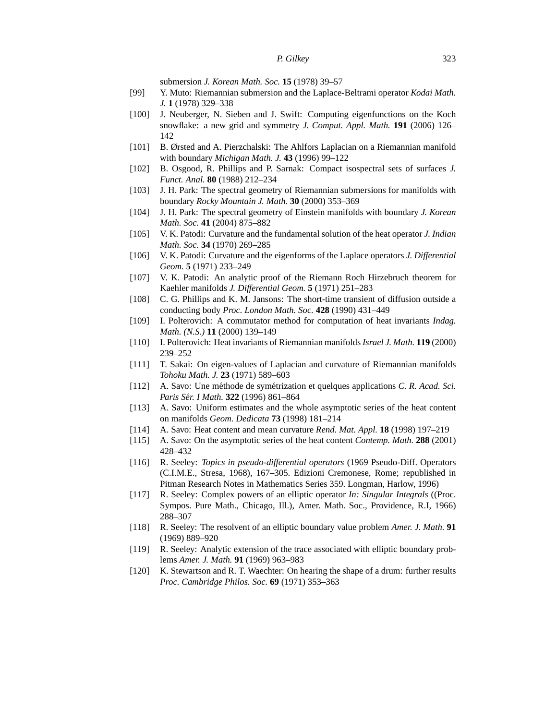submersion *J. Korean Math. Soc.* **15** (1978) 39–57

- [99] Y. Muto: Riemannian submersion and the Laplace-Beltrami operator *Kodai Math. J.* **1** (1978) 329–338
- [100] J. Neuberger, N. Sieben and J. Swift: Computing eigenfunctions on the Koch snowflake: a new grid and symmetry *J. Comput. Appl. Math.* **191** (2006) 126– 142
- [101] B. Ørsted and A. Pierzchalski: The Ahlfors Laplacian on a Riemannian manifold with boundary *Michigan Math. J.* **43** (1996) 99–122
- [102] B. Osgood, R. Phillips and P. Sarnak: Compact isospectral sets of surfaces *J. Funct. Anal.* **80** (1988) 212–234
- [103] J. H. Park: The spectral geometry of Riemannian submersions for manifolds with boundary *Rocky Mountain J. Math.* **30** (2000) 353–369
- [104] J. H. Park: The spectral geometry of Einstein manifolds with boundary *J. Korean Math. Soc.* **41** (2004) 875–882
- [105] V. K. Patodi: Curvature and the fundamental solution of the heat operator *J. Indian Math. Soc.* **34** (1970) 269–285
- [106] V. K. Patodi: Curvature and the eigenforms of the Laplace operators *J. Differential Geom.* **5** (1971) 233–249
- [107] V. K. Patodi: An analytic proof of the Riemann Roch Hirzebruch theorem for Kaehler manifolds *J. Differential Geom.* **5** (1971) 251–283
- [108] C. G. Phillips and K. M. Jansons: The short-time transient of diffusion outside a conducting body *Proc. London Math. Soc.* **428** (1990) 431–449
- [109] I. Polterovich: A commutator method for computation of heat invariants *Indag. Math. (N.S.)* **11** (2000) 139–149
- [110] I. Polterovich: Heat invariants of Riemannian manifolds *Israel J. Math.* **119** (2000) 239–252
- [111] T. Sakai: On eigen-values of Laplacian and curvature of Riemannian manifolds *Tohoku Math. J.* **23** (1971) 589–603
- [112] A. Savo: Une méthode de symétrization et quelques applications *C. R. Acad. Sci. Paris Ser. I Math. ´* **322** (1996) 861–864
- [113] A. Savo: Uniform estimates and the whole asymptotic series of the heat content on manifolds *Geom. Dedicata* **73** (1998) 181–214
- [114] A. Savo: Heat content and mean curvature *Rend. Mat. Appl.* **18** (1998) 197–219
- [115] A. Savo: On the asymptotic series of the heat content *Contemp. Math.* **288** (2001) 428–432
- [116] R. Seeley: *Topics in pseudo-differential operators* (1969 Pseudo-Diff. Operators (C.I.M.E., Stresa, 1968), 167–305. Edizioni Cremonese, Rome; republished in Pitman Research Notes in Mathematics Series 359. Longman, Harlow, 1996)
- [117] R. Seeley: Complex powers of an elliptic operator *In: Singular Integrals* ((Proc. Sympos. Pure Math., Chicago, Ill.), Amer. Math. Soc., Providence, R.I, 1966) 288–307
- [118] R. Seeley: The resolvent of an elliptic boundary value problem *Amer. J. Math.* **91** (1969) 889–920
- [119] R. Seeley: Analytic extension of the trace associated with elliptic boundary problems *Amer. J. Math.* **91** (1969) 963–983
- [120] K. Stewartson and R. T. Waechter: On hearing the shape of a drum: further results *Proc. Cambridge Philos. Soc.* **69** (1971) 353–363